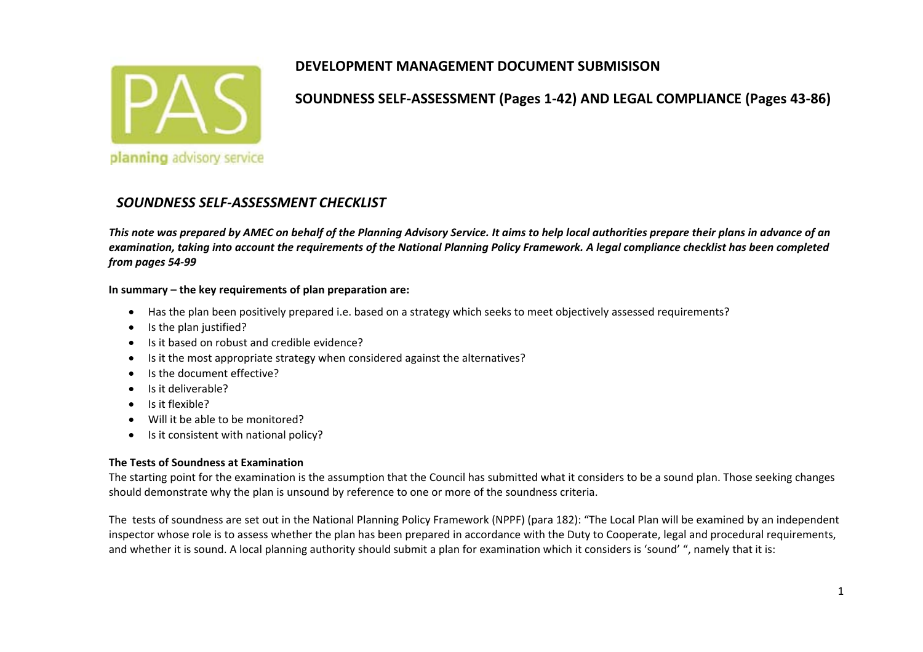

**SOUNDNESS SELF‐ASSESSMENT (Pages 1‐42) AND LEGAL COMPLIANCE (Pages 43‐86)**

### *SOUNDNESS SELF‐ASSESSMENT CHECKLIST*

This note was prepared by AMEC on behalf of the Planning Advisory Service. It aims to help local authorities prepare their plans in advance of an examination, taking into account the requirements of the National Planning Policy Framework. A legal compliance checklist has been completed *from pages 54‐99*

#### **In summary – the key requirements of plan preparation are:**

- Has the plan been positively prepared i.e. based on <sup>a</sup> strategy which seeks to meet objectively assessed requirements?
- $\bullet$ • Is the plan justified?
- $\bullet$ • Is it based on robust and credible evidence?
- 0 • Is it the most appropriate strategy when considered against the alternatives?
- 0 • Is the document effective?
- 0 Is it deliverable?
- $\bullet$ Is it flexible?
- 0 Will it be able to be monitored?
- $\bullet$ • Is it consistent with national policy?

#### **The Tests of Soundness at Examination**

The starting point for the examination is the assumption that the Council has submitted what it considers to be <sup>a</sup> sound plan. Those seeking changes should demonstrate why the plan is unsound by reference to one or more of the soundness criteria.

The tests of soundness are set out in the National Planning Policy Framework (NPPF) (para 182): "The Local Plan will be examined by an independent inspector whose role is to assess whether the plan has been prepared in accordance with the Duty to Cooperate, legal and procedural requirements, and whether it is sound. A local planning authority should submit <sup>a</sup> plan for examination which it considers is 'sound' ", namely that it is: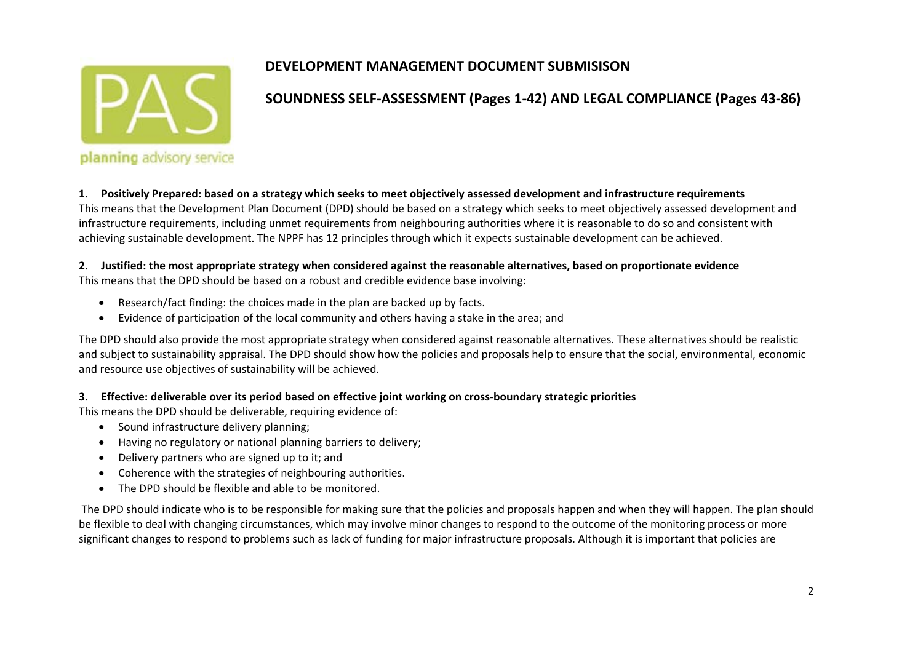

### **SOUNDNESS SELF‐ASSESSMENT (Pages 1‐42) AND LEGAL COMPLIANCE (Pages 43‐86)**

1. Positively Prepared: based on a strategy which seeks to meet objectively assessed development and infrastructure requirements This means that the Development Plan Document (DPD) should be based on <sup>a</sup> strategy which seeks to meet objectively assessed development and infrastructure requirements, including unmet requirements from neighbouring authorities where it is reasonable to do so and consistent with achieving sustainable development. The NPPF has 12 principles through which it expects sustainable development can be achieved.

# 2. Justified: the most appropriate strategy when considered against the reasonable alternatives, based on proportionate evidence

This means that the DPD should be based on <sup>a</sup> robust and credible evidence base involving:

- $\bullet$ Research/fact finding: the choices made in the plan are backed up by facts.
- $\bullet$ Evidence of participation of the local community and others having <sup>a</sup> stake in the area; and

The DPD should also provide the most appropriate strategy when considered against reasonable alternatives. These alternatives should be realistic and subject to sustainability appraisal. The DPD should show how the policies and proposals help to ensure that the social, environmental, economic and resource use objectives of sustainability will be achieved.

#### 3. Effective: deliverable over its period based on effective joint working on cross-boundary strategic priorities

This means the DPD should be deliverable, requiring evidence of:

- **•** Sound infrastructure delivery planning;
- $\bullet$ Having no regulatory or national planning barriers to delivery;
- $\bullet$ Delivery partners who are signed up to it; and
- Coherence with the strategies of neighbouring authorities.
- $\bullet$ The DPD should be flexible and able to be monitored.

The DPD should indicate who is to be responsible for making sure that the policies and proposals happen and when they will happen. The plan should be flexible to deal with changing circumstances, which may involve minor changes to respond to the outcome of the monitoring process or more significant changes to respond to problems such as lack of funding for major infrastructure proposals. Although it is important that policies are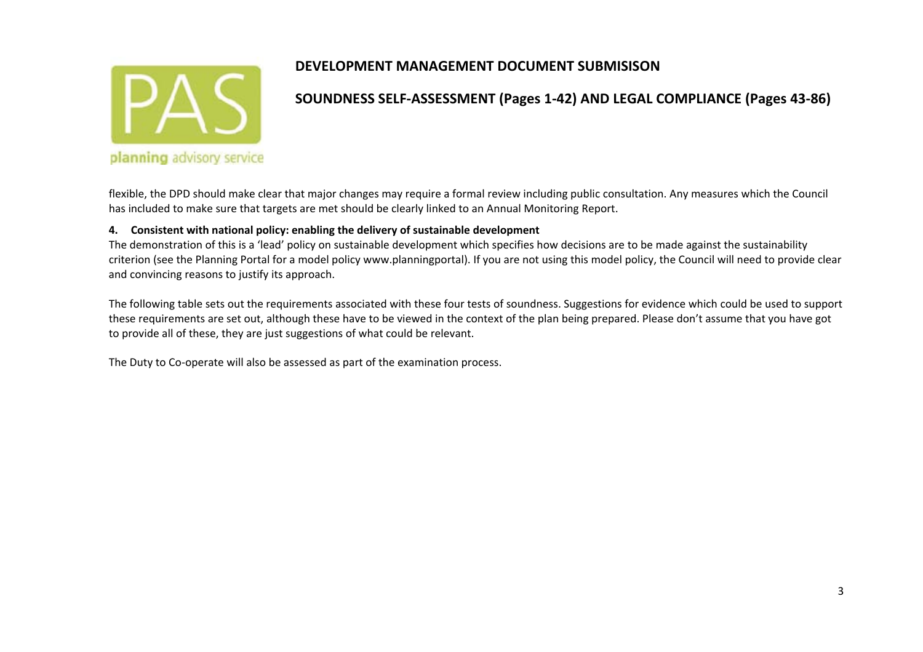

### **SOUNDNESS SELF‐ASSESSMENT (Pages 1‐42) AND LEGAL COMPLIANCE (Pages 43‐86)**

flexible, the DPD should make clear that major changes may require <sup>a</sup> formal review including public consultation. Any measures which the Council has included to make sure that targets are met should be clearly linked to an Annual Monitoring Report.

#### **4. Consistent with national policy: enabling the delivery of sustainable development**

The demonstration of this is <sup>a</sup> 'lead' policy on sustainable development which specifies how decisions are to be made against the sustainability criterion (see the Planning Portal for <sup>a</sup> model policy www.planningportal). If you are not using this model policy, the Council will need to provide clear and convincing reasons to justify its approach.

The following table sets out the requirements associated with these four tests of soundness. Suggestions for evidence which could be used to support these requirements are set out, although these have to be viewed in the context of the plan being prepared. Please don't assume that you have got to provide all of these, they are just suggestions of what could be relevant.

The Duty to Co‐operate will also be assessed as part of the examination process.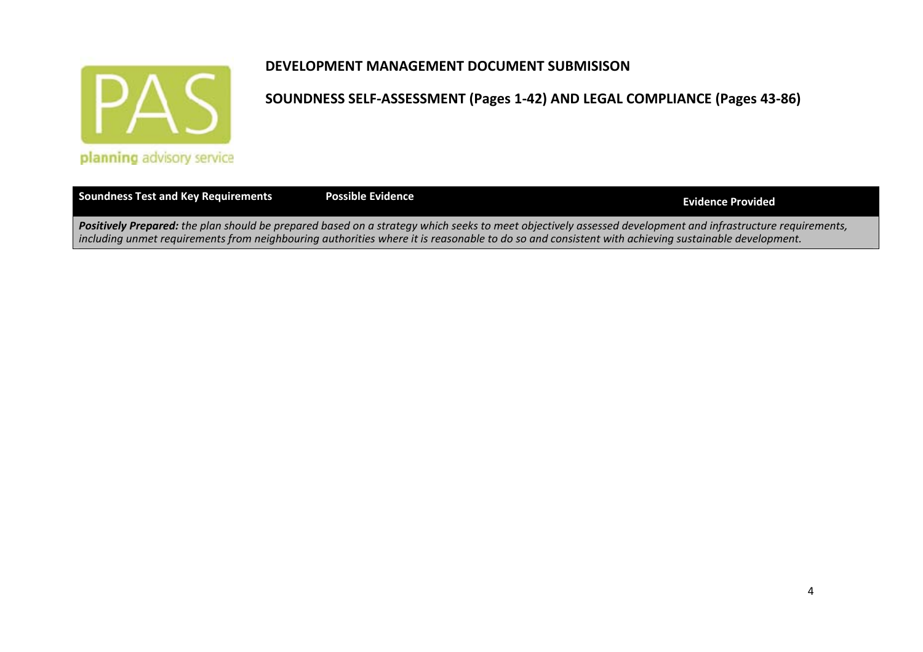

| Soundness Test and Key Requirements | <b>Possible Evidence</b>                                                                                                                                                                                                                                                                                        | Evidence Provided |
|-------------------------------------|-----------------------------------------------------------------------------------------------------------------------------------------------------------------------------------------------------------------------------------------------------------------------------------------------------------------|-------------------|
|                                     | Positively Prepared: the plan should be prepared based on a strategy which seeks to meet objectively assessed development and infrastructure requirements,<br>including unmet requirements from neighbouring authorities where it is reasonable to do so and consistent with achieving sustainable development. |                   |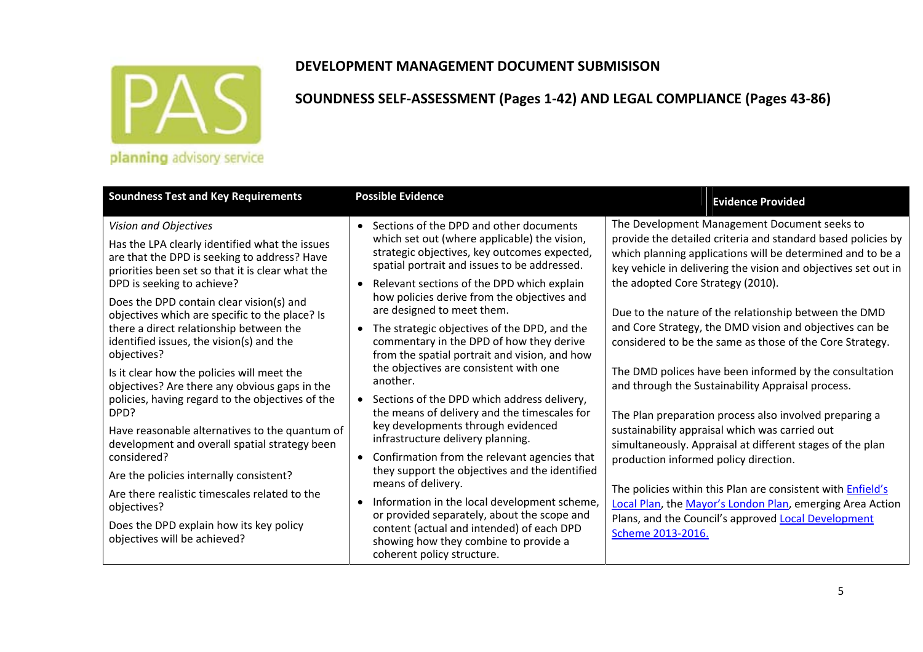

|  |  |  |  |  | planning advisory service |
|--|--|--|--|--|---------------------------|
|--|--|--|--|--|---------------------------|

| <b>Soundness Test and Key Requirements</b>                                                                                                                                                                                                                                                                                                                                                                                                                      | <b>Possible Evidence</b>                                                                                                                                                                                                                                                                                                                                                                                                                                                                                                                                                               | <b>Evidence Provided</b>                                                                                                                                                                                                                                                                                                                                                                                                                                                                                                                     |
|-----------------------------------------------------------------------------------------------------------------------------------------------------------------------------------------------------------------------------------------------------------------------------------------------------------------------------------------------------------------------------------------------------------------------------------------------------------------|----------------------------------------------------------------------------------------------------------------------------------------------------------------------------------------------------------------------------------------------------------------------------------------------------------------------------------------------------------------------------------------------------------------------------------------------------------------------------------------------------------------------------------------------------------------------------------------|----------------------------------------------------------------------------------------------------------------------------------------------------------------------------------------------------------------------------------------------------------------------------------------------------------------------------------------------------------------------------------------------------------------------------------------------------------------------------------------------------------------------------------------------|
| Vision and Objectives<br>Has the LPA clearly identified what the issues<br>are that the DPD is seeking to address? Have<br>priorities been set so that it is clear what the<br>DPD is seeking to achieve?<br>Does the DPD contain clear vision(s) and<br>objectives which are specific to the place? Is<br>there a direct relationship between the<br>identified issues, the vision(s) and the<br>objectives?                                                   | Sections of the DPD and other documents<br>which set out (where applicable) the vision,<br>strategic objectives, key outcomes expected,<br>spatial portrait and issues to be addressed.<br>Relevant sections of the DPD which explain<br>$\bullet$<br>how policies derive from the objectives and<br>are designed to meet them.<br>The strategic objectives of the DPD, and the<br>$\bullet$<br>commentary in the DPD of how they derive<br>from the spatial portrait and vision, and how                                                                                              | The Development Management Document seeks to<br>provide the detailed criteria and standard based policies by<br>which planning applications will be determined and to be a<br>key vehicle in delivering the vision and objectives set out in<br>the adopted Core Strategy (2010).<br>Due to the nature of the relationship between the DMD<br>and Core Strategy, the DMD vision and objectives can be<br>considered to be the same as those of the Core Strategy.                                                                            |
| Is it clear how the policies will meet the<br>objectives? Are there any obvious gaps in the<br>policies, having regard to the objectives of the<br>DPD?<br>Have reasonable alternatives to the quantum of<br>development and overall spatial strategy been<br>considered?<br>Are the policies internally consistent?<br>Are there realistic timescales related to the<br>objectives?<br>Does the DPD explain how its key policy<br>objectives will be achieved? | the objectives are consistent with one<br>another.<br>• Sections of the DPD which address delivery,<br>the means of delivery and the timescales for<br>key developments through evidenced<br>infrastructure delivery planning.<br>Confirmation from the relevant agencies that<br>$\bullet$<br>they support the objectives and the identified<br>means of delivery.<br>Information in the local development scheme,<br>or provided separately, about the scope and<br>content (actual and intended) of each DPD<br>showing how they combine to provide a<br>coherent policy structure. | The DMD polices have been informed by the consultation<br>and through the Sustainability Appraisal process.<br>The Plan preparation process also involved preparing a<br>sustainability appraisal which was carried out<br>simultaneously. Appraisal at different stages of the plan<br>production informed policy direction.<br>The policies within this Plan are consistent with <b>Enfield's</b><br>Local Plan, the Mayor's London Plan, emerging Area Action<br>Plans, and the Council's approved Local Development<br>Scheme 2013-2016. |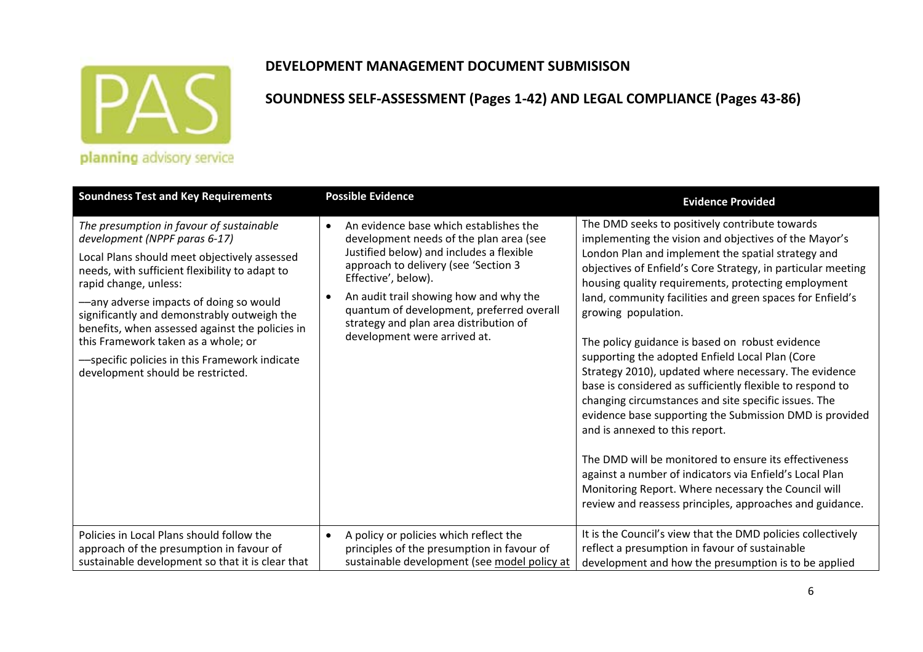

### **DEVELOPMENT MANAGEMENT DOCUMENT SUBMISISON**

| <b>Soundness Test and Key Requirements</b>                                                                                                                                                                                                                                                                                                                                                                                                                                    | <b>Possible Evidence</b>                                                                                                                                                                                                                                                                                                                                      | <b>Evidence Provided</b>                                                                                                                                                                                                                                                                                                                                                                                                                                                                                                                                                                                                                                                                                                                                                                                                                                                                                                                                                                         |
|-------------------------------------------------------------------------------------------------------------------------------------------------------------------------------------------------------------------------------------------------------------------------------------------------------------------------------------------------------------------------------------------------------------------------------------------------------------------------------|---------------------------------------------------------------------------------------------------------------------------------------------------------------------------------------------------------------------------------------------------------------------------------------------------------------------------------------------------------------|--------------------------------------------------------------------------------------------------------------------------------------------------------------------------------------------------------------------------------------------------------------------------------------------------------------------------------------------------------------------------------------------------------------------------------------------------------------------------------------------------------------------------------------------------------------------------------------------------------------------------------------------------------------------------------------------------------------------------------------------------------------------------------------------------------------------------------------------------------------------------------------------------------------------------------------------------------------------------------------------------|
| The presumption in favour of sustainable<br>development (NPPF paras 6-17)<br>Local Plans should meet objectively assessed<br>needs, with sufficient flexibility to adapt to<br>rapid change, unless:<br>-any adverse impacts of doing so would<br>significantly and demonstrably outweigh the<br>benefits, when assessed against the policies in<br>this Framework taken as a whole; or<br>-specific policies in this Framework indicate<br>development should be restricted. | An evidence base which establishes the<br>development needs of the plan area (see<br>Justified below) and includes a flexible<br>approach to delivery (see 'Section 3<br>Effective', below).<br>An audit trail showing how and why the<br>quantum of development, preferred overall<br>strategy and plan area distribution of<br>development were arrived at. | The DMD seeks to positively contribute towards<br>implementing the vision and objectives of the Mayor's<br>London Plan and implement the spatial strategy and<br>objectives of Enfield's Core Strategy, in particular meeting<br>housing quality requirements, protecting employment<br>land, community facilities and green spaces for Enfield's<br>growing population.<br>The policy guidance is based on robust evidence<br>supporting the adopted Enfield Local Plan (Core<br>Strategy 2010), updated where necessary. The evidence<br>base is considered as sufficiently flexible to respond to<br>changing circumstances and site specific issues. The<br>evidence base supporting the Submission DMD is provided<br>and is annexed to this report.<br>The DMD will be monitored to ensure its effectiveness<br>against a number of indicators via Enfield's Local Plan<br>Monitoring Report. Where necessary the Council will<br>review and reassess principles, approaches and guidance. |
| Policies in Local Plans should follow the<br>approach of the presumption in favour of<br>sustainable development so that it is clear that                                                                                                                                                                                                                                                                                                                                     | A policy or policies which reflect the<br>$\bullet$<br>principles of the presumption in favour of<br>sustainable development (see model policy at                                                                                                                                                                                                             | It is the Council's view that the DMD policies collectively<br>reflect a presumption in favour of sustainable<br>development and how the presumption is to be applied                                                                                                                                                                                                                                                                                                                                                                                                                                                                                                                                                                                                                                                                                                                                                                                                                            |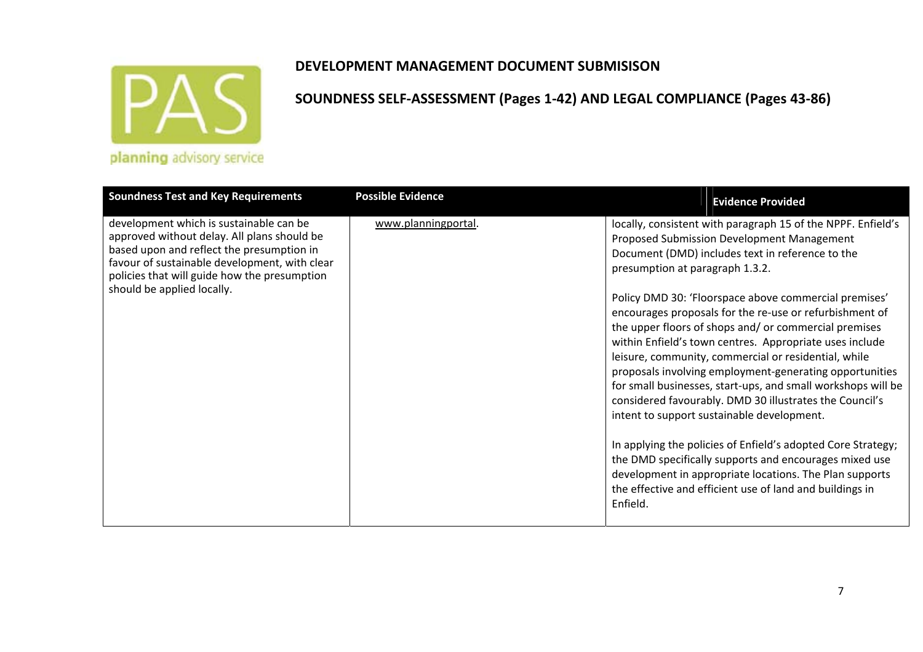

| <b>Soundness Test and Key Requirements</b>                                                                                                                                                                                           | <b>Possible Evidence</b> | <b>Evidence Provided</b>                                                                                                                                                                                                                                                                                                                                                                                                                                                                                                        |
|--------------------------------------------------------------------------------------------------------------------------------------------------------------------------------------------------------------------------------------|--------------------------|---------------------------------------------------------------------------------------------------------------------------------------------------------------------------------------------------------------------------------------------------------------------------------------------------------------------------------------------------------------------------------------------------------------------------------------------------------------------------------------------------------------------------------|
| development which is sustainable can be<br>approved without delay. All plans should be<br>based upon and reflect the presumption in<br>favour of sustainable development, with clear<br>policies that will guide how the presumption | www.planningportal.      | locally, consistent with paragraph 15 of the NPPF. Enfield's<br>Proposed Submission Development Management<br>Document (DMD) includes text in reference to the<br>presumption at paragraph 1.3.2.                                                                                                                                                                                                                                                                                                                               |
| should be applied locally.                                                                                                                                                                                                           |                          | Policy DMD 30: 'Floorspace above commercial premises'<br>encourages proposals for the re-use or refurbishment of<br>the upper floors of shops and/or commercial premises<br>within Enfield's town centres. Appropriate uses include<br>leisure, community, commercial or residential, while<br>proposals involving employment-generating opportunities<br>for small businesses, start-ups, and small workshops will be<br>considered favourably. DMD 30 illustrates the Council's<br>intent to support sustainable development. |
|                                                                                                                                                                                                                                      |                          | In applying the policies of Enfield's adopted Core Strategy;<br>the DMD specifically supports and encourages mixed use<br>development in appropriate locations. The Plan supports<br>the effective and efficient use of land and buildings in<br>Enfield.                                                                                                                                                                                                                                                                       |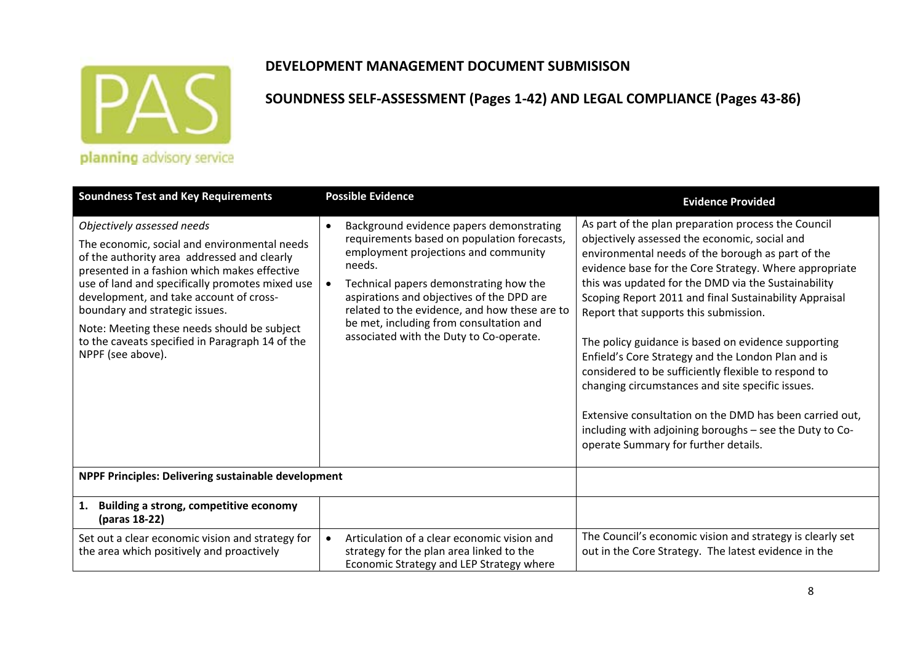

### **DEVELOPMENT MANAGEMENT DOCUMENT SUBMISISON**

| <b>Soundness Test and Key Requirements</b>                                                                                                                                                                                                                                                                                                                                                                                       | <b>Possible Evidence</b>                                                                                                                                                                                                                                                                                                                                                | <b>Evidence Provided</b>                                                                                                                                                                                                                                                                                                                                                                                                                                                                                                                                                                                                                                                                                                                                             |
|----------------------------------------------------------------------------------------------------------------------------------------------------------------------------------------------------------------------------------------------------------------------------------------------------------------------------------------------------------------------------------------------------------------------------------|-------------------------------------------------------------------------------------------------------------------------------------------------------------------------------------------------------------------------------------------------------------------------------------------------------------------------------------------------------------------------|----------------------------------------------------------------------------------------------------------------------------------------------------------------------------------------------------------------------------------------------------------------------------------------------------------------------------------------------------------------------------------------------------------------------------------------------------------------------------------------------------------------------------------------------------------------------------------------------------------------------------------------------------------------------------------------------------------------------------------------------------------------------|
| Objectively assessed needs<br>The economic, social and environmental needs<br>of the authority area addressed and clearly<br>presented in a fashion which makes effective<br>use of land and specifically promotes mixed use<br>development, and take account of cross-<br>boundary and strategic issues.<br>Note: Meeting these needs should be subject<br>to the caveats specified in Paragraph 14 of the<br>NPPF (see above). | Background evidence papers demonstrating<br>requirements based on population forecasts,<br>employment projections and community<br>needs.<br>Technical papers demonstrating how the<br>aspirations and objectives of the DPD are<br>related to the evidence, and how these are to<br>be met, including from consultation and<br>associated with the Duty to Co-operate. | As part of the plan preparation process the Council<br>objectively assessed the economic, social and<br>environmental needs of the borough as part of the<br>evidence base for the Core Strategy. Where appropriate<br>this was updated for the DMD via the Sustainability<br>Scoping Report 2011 and final Sustainability Appraisal<br>Report that supports this submission.<br>The policy guidance is based on evidence supporting<br>Enfield's Core Strategy and the London Plan and is<br>considered to be sufficiently flexible to respond to<br>changing circumstances and site specific issues.<br>Extensive consultation on the DMD has been carried out.<br>including with adjoining boroughs - see the Duty to Co-<br>operate Summary for further details. |
| NPPF Principles: Delivering sustainable development                                                                                                                                                                                                                                                                                                                                                                              |                                                                                                                                                                                                                                                                                                                                                                         |                                                                                                                                                                                                                                                                                                                                                                                                                                                                                                                                                                                                                                                                                                                                                                      |
| 1. Building a strong, competitive economy<br>(paras 18-22)                                                                                                                                                                                                                                                                                                                                                                       |                                                                                                                                                                                                                                                                                                                                                                         |                                                                                                                                                                                                                                                                                                                                                                                                                                                                                                                                                                                                                                                                                                                                                                      |
| Set out a clear economic vision and strategy for<br>the area which positively and proactively                                                                                                                                                                                                                                                                                                                                    | Articulation of a clear economic vision and<br>strategy for the plan area linked to the<br>Economic Strategy and LEP Strategy where                                                                                                                                                                                                                                     | The Council's economic vision and strategy is clearly set<br>out in the Core Strategy. The latest evidence in the                                                                                                                                                                                                                                                                                                                                                                                                                                                                                                                                                                                                                                                    |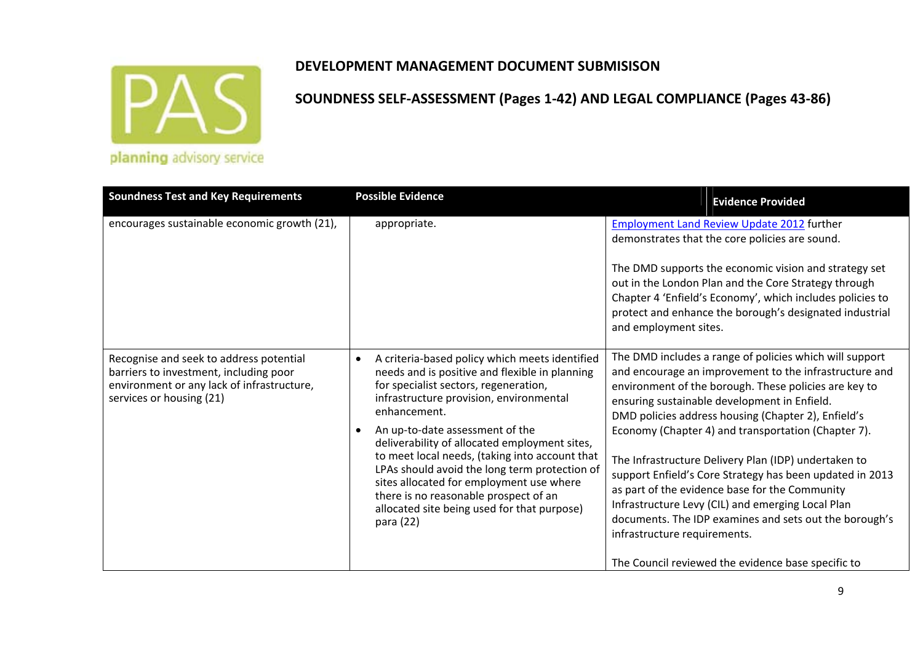

| <b>Soundness Test and Key Requirements</b>                                                                                                                  | <b>Possible Evidence</b>                                                                                                                                                                                                                                                                                                                                                                                                                                                                                                                                               | <b>Evidence Provided</b>                                                                                                                                                                                                                                                                                                                                                                                                                                                                                                                                                                                                                                                                                            |
|-------------------------------------------------------------------------------------------------------------------------------------------------------------|------------------------------------------------------------------------------------------------------------------------------------------------------------------------------------------------------------------------------------------------------------------------------------------------------------------------------------------------------------------------------------------------------------------------------------------------------------------------------------------------------------------------------------------------------------------------|---------------------------------------------------------------------------------------------------------------------------------------------------------------------------------------------------------------------------------------------------------------------------------------------------------------------------------------------------------------------------------------------------------------------------------------------------------------------------------------------------------------------------------------------------------------------------------------------------------------------------------------------------------------------------------------------------------------------|
| encourages sustainable economic growth (21),                                                                                                                | appropriate.                                                                                                                                                                                                                                                                                                                                                                                                                                                                                                                                                           | <b>Employment Land Review Update 2012 further</b><br>demonstrates that the core policies are sound.<br>The DMD supports the economic vision and strategy set<br>out in the London Plan and the Core Strategy through<br>Chapter 4 'Enfield's Economy', which includes policies to<br>protect and enhance the borough's designated industrial<br>and employment sites.                                                                                                                                                                                                                                                                                                                                               |
| Recognise and seek to address potential<br>barriers to investment, including poor<br>environment or any lack of infrastructure,<br>services or housing (21) | A criteria-based policy which meets identified<br>$\bullet$<br>needs and is positive and flexible in planning<br>for specialist sectors, regeneration,<br>infrastructure provision, environmental<br>enhancement.<br>An up-to-date assessment of the<br>$\bullet$<br>deliverability of allocated employment sites,<br>to meet local needs, (taking into account that<br>LPAs should avoid the long term protection of<br>sites allocated for employment use where<br>there is no reasonable prospect of an<br>allocated site being used for that purpose)<br>para (22) | The DMD includes a range of policies which will support<br>and encourage an improvement to the infrastructure and<br>environment of the borough. These policies are key to<br>ensuring sustainable development in Enfield.<br>DMD policies address housing (Chapter 2), Enfield's<br>Economy (Chapter 4) and transportation (Chapter 7).<br>The Infrastructure Delivery Plan (IDP) undertaken to<br>support Enfield's Core Strategy has been updated in 2013<br>as part of the evidence base for the Community<br>Infrastructure Levy (CIL) and emerging Local Plan<br>documents. The IDP examines and sets out the borough's<br>infrastructure requirements.<br>The Council reviewed the evidence base specific to |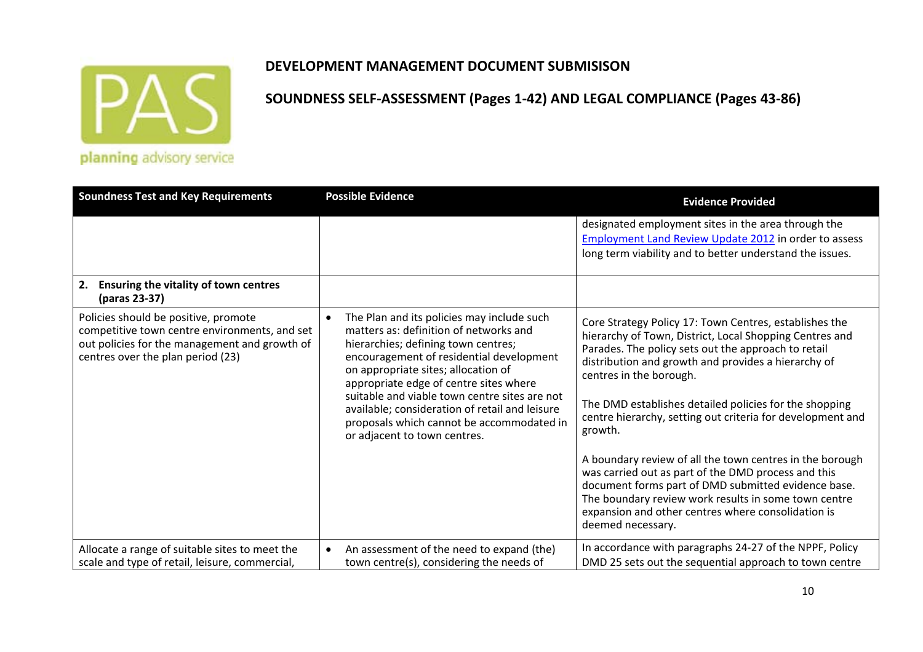

### **DEVELOPMENT MANAGEMENT DOCUMENT SUBMISISON**

| <b>Soundness Test and Key Requirements</b>                                                                                                                                  | <b>Possible Evidence</b>                                                                                                                                                                                                                                                                                                                                                                                                                 | <b>Evidence Provided</b>                                                                                                                                                                                                                                                                                                                                                                                                                                                                                                                                                                                                                                                                                   |
|-----------------------------------------------------------------------------------------------------------------------------------------------------------------------------|------------------------------------------------------------------------------------------------------------------------------------------------------------------------------------------------------------------------------------------------------------------------------------------------------------------------------------------------------------------------------------------------------------------------------------------|------------------------------------------------------------------------------------------------------------------------------------------------------------------------------------------------------------------------------------------------------------------------------------------------------------------------------------------------------------------------------------------------------------------------------------------------------------------------------------------------------------------------------------------------------------------------------------------------------------------------------------------------------------------------------------------------------------|
|                                                                                                                                                                             |                                                                                                                                                                                                                                                                                                                                                                                                                                          | designated employment sites in the area through the<br>Employment Land Review Update 2012 in order to assess<br>long term viability and to better understand the issues.                                                                                                                                                                                                                                                                                                                                                                                                                                                                                                                                   |
| 2.<br><b>Ensuring the vitality of town centres</b><br>(paras 23-37)                                                                                                         |                                                                                                                                                                                                                                                                                                                                                                                                                                          |                                                                                                                                                                                                                                                                                                                                                                                                                                                                                                                                                                                                                                                                                                            |
| Policies should be positive, promote<br>competitive town centre environments, and set<br>out policies for the management and growth of<br>centres over the plan period (23) | The Plan and its policies may include such<br>matters as: definition of networks and<br>hierarchies; defining town centres;<br>encouragement of residential development<br>on appropriate sites; allocation of<br>appropriate edge of centre sites where<br>suitable and viable town centre sites are not<br>available; consideration of retail and leisure<br>proposals which cannot be accommodated in<br>or adjacent to town centres. | Core Strategy Policy 17: Town Centres, establishes the<br>hierarchy of Town, District, Local Shopping Centres and<br>Parades. The policy sets out the approach to retail<br>distribution and growth and provides a hierarchy of<br>centres in the borough.<br>The DMD establishes detailed policies for the shopping<br>centre hierarchy, setting out criteria for development and<br>growth.<br>A boundary review of all the town centres in the borough<br>was carried out as part of the DMD process and this<br>document forms part of DMD submitted evidence base.<br>The boundary review work results in some town centre<br>expansion and other centres where consolidation is<br>deemed necessary. |
| Allocate a range of suitable sites to meet the<br>scale and type of retail, leisure, commercial,                                                                            | An assessment of the need to expand (the)<br>town centre(s), considering the needs of                                                                                                                                                                                                                                                                                                                                                    | In accordance with paragraphs 24-27 of the NPPF, Policy<br>DMD 25 sets out the sequential approach to town centre                                                                                                                                                                                                                                                                                                                                                                                                                                                                                                                                                                                          |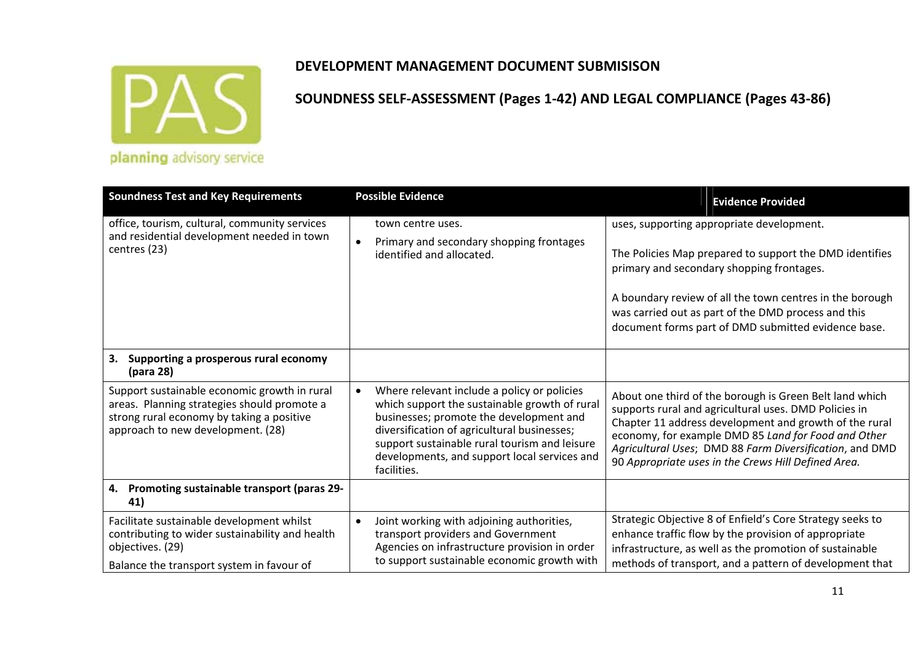

| <b>Soundness Test and Key Requirements</b>                                                                                                                                    | <b>Possible Evidence</b>                                                                                                                                                                                                                                                                                            | <b>Evidence Provided</b>                                                                                                                                                                                                                                                                                                                            |
|-------------------------------------------------------------------------------------------------------------------------------------------------------------------------------|---------------------------------------------------------------------------------------------------------------------------------------------------------------------------------------------------------------------------------------------------------------------------------------------------------------------|-----------------------------------------------------------------------------------------------------------------------------------------------------------------------------------------------------------------------------------------------------------------------------------------------------------------------------------------------------|
| office, tourism, cultural, community services<br>and residential development needed in town<br>centres (23)                                                                   | town centre uses.<br>Primary and secondary shopping frontages<br>identified and allocated.                                                                                                                                                                                                                          | uses, supporting appropriate development.<br>The Policies Map prepared to support the DMD identifies<br>primary and secondary shopping frontages.<br>A boundary review of all the town centres in the borough<br>was carried out as part of the DMD process and this<br>document forms part of DMD submitted evidence base.                         |
| 3.<br>Supporting a prosperous rural economy<br>(para 28)                                                                                                                      |                                                                                                                                                                                                                                                                                                                     |                                                                                                                                                                                                                                                                                                                                                     |
| Support sustainable economic growth in rural<br>areas. Planning strategies should promote a<br>strong rural economy by taking a positive<br>approach to new development. (28) | Where relevant include a policy or policies<br>$\bullet$<br>which support the sustainable growth of rural<br>businesses; promote the development and<br>diversification of agricultural businesses;<br>support sustainable rural tourism and leisure<br>developments, and support local services and<br>facilities. | About one third of the borough is Green Belt land which<br>supports rural and agricultural uses. DMD Policies in<br>Chapter 11 address development and growth of the rural<br>economy, for example DMD 85 Land for Food and Other<br>Agricultural Uses; DMD 88 Farm Diversification, and DMD<br>90 Appropriate uses in the Crews Hill Defined Area. |
| 4. Promoting sustainable transport (paras 29-<br>41)                                                                                                                          |                                                                                                                                                                                                                                                                                                                     |                                                                                                                                                                                                                                                                                                                                                     |
| Facilitate sustainable development whilst<br>contributing to wider sustainability and health<br>objectives. (29)<br>Balance the transport system in favour of                 | Joint working with adjoining authorities,<br>transport providers and Government<br>Agencies on infrastructure provision in order<br>to support sustainable economic growth with                                                                                                                                     | Strategic Objective 8 of Enfield's Core Strategy seeks to<br>enhance traffic flow by the provision of appropriate<br>infrastructure, as well as the promotion of sustainable<br>methods of transport, and a pattern of development that                                                                                                             |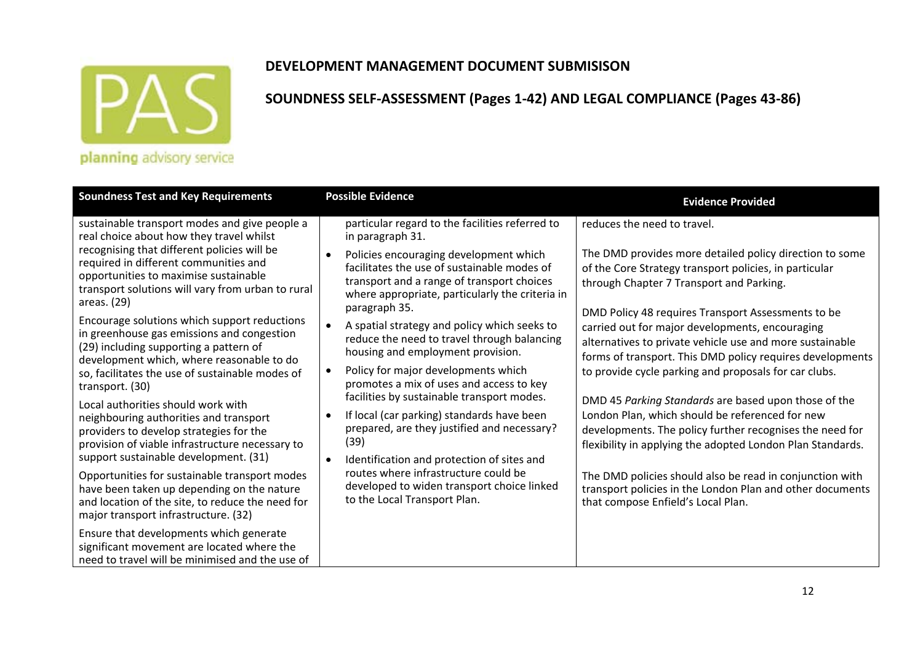

### **DEVELOPMENT MANAGEMENT DOCUMENT SUBMISISON**

| <b>Soundness Test and Key Requirements</b>                                                                                                                                                                                                                                                                                                                                                                                                                                                                                                                                                                                                | <b>Possible Evidence</b>                                                                                                                                                                                                                                                                                                                                                                                                                                                                                                                                                                                                                         | <b>Evidence Provided</b>                                                                                                                                                                                                                                                                                                                                                                                                                                                                                                                                                                           |
|-------------------------------------------------------------------------------------------------------------------------------------------------------------------------------------------------------------------------------------------------------------------------------------------------------------------------------------------------------------------------------------------------------------------------------------------------------------------------------------------------------------------------------------------------------------------------------------------------------------------------------------------|--------------------------------------------------------------------------------------------------------------------------------------------------------------------------------------------------------------------------------------------------------------------------------------------------------------------------------------------------------------------------------------------------------------------------------------------------------------------------------------------------------------------------------------------------------------------------------------------------------------------------------------------------|----------------------------------------------------------------------------------------------------------------------------------------------------------------------------------------------------------------------------------------------------------------------------------------------------------------------------------------------------------------------------------------------------------------------------------------------------------------------------------------------------------------------------------------------------------------------------------------------------|
| sustainable transport modes and give people a<br>real choice about how they travel whilst<br>recognising that different policies will be<br>required in different communities and<br>opportunities to maximise sustainable<br>transport solutions will vary from urban to rural<br>areas. (29)<br>Encourage solutions which support reductions<br>in greenhouse gas emissions and congestion<br>(29) including supporting a pattern of<br>development which, where reasonable to do<br>so, facilitates the use of sustainable modes of<br>transport. (30)<br>Local authorities should work with<br>neighbouring authorities and transport | particular regard to the facilities referred to<br>in paragraph 31.<br>Policies encouraging development which<br>facilitates the use of sustainable modes of<br>transport and a range of transport choices<br>where appropriate, particularly the criteria in<br>paragraph 35.<br>A spatial strategy and policy which seeks to<br>reduce the need to travel through balancing<br>housing and employment provision.<br>Policy for major developments which<br>promotes a mix of uses and access to key<br>facilities by sustainable transport modes.<br>If local (car parking) standards have been<br>prepared, are they justified and necessary? | reduces the need to travel.<br>The DMD provides more detailed policy direction to some<br>of the Core Strategy transport policies, in particular<br>through Chapter 7 Transport and Parking.<br>DMD Policy 48 requires Transport Assessments to be<br>carried out for major developments, encouraging<br>alternatives to private vehicle use and more sustainable<br>forms of transport. This DMD policy requires developments<br>to provide cycle parking and proposals for car clubs.<br>DMD 45 Parking Standards are based upon those of the<br>London Plan, which should be referenced for new |
| providers to develop strategies for the<br>provision of viable infrastructure necessary to<br>support sustainable development. (31)                                                                                                                                                                                                                                                                                                                                                                                                                                                                                                       | (39)                                                                                                                                                                                                                                                                                                                                                                                                                                                                                                                                                                                                                                             | developments. The policy further recognises the need for<br>flexibility in applying the adopted London Plan Standards.                                                                                                                                                                                                                                                                                                                                                                                                                                                                             |
| Opportunities for sustainable transport modes<br>have been taken up depending on the nature<br>and location of the site, to reduce the need for<br>major transport infrastructure. (32)                                                                                                                                                                                                                                                                                                                                                                                                                                                   | Identification and protection of sites and<br>routes where infrastructure could be<br>developed to widen transport choice linked<br>to the Local Transport Plan.                                                                                                                                                                                                                                                                                                                                                                                                                                                                                 | The DMD policies should also be read in conjunction with<br>transport policies in the London Plan and other documents<br>that compose Enfield's Local Plan.                                                                                                                                                                                                                                                                                                                                                                                                                                        |
| Ensure that developments which generate<br>significant movement are located where the<br>need to travel will be minimised and the use of                                                                                                                                                                                                                                                                                                                                                                                                                                                                                                  |                                                                                                                                                                                                                                                                                                                                                                                                                                                                                                                                                                                                                                                  |                                                                                                                                                                                                                                                                                                                                                                                                                                                                                                                                                                                                    |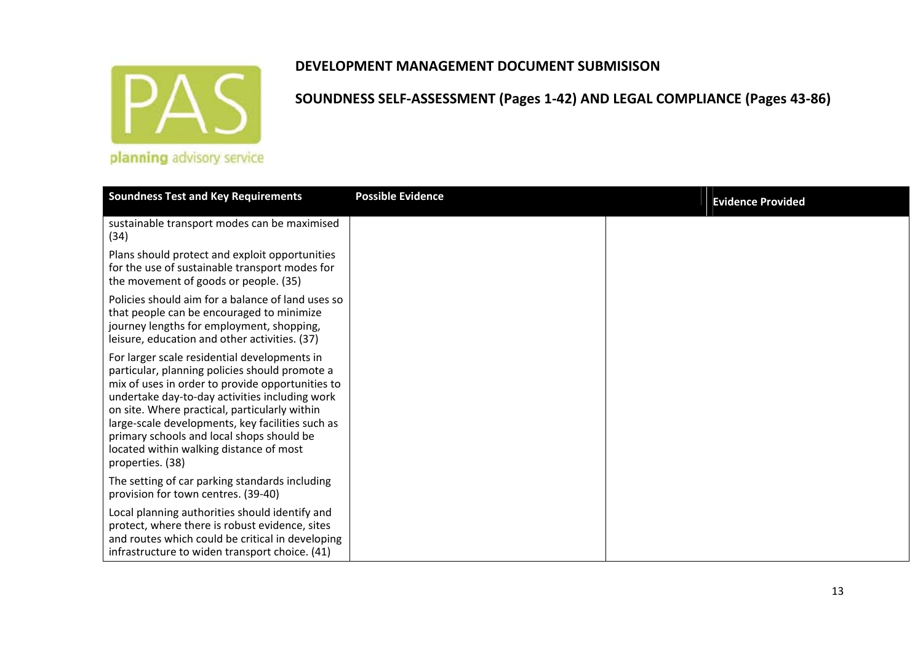

|  |  | planning advisory service |  |
|--|--|---------------------------|--|
|  |  |                           |  |
|  |  |                           |  |
|  |  |                           |  |

| <b>Soundness Test and Key Requirements</b>                                                                                                                                                                                                                                                                                                                                                                            | <b>Possible Evidence</b> | <b>Evidence Provided</b> |
|-----------------------------------------------------------------------------------------------------------------------------------------------------------------------------------------------------------------------------------------------------------------------------------------------------------------------------------------------------------------------------------------------------------------------|--------------------------|--------------------------|
| sustainable transport modes can be maximised<br>(34)                                                                                                                                                                                                                                                                                                                                                                  |                          |                          |
| Plans should protect and exploit opportunities<br>for the use of sustainable transport modes for<br>the movement of goods or people. (35)                                                                                                                                                                                                                                                                             |                          |                          |
| Policies should aim for a balance of land uses so<br>that people can be encouraged to minimize<br>journey lengths for employment, shopping,<br>leisure, education and other activities. (37)                                                                                                                                                                                                                          |                          |                          |
| For larger scale residential developments in<br>particular, planning policies should promote a<br>mix of uses in order to provide opportunities to<br>undertake day-to-day activities including work<br>on site. Where practical, particularly within<br>large-scale developments, key facilities such as<br>primary schools and local shops should be<br>located within walking distance of most<br>properties. (38) |                          |                          |
| The setting of car parking standards including<br>provision for town centres. (39-40)                                                                                                                                                                                                                                                                                                                                 |                          |                          |
| Local planning authorities should identify and<br>protect, where there is robust evidence, sites<br>and routes which could be critical in developing<br>infrastructure to widen transport choice. (41)                                                                                                                                                                                                                |                          |                          |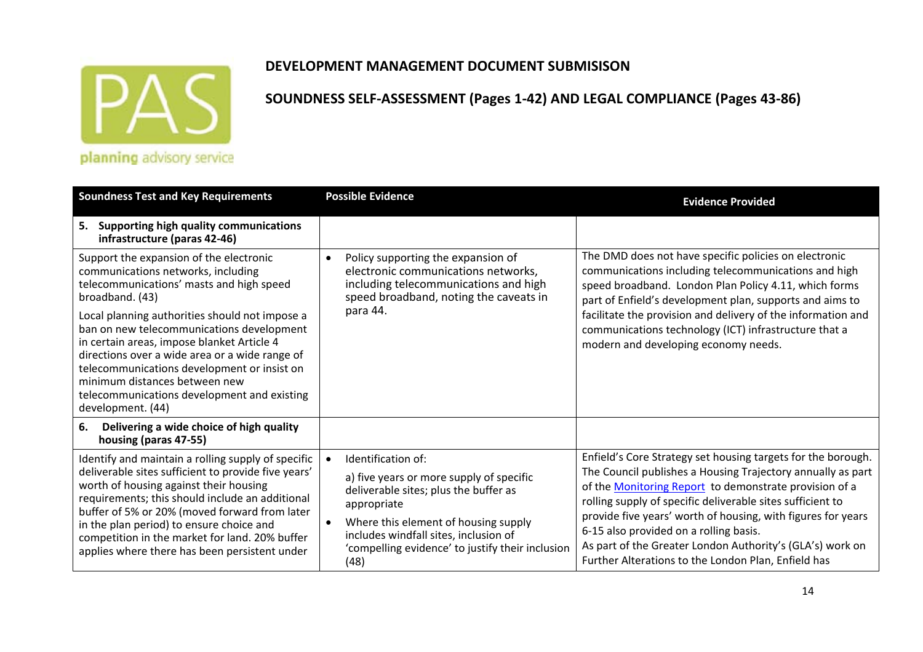

### **DEVELOPMENT MANAGEMENT DOCUMENT SUBMISISON**

| <b>Soundness Test and Key Requirements</b>                                                                                                                                                                                                                                                                                                                                                                                                                                                      | <b>Possible Evidence</b>                                                                                                                                                                                                                                            | <b>Evidence Provided</b>                                                                                                                                                                                                                                                                                                                                                                                                                                                          |
|-------------------------------------------------------------------------------------------------------------------------------------------------------------------------------------------------------------------------------------------------------------------------------------------------------------------------------------------------------------------------------------------------------------------------------------------------------------------------------------------------|---------------------------------------------------------------------------------------------------------------------------------------------------------------------------------------------------------------------------------------------------------------------|-----------------------------------------------------------------------------------------------------------------------------------------------------------------------------------------------------------------------------------------------------------------------------------------------------------------------------------------------------------------------------------------------------------------------------------------------------------------------------------|
| 5.<br><b>Supporting high quality communications</b><br>infrastructure (paras 42-46)                                                                                                                                                                                                                                                                                                                                                                                                             |                                                                                                                                                                                                                                                                     |                                                                                                                                                                                                                                                                                                                                                                                                                                                                                   |
| Support the expansion of the electronic<br>communications networks, including<br>telecommunications' masts and high speed<br>broadband. (43)<br>Local planning authorities should not impose a<br>ban on new telecommunications development<br>in certain areas, impose blanket Article 4<br>directions over a wide area or a wide range of<br>telecommunications development or insist on<br>minimum distances between new<br>telecommunications development and existing<br>development. (44) | Policy supporting the expansion of<br>$\bullet$<br>electronic communications networks,<br>including telecommunications and high<br>speed broadband, noting the caveats in<br>para 44.                                                                               | The DMD does not have specific policies on electronic<br>communications including telecommunications and high<br>speed broadband. London Plan Policy 4.11, which forms<br>part of Enfield's development plan, supports and aims to<br>facilitate the provision and delivery of the information and<br>communications technology (ICT) infrastructure that a<br>modern and developing economy needs.                                                                               |
| 6.<br>Delivering a wide choice of high quality<br>housing (paras 47-55)                                                                                                                                                                                                                                                                                                                                                                                                                         |                                                                                                                                                                                                                                                                     |                                                                                                                                                                                                                                                                                                                                                                                                                                                                                   |
| Identify and maintain a rolling supply of specific<br>deliverable sites sufficient to provide five years'<br>worth of housing against their housing<br>requirements; this should include an additional<br>buffer of 5% or 20% (moved forward from later<br>in the plan period) to ensure choice and<br>competition in the market for land. 20% buffer<br>applies where there has been persistent under                                                                                          | Identification of:<br>a) five years or more supply of specific<br>deliverable sites; plus the buffer as<br>appropriate<br>Where this element of housing supply<br>includes windfall sites, inclusion of<br>'compelling evidence' to justify their inclusion<br>(48) | Enfield's Core Strategy set housing targets for the borough.<br>The Council publishes a Housing Trajectory annually as part<br>of the Monitoring Report to demonstrate provision of a<br>rolling supply of specific deliverable sites sufficient to<br>provide five years' worth of housing, with figures for years<br>6-15 also provided on a rolling basis.<br>As part of the Greater London Authority's (GLA's) work on<br>Further Alterations to the London Plan, Enfield has |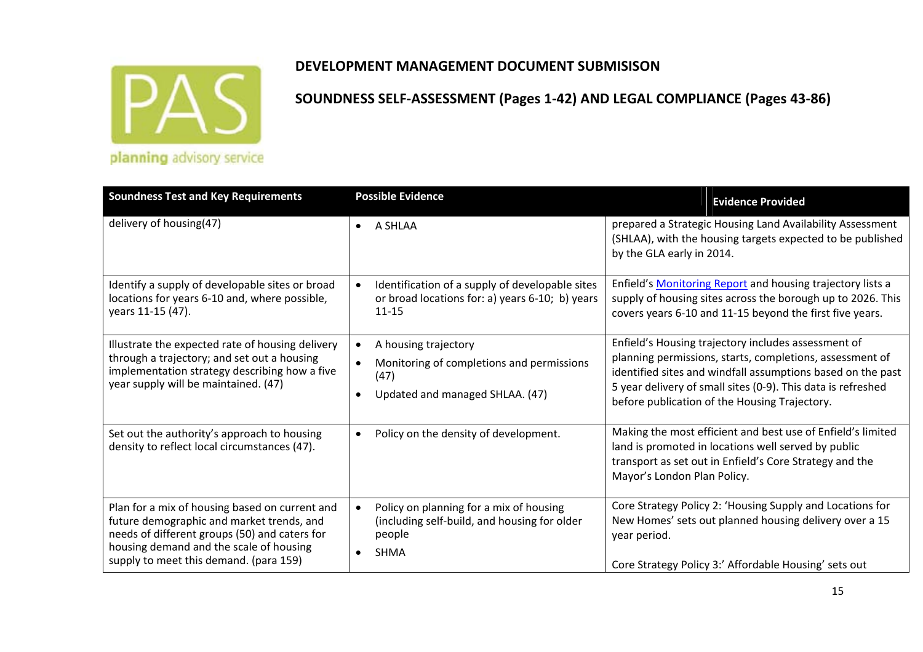

| <b>Soundness Test and Key Requirements</b> | <b>Possible Evidence</b> |
|--------------------------------------------|--------------------------|
|                                            |                          |

| <b>Soundness Test and Key Requirements</b>                                                                                                                                                                                        | <b>Possible Evidence</b>                                                                                                                   | <b>Evidence Provided</b>                                                                                                                                                                                                                                                                        |
|-----------------------------------------------------------------------------------------------------------------------------------------------------------------------------------------------------------------------------------|--------------------------------------------------------------------------------------------------------------------------------------------|-------------------------------------------------------------------------------------------------------------------------------------------------------------------------------------------------------------------------------------------------------------------------------------------------|
| delivery of housing(47)                                                                                                                                                                                                           | A SHLAA<br>$\bullet$                                                                                                                       | prepared a Strategic Housing Land Availability Assessment<br>(SHLAA), with the housing targets expected to be published<br>by the GLA early in 2014.                                                                                                                                            |
| Identify a supply of developable sites or broad<br>locations for years 6-10 and, where possible,<br>years 11-15 (47).                                                                                                             | Identification of a supply of developable sites<br>$\bullet$<br>or broad locations for: a) years 6-10; b) years<br>$11 - 15$               | Enfield's Monitoring Report and housing trajectory lists a<br>supply of housing sites across the borough up to 2026. This<br>covers years 6-10 and 11-15 beyond the first five years.                                                                                                           |
| Illustrate the expected rate of housing delivery<br>through a trajectory; and set out a housing<br>implementation strategy describing how a five<br>year supply will be maintained. (47)                                          | A housing trajectory<br>$\bullet$<br>Monitoring of completions and permissions<br>(47)<br>Updated and managed SHLAA. (47)                  | Enfield's Housing trajectory includes assessment of<br>planning permissions, starts, completions, assessment of<br>identified sites and windfall assumptions based on the past<br>5 year delivery of small sites (0-9). This data is refreshed<br>before publication of the Housing Trajectory. |
| Set out the authority's approach to housing<br>density to reflect local circumstances (47).                                                                                                                                       | Policy on the density of development.<br>$\bullet$                                                                                         | Making the most efficient and best use of Enfield's limited<br>land is promoted in locations well served by public<br>transport as set out in Enfield's Core Strategy and the<br>Mayor's London Plan Policy.                                                                                    |
| Plan for a mix of housing based on current and<br>future demographic and market trends, and<br>needs of different groups (50) and caters for<br>housing demand and the scale of housing<br>supply to meet this demand. (para 159) | Policy on planning for a mix of housing<br>$\bullet$<br>(including self-build, and housing for older<br>people<br><b>SHMA</b><br>$\bullet$ | Core Strategy Policy 2: 'Housing Supply and Locations for<br>New Homes' sets out planned housing delivery over a 15<br>year period.<br>Core Strategy Policy 3:' Affordable Housing' sets out                                                                                                    |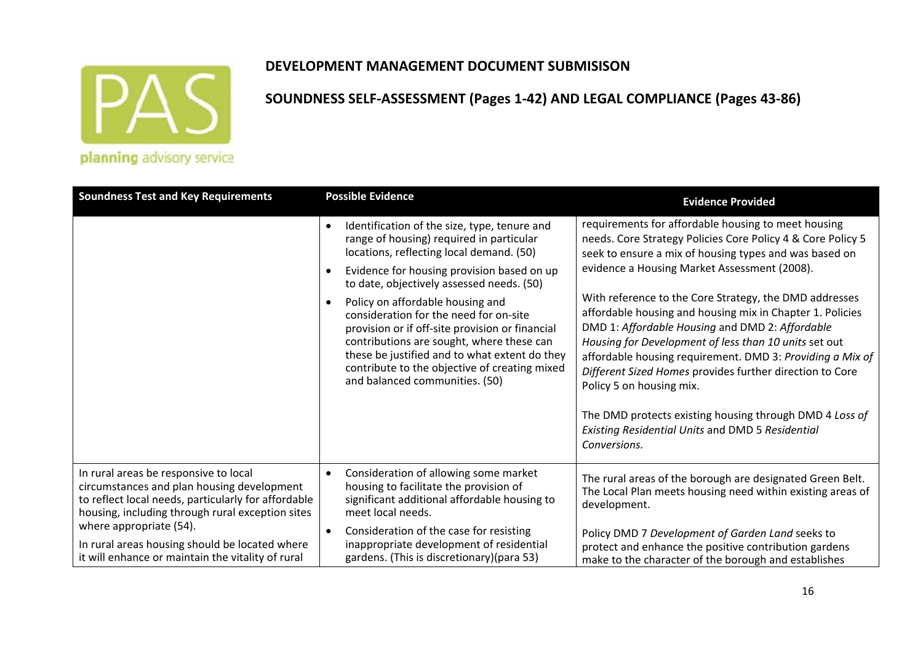

### **DEVELOPMENT MANAGEMENT DOCUMENT SUBMISISON**

| <b>Soundness Test and Key Requirements</b>                                                                                                                                                                                                                                                                                       | <b>Possible Evidence</b>                                                                                                                                                                                                                                                                                                                                                                                                                                                                                                                                                                 | <b>Evidence Provided</b>                                                                                                                                                                                                                                                                                                                                                                                                                                                                                                                                                                                                                                                                                                                            |  |
|----------------------------------------------------------------------------------------------------------------------------------------------------------------------------------------------------------------------------------------------------------------------------------------------------------------------------------|------------------------------------------------------------------------------------------------------------------------------------------------------------------------------------------------------------------------------------------------------------------------------------------------------------------------------------------------------------------------------------------------------------------------------------------------------------------------------------------------------------------------------------------------------------------------------------------|-----------------------------------------------------------------------------------------------------------------------------------------------------------------------------------------------------------------------------------------------------------------------------------------------------------------------------------------------------------------------------------------------------------------------------------------------------------------------------------------------------------------------------------------------------------------------------------------------------------------------------------------------------------------------------------------------------------------------------------------------------|--|
|                                                                                                                                                                                                                                                                                                                                  | Identification of the size, type, tenure and<br>$\bullet$<br>range of housing) required in particular<br>locations, reflecting local demand. (50)<br>Evidence for housing provision based on up<br>$\bullet$<br>to date, objectively assessed needs. (50)<br>Policy on affordable housing and<br>$\bullet$<br>consideration for the need for on-site<br>provision or if off-site provision or financial<br>contributions are sought, where these can<br>these be justified and to what extent do they<br>contribute to the objective of creating mixed<br>and balanced communities. (50) | requirements for affordable housing to meet housing<br>needs. Core Strategy Policies Core Policy 4 & Core Policy 5<br>seek to ensure a mix of housing types and was based on<br>evidence a Housing Market Assessment (2008).<br>With reference to the Core Strategy, the DMD addresses<br>affordable housing and housing mix in Chapter 1. Policies<br>DMD 1: Affordable Housing and DMD 2: Affordable<br>Housing for Development of less than 10 units set out<br>affordable housing requirement. DMD 3: Providing a Mix of<br>Different Sized Homes provides further direction to Core<br>Policy 5 on housing mix.<br>The DMD protects existing housing through DMD 4 Loss of<br>Existing Residential Units and DMD 5 Residential<br>Conversions. |  |
| In rural areas be responsive to local<br>circumstances and plan housing development<br>to reflect local needs, particularly for affordable<br>housing, including through rural exception sites<br>where appropriate (54).<br>In rural areas housing should be located where<br>it will enhance or maintain the vitality of rural | Consideration of allowing some market<br>$\bullet$<br>housing to facilitate the provision of<br>significant additional affordable housing to<br>meet local needs.<br>Consideration of the case for resisting<br>$\bullet$<br>inappropriate development of residential<br>gardens. (This is discretionary) (para 53)                                                                                                                                                                                                                                                                      | The rural areas of the borough are designated Green Belt.<br>The Local Plan meets housing need within existing areas of<br>development.<br>Policy DMD 7 Development of Garden Land seeks to<br>protect and enhance the positive contribution gardens<br>make to the character of the borough and establishes                                                                                                                                                                                                                                                                                                                                                                                                                                        |  |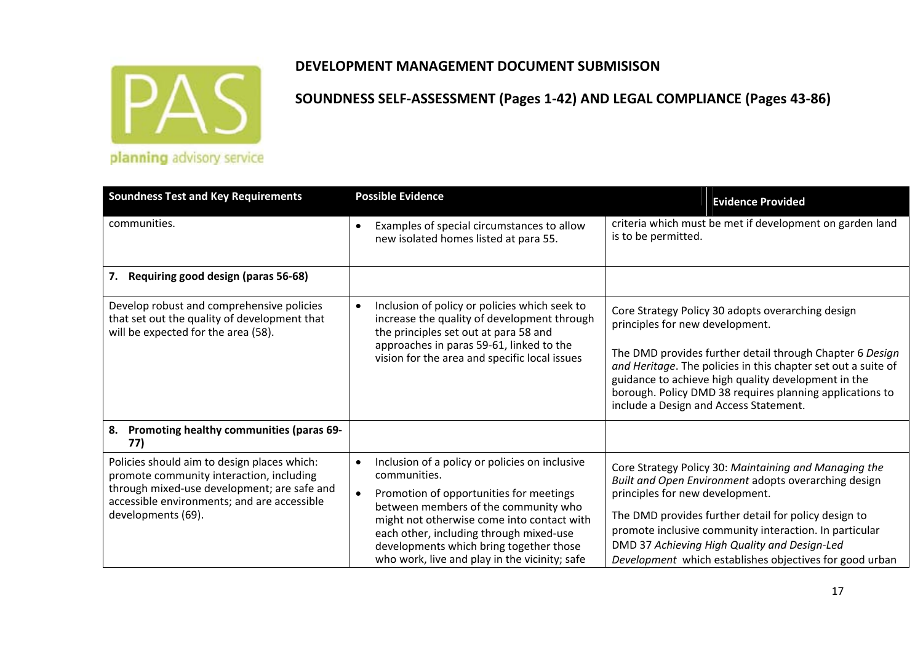

| <b>Soundness Test and Key Requirements</b>                                                                                                                                                                  | <b>Possible Evidence</b>                                                                                                                                                                                                                                                                                                                            | <b>Evidence Provided</b>                                                                                                                                                                                                                                                                                                                                                       |
|-------------------------------------------------------------------------------------------------------------------------------------------------------------------------------------------------------------|-----------------------------------------------------------------------------------------------------------------------------------------------------------------------------------------------------------------------------------------------------------------------------------------------------------------------------------------------------|--------------------------------------------------------------------------------------------------------------------------------------------------------------------------------------------------------------------------------------------------------------------------------------------------------------------------------------------------------------------------------|
| communities.                                                                                                                                                                                                | Examples of special circumstances to allow<br>new isolated homes listed at para 55.                                                                                                                                                                                                                                                                 | criteria which must be met if development on garden land<br>is to be permitted.                                                                                                                                                                                                                                                                                                |
| Requiring good design (paras 56-68)<br>7.                                                                                                                                                                   |                                                                                                                                                                                                                                                                                                                                                     |                                                                                                                                                                                                                                                                                                                                                                                |
| Develop robust and comprehensive policies<br>that set out the quality of development that<br>will be expected for the area (58).                                                                            | Inclusion of policy or policies which seek to<br>increase the quality of development through<br>the principles set out at para 58 and<br>approaches in paras 59-61, linked to the<br>vision for the area and specific local issues                                                                                                                  | Core Strategy Policy 30 adopts overarching design<br>principles for new development.<br>The DMD provides further detail through Chapter 6 Design<br>and Heritage. The policies in this chapter set out a suite of<br>guidance to achieve high quality development in the<br>borough. Policy DMD 38 requires planning applications to<br>include a Design and Access Statement. |
| Promoting healthy communities (paras 69-<br>8.<br>77)                                                                                                                                                       |                                                                                                                                                                                                                                                                                                                                                     |                                                                                                                                                                                                                                                                                                                                                                                |
| Policies should aim to design places which:<br>promote community interaction, including<br>through mixed-use development; are safe and<br>accessible environments; and are accessible<br>developments (69). | Inclusion of a policy or policies on inclusive<br>$\bullet$<br>communities.<br>Promotion of opportunities for meetings<br>between members of the community who<br>might not otherwise come into contact with<br>each other, including through mixed-use<br>developments which bring together those<br>who work, live and play in the vicinity; safe | Core Strategy Policy 30: Maintaining and Managing the<br>Built and Open Environment adopts overarching design<br>principles for new development.<br>The DMD provides further detail for policy design to<br>promote inclusive community interaction. In particular<br>DMD 37 Achieving High Quality and Design-Led<br>Development which establishes objectives for good urban  |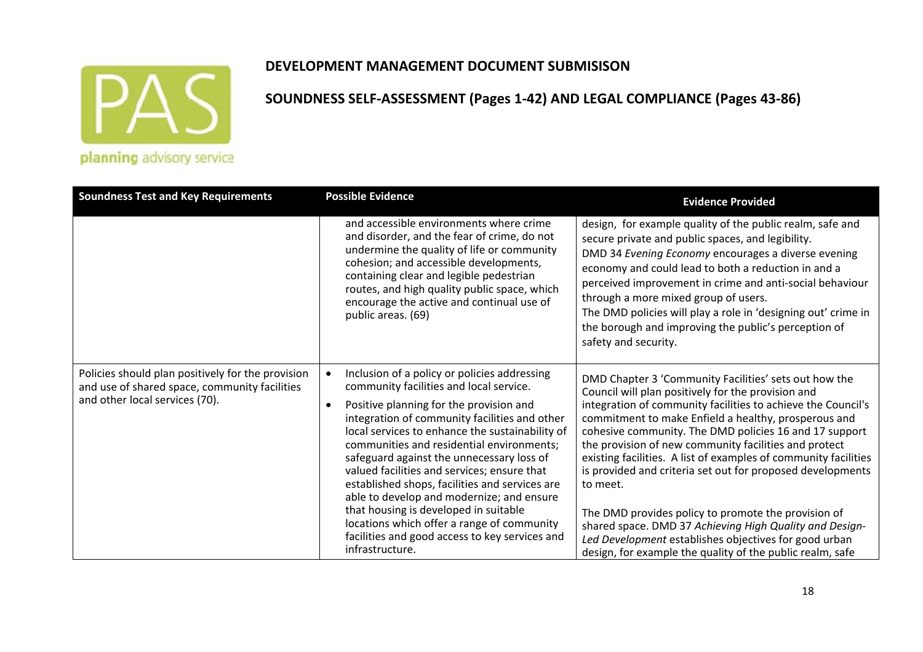

## **SOUNDNESS SELF‐ASSESSMENT (Pages 1‐42) AND LEGAL COMPLIANCE (Pages 43‐86)**

planning advisory service

| <b>Soundness Test and Key Requirements</b>                                                                                           | <b>Possible Evidence</b>                                                                                                                                                                                                                                                                                                                                                                                                                                                                                                                                                                                                                   | <b>Evidence Provided</b>                                                                                                                                                                                                                                                                                                                                                                                                                                                                                                                                                                                                                                                                                                                    |
|--------------------------------------------------------------------------------------------------------------------------------------|--------------------------------------------------------------------------------------------------------------------------------------------------------------------------------------------------------------------------------------------------------------------------------------------------------------------------------------------------------------------------------------------------------------------------------------------------------------------------------------------------------------------------------------------------------------------------------------------------------------------------------------------|---------------------------------------------------------------------------------------------------------------------------------------------------------------------------------------------------------------------------------------------------------------------------------------------------------------------------------------------------------------------------------------------------------------------------------------------------------------------------------------------------------------------------------------------------------------------------------------------------------------------------------------------------------------------------------------------------------------------------------------------|
|                                                                                                                                      | and accessible environments where crime<br>and disorder, and the fear of crime, do not<br>undermine the quality of life or community<br>cohesion; and accessible developments,<br>containing clear and legible pedestrian<br>routes, and high quality public space, which<br>encourage the active and continual use of<br>public areas. (69)                                                                                                                                                                                                                                                                                               | design, for example quality of the public realm, safe and<br>secure private and public spaces, and legibility.<br>DMD 34 Evening Economy encourages a diverse evening<br>economy and could lead to both a reduction in and a<br>perceived improvement in crime and anti-social behaviour<br>through a more mixed group of users.<br>The DMD policies will play a role in 'designing out' crime in<br>the borough and improving the public's perception of<br>safety and security.                                                                                                                                                                                                                                                           |
| Policies should plan positively for the provision<br>and use of shared space, community facilities<br>and other local services (70). | Inclusion of a policy or policies addressing<br>community facilities and local service.<br>Positive planning for the provision and<br>integration of community facilities and other<br>local services to enhance the sustainability of<br>communities and residential environments;<br>safeguard against the unnecessary loss of<br>valued facilities and services; ensure that<br>established shops, facilities and services are<br>able to develop and modernize; and ensure<br>that housing is developed in suitable<br>locations which offer a range of community<br>facilities and good access to key services and<br>infrastructure. | DMD Chapter 3 'Community Facilities' sets out how the<br>Council will plan positively for the provision and<br>integration of community facilities to achieve the Council's<br>commitment to make Enfield a healthy, prosperous and<br>cohesive community. The DMD policies 16 and 17 support<br>the provision of new community facilities and protect<br>existing facilities. A list of examples of community facilities<br>is provided and criteria set out for proposed developments<br>to meet.<br>The DMD provides policy to promote the provision of<br>shared space. DMD 37 Achieving High Quality and Design-<br>Led Development establishes objectives for good urban<br>design, for example the quality of the public realm, safe |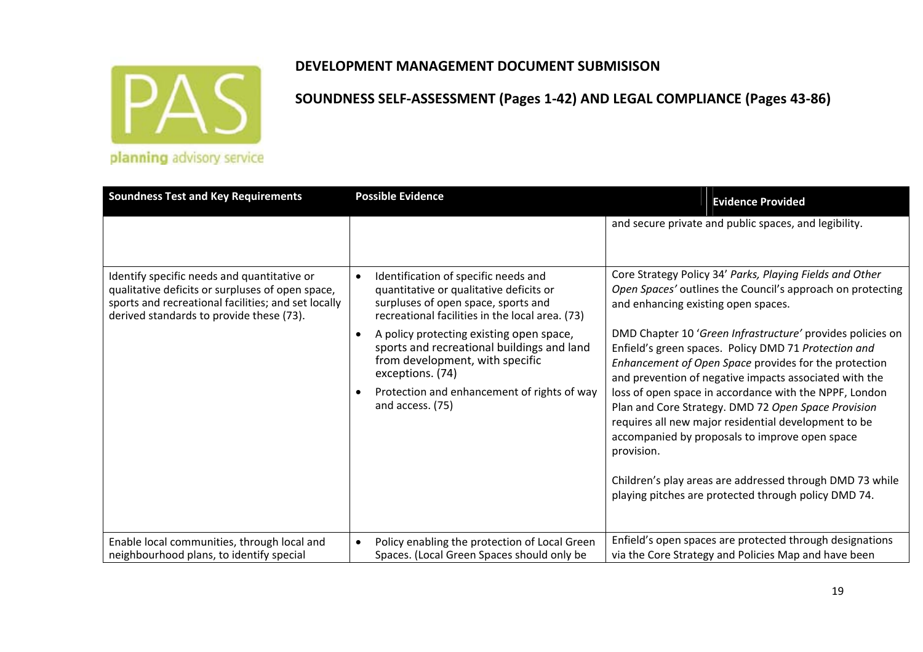

| <b>Soundness Test and Key Requirements</b>                                                                                                                                                         | <b>Possible Evidence</b>                                                                                                                                                               | <b>Evidence Provided</b>                                                                                                                                                                                                              |
|----------------------------------------------------------------------------------------------------------------------------------------------------------------------------------------------------|----------------------------------------------------------------------------------------------------------------------------------------------------------------------------------------|---------------------------------------------------------------------------------------------------------------------------------------------------------------------------------------------------------------------------------------|
|                                                                                                                                                                                                    |                                                                                                                                                                                        | and secure private and public spaces, and legibility.                                                                                                                                                                                 |
| Identify specific needs and quantitative or<br>qualitative deficits or surpluses of open space,<br>sports and recreational facilities; and set locally<br>derived standards to provide these (73). | Identification of specific needs and<br>$\bullet$<br>quantitative or qualitative deficits or<br>surpluses of open space, sports and<br>recreational facilities in the local area. (73) | Core Strategy Policy 34' Parks, Playing Fields and Other<br>Open Spaces' outlines the Council's approach on protecting<br>and enhancing existing open spaces.                                                                         |
|                                                                                                                                                                                                    | A policy protecting existing open space,<br>$\bullet$<br>sports and recreational buildings and land<br>from development, with specific<br>exceptions. (74)                             | DMD Chapter 10 'Green Infrastructure' provides policies on<br>Enfield's green spaces. Policy DMD 71 Protection and<br>Enhancement of Open Space provides for the protection<br>and prevention of negative impacts associated with the |
|                                                                                                                                                                                                    | Protection and enhancement of rights of way<br>and access. (75)                                                                                                                        | loss of open space in accordance with the NPPF, London<br>Plan and Core Strategy. DMD 72 Open Space Provision<br>requires all new major residential development to be<br>accompanied by proposals to improve open space<br>provision. |
|                                                                                                                                                                                                    |                                                                                                                                                                                        | Children's play areas are addressed through DMD 73 while<br>playing pitches are protected through policy DMD 74.                                                                                                                      |
| Enable local communities, through local and<br>neighbourhood plans, to identify special                                                                                                            | Policy enabling the protection of Local Green<br>Spaces. (Local Green Spaces should only be                                                                                            | Enfield's open spaces are protected through designations<br>via the Core Strategy and Policies Map and have been                                                                                                                      |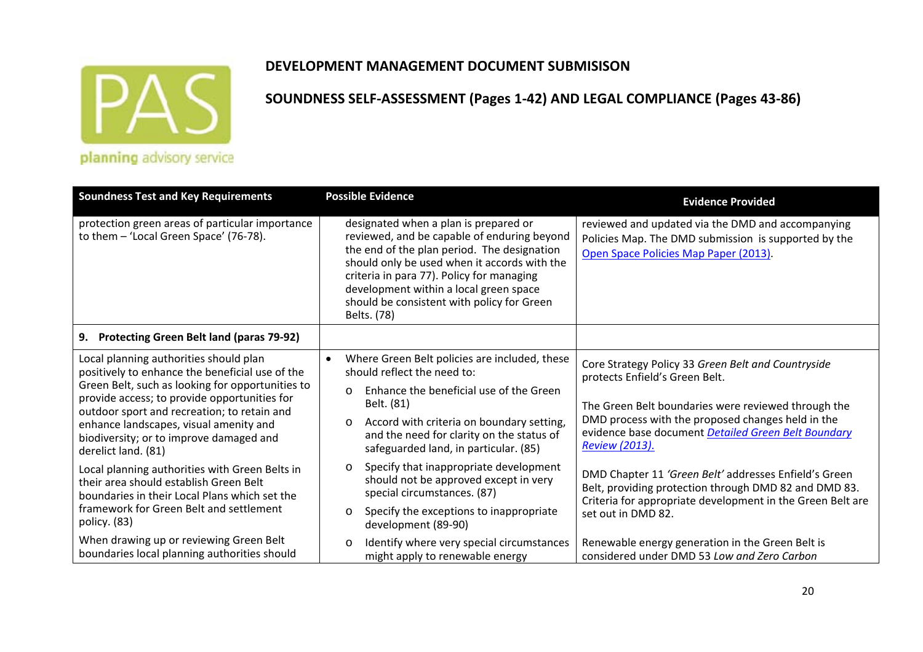

### **DEVELOPMENT MANAGEMENT DOCUMENT SUBMISISON**

| <b>Soundness Test and Key Requirements</b>                                                                                                                                                                                                                                                                                                               | <b>Possible Evidence</b>                                                                                                                                                                                                                                                                                                                | <b>Evidence Provided</b>                                                                                                                                                                                                                                                         |
|----------------------------------------------------------------------------------------------------------------------------------------------------------------------------------------------------------------------------------------------------------------------------------------------------------------------------------------------------------|-----------------------------------------------------------------------------------------------------------------------------------------------------------------------------------------------------------------------------------------------------------------------------------------------------------------------------------------|----------------------------------------------------------------------------------------------------------------------------------------------------------------------------------------------------------------------------------------------------------------------------------|
| protection green areas of particular importance<br>to them - 'Local Green Space' (76-78).                                                                                                                                                                                                                                                                | designated when a plan is prepared or<br>reviewed, and be capable of enduring beyond<br>the end of the plan period. The designation<br>should only be used when it accords with the<br>criteria in para 77). Policy for managing<br>development within a local green space<br>should be consistent with policy for Green<br>Belts. (78) | reviewed and updated via the DMD and accompanying<br>Policies Map. The DMD submission is supported by the<br>Open Space Policies Map Paper (2013).                                                                                                                               |
| 9. Protecting Green Belt land (paras 79-92)                                                                                                                                                                                                                                                                                                              |                                                                                                                                                                                                                                                                                                                                         |                                                                                                                                                                                                                                                                                  |
| Local planning authorities should plan<br>positively to enhance the beneficial use of the<br>Green Belt, such as looking for opportunities to<br>provide access; to provide opportunities for<br>outdoor sport and recreation; to retain and<br>enhance landscapes, visual amenity and<br>biodiversity; or to improve damaged and<br>derelict land. (81) | Where Green Belt policies are included, these<br>$\bullet$<br>should reflect the need to:<br>Enhance the beneficial use of the Green<br>$\circ$<br>Belt. (81)<br>Accord with criteria on boundary setting,<br>$\circ$<br>and the need for clarity on the status of<br>safeguarded land, in particular. (85)                             | Core Strategy Policy 33 Green Belt and Countryside<br>protects Enfield's Green Belt.<br>The Green Belt boundaries were reviewed through the<br>DMD process with the proposed changes held in the<br>evidence base document Detailed Green Belt Boundary<br><b>Review (2013).</b> |
| Local planning authorities with Green Belts in<br>their area should establish Green Belt<br>boundaries in their Local Plans which set the<br>framework for Green Belt and settlement<br>policy. (83)                                                                                                                                                     | Specify that inappropriate development<br>$\circ$<br>should not be approved except in very<br>special circumstances. (87)<br>Specify the exceptions to inappropriate<br>$\circ$<br>development (89-90)                                                                                                                                  | DMD Chapter 11 'Green Belt' addresses Enfield's Green<br>Belt, providing protection through DMD 82 and DMD 83.<br>Criteria for appropriate development in the Green Belt are<br>set out in DMD 82.                                                                               |
| When drawing up or reviewing Green Belt<br>boundaries local planning authorities should                                                                                                                                                                                                                                                                  | Identify where very special circumstances<br>$\circ$<br>might apply to renewable energy                                                                                                                                                                                                                                                 | Renewable energy generation in the Green Belt is<br>considered under DMD 53 Low and Zero Carbon                                                                                                                                                                                  |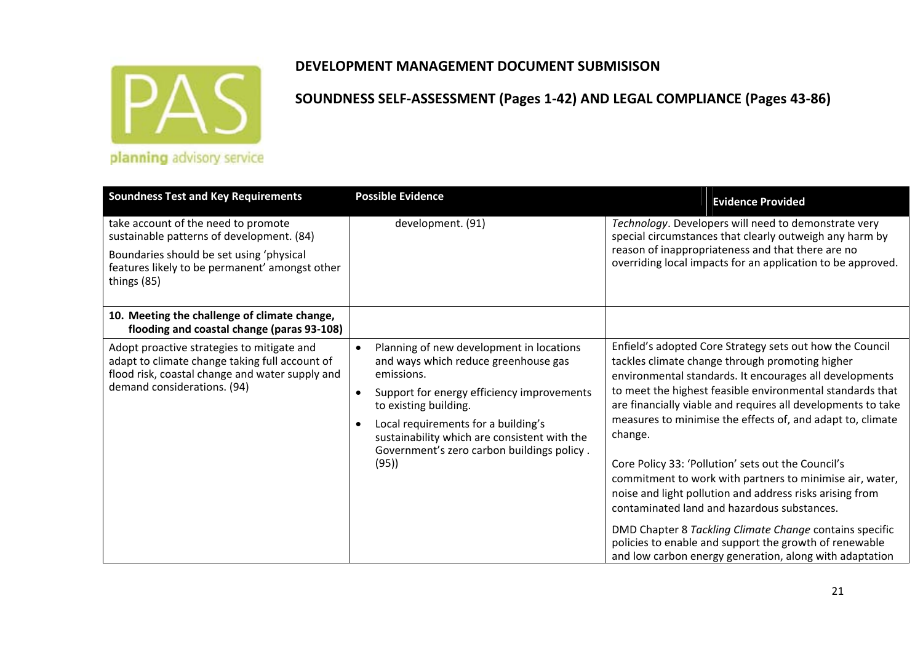

| <b>Soundness Test and Key Requirements</b>                                                                                                                                     | <b>Possible Evidence</b>                                                                                                                                                                                                                                                                                           | <b>Evidence Provided</b>                                                                                                                                                                                                                                                                                                                                                                                                                                                                                                                                                                                                                                                                                                                                                                  |
|--------------------------------------------------------------------------------------------------------------------------------------------------------------------------------|--------------------------------------------------------------------------------------------------------------------------------------------------------------------------------------------------------------------------------------------------------------------------------------------------------------------|-------------------------------------------------------------------------------------------------------------------------------------------------------------------------------------------------------------------------------------------------------------------------------------------------------------------------------------------------------------------------------------------------------------------------------------------------------------------------------------------------------------------------------------------------------------------------------------------------------------------------------------------------------------------------------------------------------------------------------------------------------------------------------------------|
| take account of the need to promote<br>sustainable patterns of development. (84)                                                                                               | development. (91)                                                                                                                                                                                                                                                                                                  | Technology. Developers will need to demonstrate very<br>special circumstances that clearly outweigh any harm by                                                                                                                                                                                                                                                                                                                                                                                                                                                                                                                                                                                                                                                                           |
| Boundaries should be set using 'physical<br>features likely to be permanent' amongst other<br>things (85)                                                                      |                                                                                                                                                                                                                                                                                                                    | reason of inappropriateness and that there are no<br>overriding local impacts for an application to be approved.                                                                                                                                                                                                                                                                                                                                                                                                                                                                                                                                                                                                                                                                          |
| 10. Meeting the challenge of climate change,<br>flooding and coastal change (paras 93-108)                                                                                     |                                                                                                                                                                                                                                                                                                                    |                                                                                                                                                                                                                                                                                                                                                                                                                                                                                                                                                                                                                                                                                                                                                                                           |
| Adopt proactive strategies to mitigate and<br>adapt to climate change taking full account of<br>flood risk, coastal change and water supply and<br>demand considerations. (94) | Planning of new development in locations<br>and ways which reduce greenhouse gas<br>emissions.<br>Support for energy efficiency improvements<br>to existing building.<br>Local requirements for a building's<br>sustainability which are consistent with the<br>Government's zero carbon buildings policy.<br>(95) | Enfield's adopted Core Strategy sets out how the Council<br>tackles climate change through promoting higher<br>environmental standards. It encourages all developments<br>to meet the highest feasible environmental standards that<br>are financially viable and requires all developments to take<br>measures to minimise the effects of, and adapt to, climate<br>change.<br>Core Policy 33: 'Pollution' sets out the Council's<br>commitment to work with partners to minimise air, water,<br>noise and light pollution and address risks arising from<br>contaminated land and hazardous substances.<br>DMD Chapter 8 Tackling Climate Change contains specific<br>policies to enable and support the growth of renewable<br>and low carbon energy generation, along with adaptation |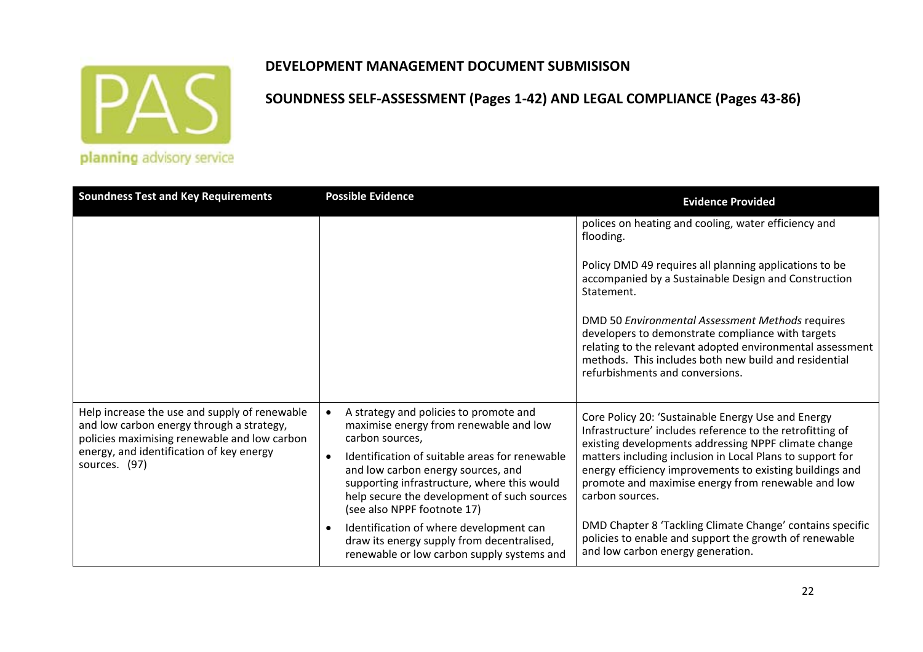

### **DEVELOPMENT MANAGEMENT DOCUMENT SUBMISISON**

| <b>Soundness Test and Key Requirements</b>                                                                                                                                                              | <b>Possible Evidence</b>                                                                                                                                                                                                                                                                                                 | <b>Evidence Provided</b>                                                                                                                                                                                                                                                                                                                                                  |
|---------------------------------------------------------------------------------------------------------------------------------------------------------------------------------------------------------|--------------------------------------------------------------------------------------------------------------------------------------------------------------------------------------------------------------------------------------------------------------------------------------------------------------------------|---------------------------------------------------------------------------------------------------------------------------------------------------------------------------------------------------------------------------------------------------------------------------------------------------------------------------------------------------------------------------|
|                                                                                                                                                                                                         |                                                                                                                                                                                                                                                                                                                          | polices on heating and cooling, water efficiency and<br>flooding.                                                                                                                                                                                                                                                                                                         |
|                                                                                                                                                                                                         |                                                                                                                                                                                                                                                                                                                          | Policy DMD 49 requires all planning applications to be<br>accompanied by a Sustainable Design and Construction<br>Statement.                                                                                                                                                                                                                                              |
|                                                                                                                                                                                                         |                                                                                                                                                                                                                                                                                                                          | DMD 50 Environmental Assessment Methods requires<br>developers to demonstrate compliance with targets<br>relating to the relevant adopted environmental assessment<br>methods. This includes both new build and residential<br>refurbishments and conversions.                                                                                                            |
| Help increase the use and supply of renewable<br>and low carbon energy through a strategy,<br>policies maximising renewable and low carbon<br>energy, and identification of key energy<br>sources. (97) | A strategy and policies to promote and<br>maximise energy from renewable and low<br>carbon sources,<br>Identification of suitable areas for renewable<br>and low carbon energy sources, and<br>supporting infrastructure, where this would<br>help secure the development of such sources<br>(see also NPPF footnote 17) | Core Policy 20: 'Sustainable Energy Use and Energy<br>Infrastructure' includes reference to the retrofitting of<br>existing developments addressing NPPF climate change<br>matters including inclusion in Local Plans to support for<br>energy efficiency improvements to existing buildings and<br>promote and maximise energy from renewable and low<br>carbon sources. |
|                                                                                                                                                                                                         | Identification of where development can<br>draw its energy supply from decentralised,<br>renewable or low carbon supply systems and                                                                                                                                                                                      | DMD Chapter 8 'Tackling Climate Change' contains specific<br>policies to enable and support the growth of renewable<br>and low carbon energy generation.                                                                                                                                                                                                                  |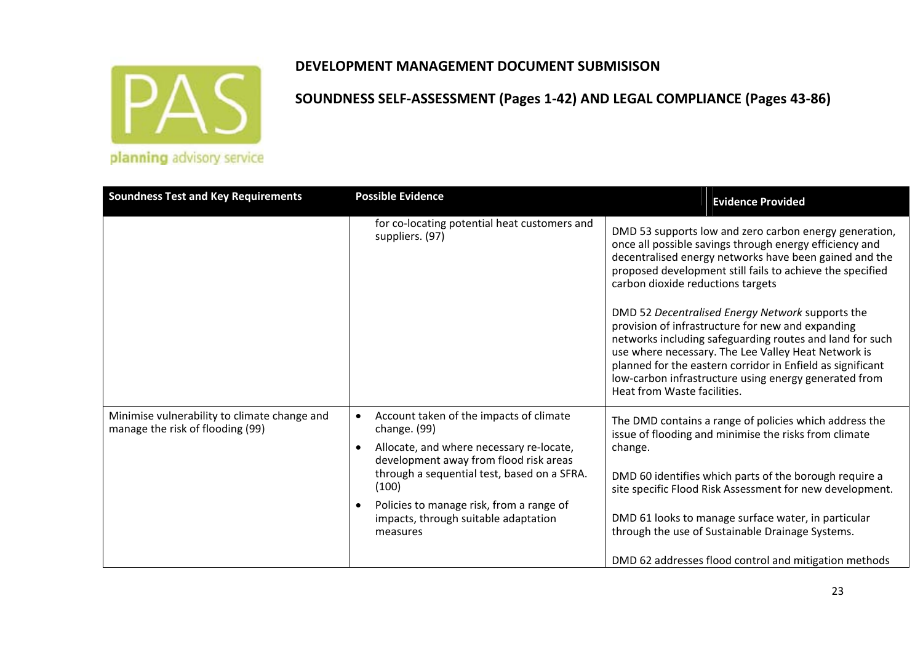

|  | planning advisory service |
|--|---------------------------|

| <b>Soundness Test and Key Requirements</b>                                       | <b>Possible Evidence</b>                                                                                                                                                                                                                                                                              | <b>Evidence Provided</b>                                                                                                                                                                                                                                                                                                                                                       |
|----------------------------------------------------------------------------------|-------------------------------------------------------------------------------------------------------------------------------------------------------------------------------------------------------------------------------------------------------------------------------------------------------|--------------------------------------------------------------------------------------------------------------------------------------------------------------------------------------------------------------------------------------------------------------------------------------------------------------------------------------------------------------------------------|
|                                                                                  | for co-locating potential heat customers and<br>suppliers. (97)                                                                                                                                                                                                                                       | DMD 53 supports low and zero carbon energy generation,<br>once all possible savings through energy efficiency and<br>decentralised energy networks have been gained and the<br>proposed development still fails to achieve the specified<br>carbon dioxide reductions targets                                                                                                  |
|                                                                                  |                                                                                                                                                                                                                                                                                                       | DMD 52 Decentralised Energy Network supports the<br>provision of infrastructure for new and expanding<br>networks including safeguarding routes and land for such<br>use where necessary. The Lee Valley Heat Network is<br>planned for the eastern corridor in Enfield as significant<br>low-carbon infrastructure using energy generated from<br>Heat from Waste facilities. |
| Minimise vulnerability to climate change and<br>manage the risk of flooding (99) | Account taken of the impacts of climate<br>change. (99)<br>Allocate, and where necessary re-locate,<br>development away from flood risk areas<br>through a sequential test, based on a SFRA.<br>(100)<br>Policies to manage risk, from a range of<br>impacts, through suitable adaptation<br>measures | The DMD contains a range of policies which address the<br>issue of flooding and minimise the risks from climate<br>change.<br>DMD 60 identifies which parts of the borough require a<br>site specific Flood Risk Assessment for new development.<br>DMD 61 looks to manage surface water, in particular<br>through the use of Sustainable Drainage Systems.                    |
|                                                                                  |                                                                                                                                                                                                                                                                                                       | DMD 62 addresses flood control and mitigation methods                                                                                                                                                                                                                                                                                                                          |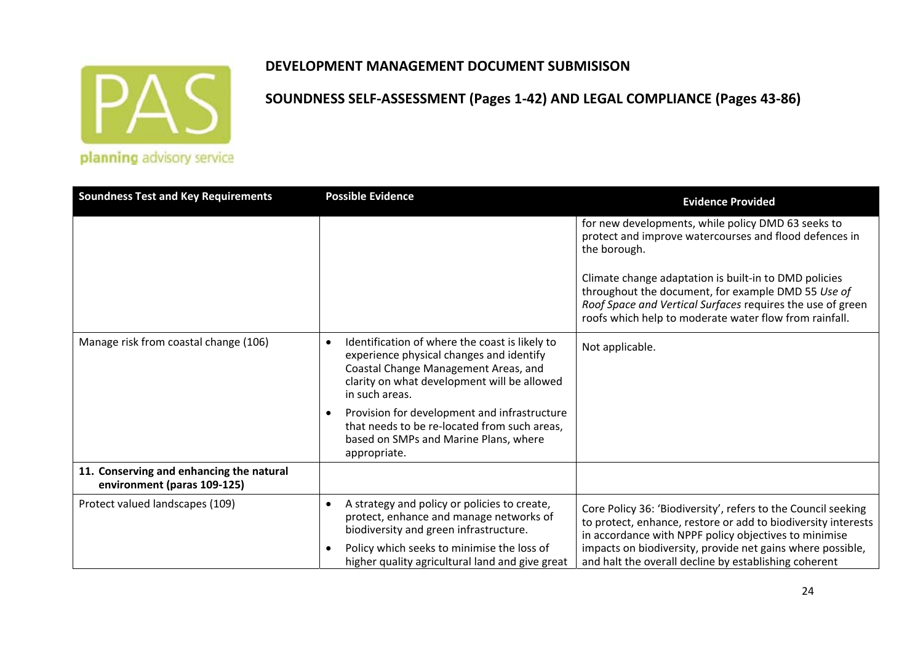

### **DEVELOPMENT MANAGEMENT DOCUMENT SUBMISISON**

| <b>Soundness Test and Key Requirements</b>                              | <b>Possible Evidence</b>                                                                                                                                                                                                                                                                                                                                                  | <b>Evidence Provided</b>                                                                                                                                                                                                                                                                                                                                            |
|-------------------------------------------------------------------------|---------------------------------------------------------------------------------------------------------------------------------------------------------------------------------------------------------------------------------------------------------------------------------------------------------------------------------------------------------------------------|---------------------------------------------------------------------------------------------------------------------------------------------------------------------------------------------------------------------------------------------------------------------------------------------------------------------------------------------------------------------|
|                                                                         |                                                                                                                                                                                                                                                                                                                                                                           | for new developments, while policy DMD 63 seeks to<br>protect and improve watercourses and flood defences in<br>the borough.<br>Climate change adaptation is built-in to DMD policies<br>throughout the document, for example DMD 55 Use of<br>Roof Space and Vertical Surfaces requires the use of green<br>roofs which help to moderate water flow from rainfall. |
| Manage risk from coastal change (106)                                   | Identification of where the coast is likely to<br>$\bullet$<br>experience physical changes and identify<br>Coastal Change Management Areas, and<br>clarity on what development will be allowed<br>in such areas.<br>Provision for development and infrastructure<br>that needs to be re-located from such areas,<br>based on SMPs and Marine Plans, where<br>appropriate. | Not applicable.                                                                                                                                                                                                                                                                                                                                                     |
| 11. Conserving and enhancing the natural<br>environment (paras 109-125) |                                                                                                                                                                                                                                                                                                                                                                           |                                                                                                                                                                                                                                                                                                                                                                     |
| Protect valued landscapes (109)                                         | A strategy and policy or policies to create,<br>protect, enhance and manage networks of<br>biodiversity and green infrastructure.<br>Policy which seeks to minimise the loss of<br>higher quality agricultural land and give great                                                                                                                                        | Core Policy 36: 'Biodiversity', refers to the Council seeking<br>to protect, enhance, restore or add to biodiversity interests<br>in accordance with NPPF policy objectives to minimise<br>impacts on biodiversity, provide net gains where possible,<br>and halt the overall decline by establishing coherent                                                      |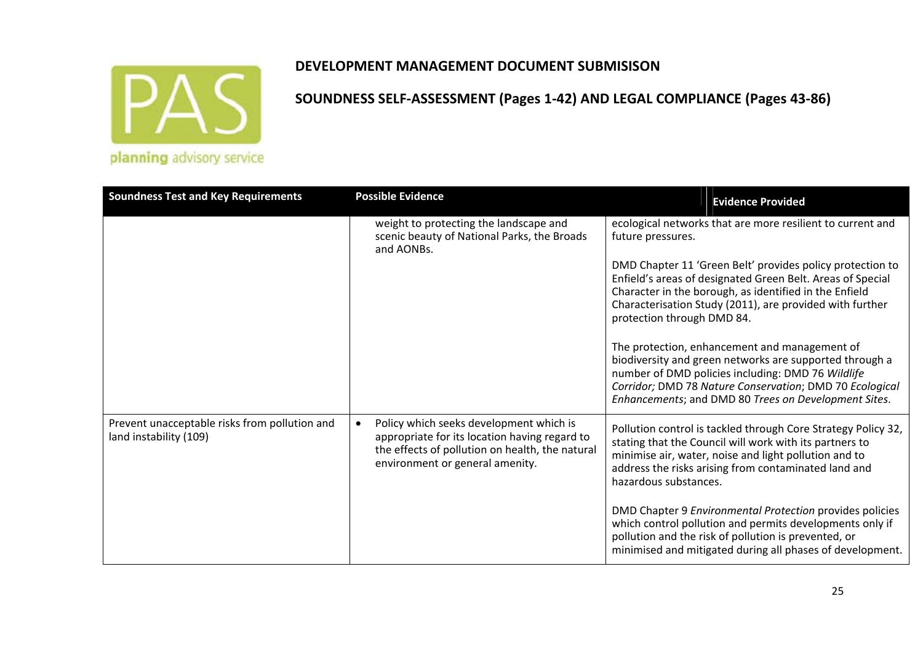

| <b>Soundness Test and Key Requirements</b>                              | <b>Possible Evidence</b>                                                                                                                                                       | <b>Evidence Provided</b>                                                                                                                                                                                                                                                         |
|-------------------------------------------------------------------------|--------------------------------------------------------------------------------------------------------------------------------------------------------------------------------|----------------------------------------------------------------------------------------------------------------------------------------------------------------------------------------------------------------------------------------------------------------------------------|
|                                                                         | weight to protecting the landscape and<br>scenic beauty of National Parks, the Broads<br>and AONBs.                                                                            | ecological networks that are more resilient to current and<br>future pressures.                                                                                                                                                                                                  |
|                                                                         |                                                                                                                                                                                | DMD Chapter 11 'Green Belt' provides policy protection to<br>Enfield's areas of designated Green Belt. Areas of Special<br>Character in the borough, as identified in the Enfield<br>Characterisation Study (2011), are provided with further<br>protection through DMD 84.      |
|                                                                         |                                                                                                                                                                                | The protection, enhancement and management of<br>biodiversity and green networks are supported through a<br>number of DMD policies including: DMD 76 Wildlife<br>Corridor; DMD 78 Nature Conservation; DMD 70 Ecological<br>Enhancements; and DMD 80 Trees on Development Sites. |
| Prevent unacceptable risks from pollution and<br>land instability (109) | Policy which seeks development which is<br>appropriate for its location having regard to<br>the effects of pollution on health, the natural<br>environment or general amenity. | Pollution control is tackled through Core Strategy Policy 32,<br>stating that the Council will work with its partners to<br>minimise air, water, noise and light pollution and to<br>address the risks arising from contaminated land and<br>hazardous substances.               |
|                                                                         |                                                                                                                                                                                | DMD Chapter 9 Environmental Protection provides policies<br>which control pollution and permits developments only if<br>pollution and the risk of pollution is prevented, or<br>minimised and mitigated during all phases of development.                                        |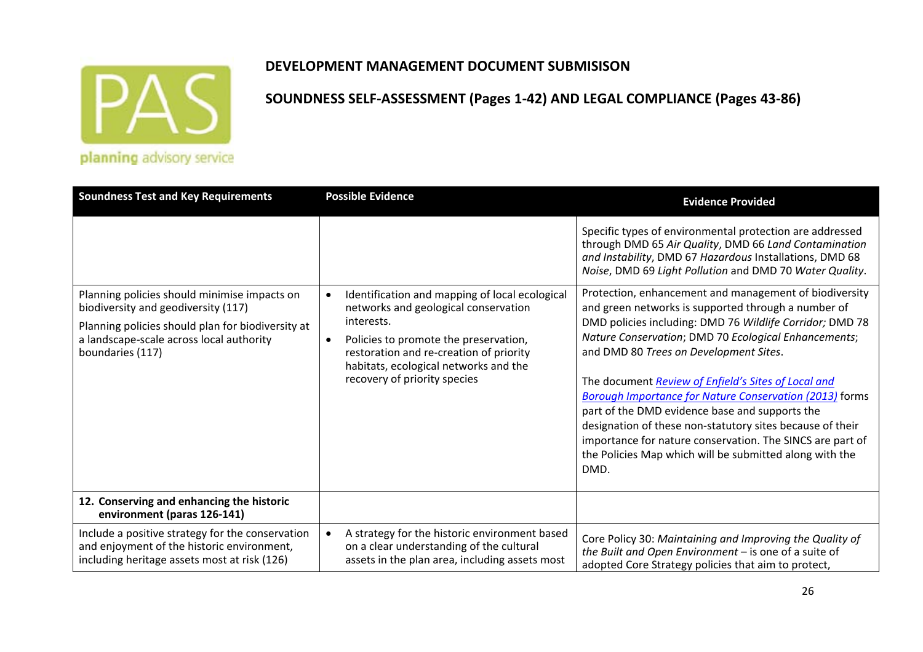

### **DEVELOPMENT MANAGEMENT DOCUMENT SUBMISISON**

| <b>Soundness Test and Key Requirements</b>                                                                                                                                                               | <b>Possible Evidence</b>                                                                                                                                                                                                                                          | <b>Evidence Provided</b>                                                                                                                                                                                                                                                                                                                                                                                                                                                                                                                                                                                                                            |
|----------------------------------------------------------------------------------------------------------------------------------------------------------------------------------------------------------|-------------------------------------------------------------------------------------------------------------------------------------------------------------------------------------------------------------------------------------------------------------------|-----------------------------------------------------------------------------------------------------------------------------------------------------------------------------------------------------------------------------------------------------------------------------------------------------------------------------------------------------------------------------------------------------------------------------------------------------------------------------------------------------------------------------------------------------------------------------------------------------------------------------------------------------|
|                                                                                                                                                                                                          |                                                                                                                                                                                                                                                                   | Specific types of environmental protection are addressed<br>through DMD 65 Air Quality, DMD 66 Land Contamination<br>and Instability, DMD 67 Hazardous Installations, DMD 68<br>Noise, DMD 69 Light Pollution and DMD 70 Water Quality.                                                                                                                                                                                                                                                                                                                                                                                                             |
| Planning policies should minimise impacts on<br>biodiversity and geodiversity (117)<br>Planning policies should plan for biodiversity at<br>a landscape-scale across local authority<br>boundaries (117) | Identification and mapping of local ecological<br>networks and geological conservation<br>interests.<br>Policies to promote the preservation,<br>restoration and re-creation of priority<br>habitats, ecological networks and the<br>recovery of priority species | Protection, enhancement and management of biodiversity<br>and green networks is supported through a number of<br>DMD policies including: DMD 76 Wildlife Corridor; DMD 78<br>Nature Conservation; DMD 70 Ecological Enhancements;<br>and DMD 80 Trees on Development Sites.<br>The document Review of Enfield's Sites of Local and<br><b>Borough Importance for Nature Conservation (2013) forms</b><br>part of the DMD evidence base and supports the<br>designation of these non-statutory sites because of their<br>importance for nature conservation. The SINCS are part of<br>the Policies Map which will be submitted along with the<br>DMD. |
| 12. Conserving and enhancing the historic<br>environment (paras 126-141)                                                                                                                                 |                                                                                                                                                                                                                                                                   |                                                                                                                                                                                                                                                                                                                                                                                                                                                                                                                                                                                                                                                     |
| Include a positive strategy for the conservation<br>and enjoyment of the historic environment,<br>including heritage assets most at risk (126)                                                           | A strategy for the historic environment based<br>on a clear understanding of the cultural<br>assets in the plan area, including assets most                                                                                                                       | Core Policy 30: Maintaining and Improving the Quality of<br>the Built and Open Environment - is one of a suite of<br>adopted Core Strategy policies that aim to protect,                                                                                                                                                                                                                                                                                                                                                                                                                                                                            |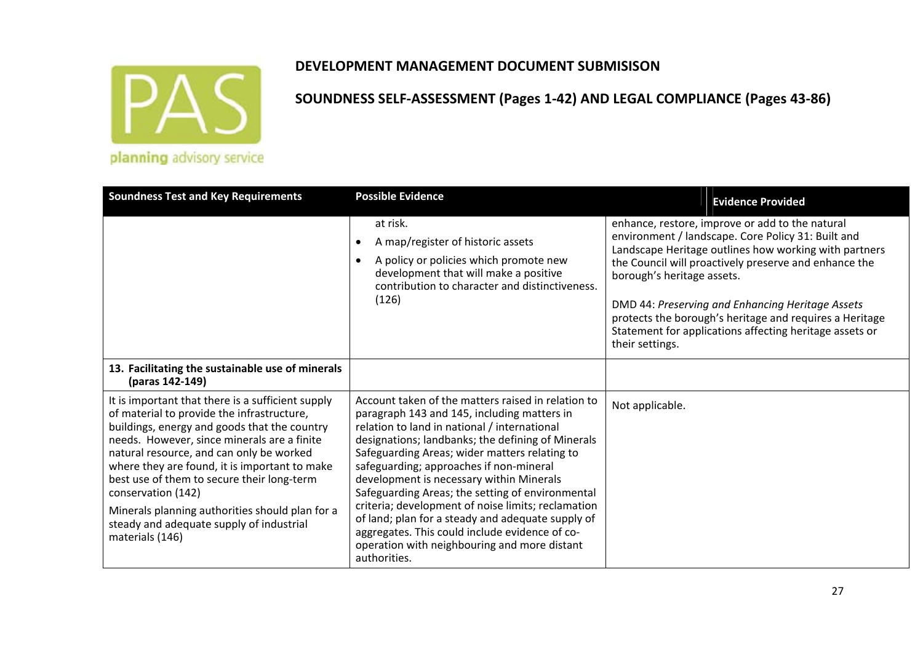

| <b>Soundness Test and Key Requirements</b>                                                                                                                                                                                                                                                                                                                                                                                                                                        | <b>Possible Evidence</b>                                                                                                                                                                                                                                                                                                                                                                                                                                                                                                                                                                                                        | <b>Evidence Provided</b>                                                                                                                                                                                                                                                                                                                                                                                                                           |
|-----------------------------------------------------------------------------------------------------------------------------------------------------------------------------------------------------------------------------------------------------------------------------------------------------------------------------------------------------------------------------------------------------------------------------------------------------------------------------------|---------------------------------------------------------------------------------------------------------------------------------------------------------------------------------------------------------------------------------------------------------------------------------------------------------------------------------------------------------------------------------------------------------------------------------------------------------------------------------------------------------------------------------------------------------------------------------------------------------------------------------|----------------------------------------------------------------------------------------------------------------------------------------------------------------------------------------------------------------------------------------------------------------------------------------------------------------------------------------------------------------------------------------------------------------------------------------------------|
|                                                                                                                                                                                                                                                                                                                                                                                                                                                                                   | at risk.<br>A map/register of historic assets<br>A policy or policies which promote new<br>$\bullet$<br>development that will make a positive<br>contribution to character and distinctiveness.<br>(126)                                                                                                                                                                                                                                                                                                                                                                                                                        | enhance, restore, improve or add to the natural<br>environment / landscape. Core Policy 31: Built and<br>Landscape Heritage outlines how working with partners<br>the Council will proactively preserve and enhance the<br>borough's heritage assets.<br>DMD 44: Preserving and Enhancing Heritage Assets<br>protects the borough's heritage and requires a Heritage<br>Statement for applications affecting heritage assets or<br>their settings. |
| 13. Facilitating the sustainable use of minerals<br>(paras 142-149)                                                                                                                                                                                                                                                                                                                                                                                                               |                                                                                                                                                                                                                                                                                                                                                                                                                                                                                                                                                                                                                                 |                                                                                                                                                                                                                                                                                                                                                                                                                                                    |
| It is important that there is a sufficient supply<br>of material to provide the infrastructure,<br>buildings, energy and goods that the country<br>needs. However, since minerals are a finite<br>natural resource, and can only be worked<br>where they are found, it is important to make<br>best use of them to secure their long-term<br>conservation (142)<br>Minerals planning authorities should plan for a<br>steady and adequate supply of industrial<br>materials (146) | Account taken of the matters raised in relation to<br>paragraph 143 and 145, including matters in<br>relation to land in national / international<br>designations; landbanks; the defining of Minerals<br>Safeguarding Areas; wider matters relating to<br>safeguarding; approaches if non-mineral<br>development is necessary within Minerals<br>Safeguarding Areas; the setting of environmental<br>criteria; development of noise limits; reclamation<br>of land; plan for a steady and adequate supply of<br>aggregates. This could include evidence of co-<br>operation with neighbouring and more distant<br>authorities. | Not applicable.                                                                                                                                                                                                                                                                                                                                                                                                                                    |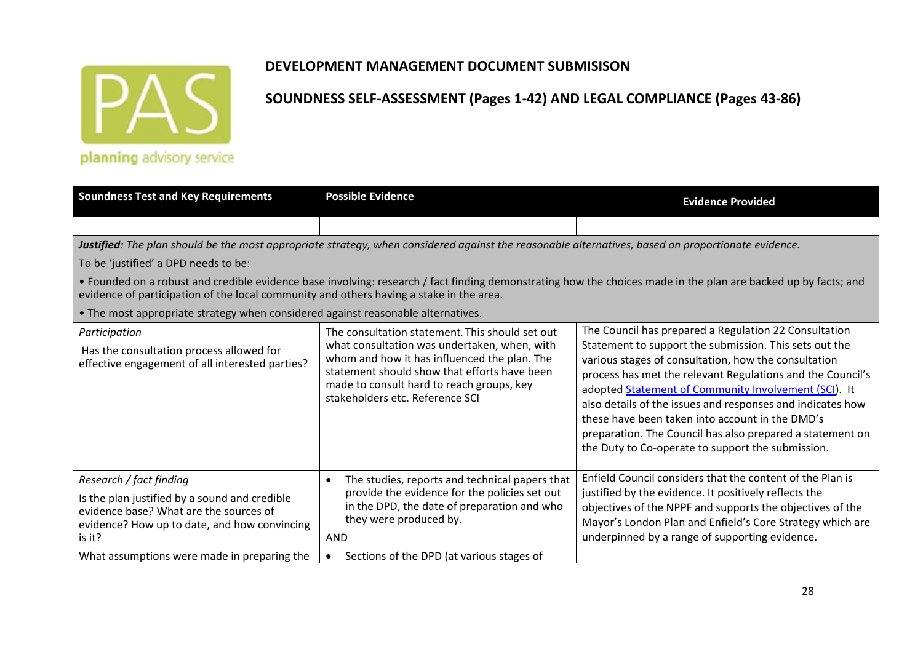

**SOUNDNESS SELF‐ASSESSMENT (Pages 1‐42) AND LEGAL COMPLIANCE (Pages 43‐86)**

planning advisory service

| <b>Soundness Test and Key Requirements</b>                                                                                                                                                                                  | <b>Possible Evidence</b>                                                                                                                                                                                                                         | <b>Evidence Provided</b>                                                                                                                                                                                                                                                                                                                                                                                                                                                |
|-----------------------------------------------------------------------------------------------------------------------------------------------------------------------------------------------------------------------------|--------------------------------------------------------------------------------------------------------------------------------------------------------------------------------------------------------------------------------------------------|-------------------------------------------------------------------------------------------------------------------------------------------------------------------------------------------------------------------------------------------------------------------------------------------------------------------------------------------------------------------------------------------------------------------------------------------------------------------------|
|                                                                                                                                                                                                                             |                                                                                                                                                                                                                                                  |                                                                                                                                                                                                                                                                                                                                                                                                                                                                         |
|                                                                                                                                                                                                                             | Justified: The plan should be the most appropriate strategy, when considered against the reasonable alternatives, based on proportionate evidence.                                                                                               |                                                                                                                                                                                                                                                                                                                                                                                                                                                                         |
| To be 'justified' a DPD needs to be:                                                                                                                                                                                        |                                                                                                                                                                                                                                                  |                                                                                                                                                                                                                                                                                                                                                                                                                                                                         |
| evidence of participation of the local community and others having a stake in the area.                                                                                                                                     |                                                                                                                                                                                                                                                  | • Founded on a robust and credible evidence base involving: research / fact finding demonstrating how the choices made in the plan are backed up by facts; and                                                                                                                                                                                                                                                                                                          |
| • The most appropriate strategy when considered against reasonable alternatives.                                                                                                                                            |                                                                                                                                                                                                                                                  |                                                                                                                                                                                                                                                                                                                                                                                                                                                                         |
| Participation                                                                                                                                                                                                               | The consultation statement. This should set out                                                                                                                                                                                                  | The Council has prepared a Regulation 22 Consultation                                                                                                                                                                                                                                                                                                                                                                                                                   |
| Has the consultation process allowed for<br>effective engagement of all interested parties?                                                                                                                                 | what consultation was undertaken, when, with<br>whom and how it has influenced the plan. The<br>statement should show that efforts have been<br>made to consult hard to reach groups, key<br>stakeholders etc. Reference SCI                     | Statement to support the submission. This sets out the<br>various stages of consultation, how the consultation<br>process has met the relevant Regulations and the Council's<br>adopted Statement of Community Involvement (SCI). It<br>also details of the issues and responses and indicates how<br>these have been taken into account in the DMD's<br>preparation. The Council has also prepared a statement on<br>the Duty to Co-operate to support the submission. |
| Research / fact finding<br>Is the plan justified by a sound and credible<br>evidence base? What are the sources of<br>evidence? How up to date, and how convincing<br>is it?<br>What assumptions were made in preparing the | The studies, reports and technical papers that<br>$\bullet$<br>provide the evidence for the policies set out<br>in the DPD, the date of preparation and who<br>they were produced by.<br><b>AND</b><br>Sections of the DPD (at various stages of | Enfield Council considers that the content of the Plan is<br>justified by the evidence. It positively reflects the<br>objectives of the NPPF and supports the objectives of the<br>Mayor's London Plan and Enfield's Core Strategy which are<br>underpinned by a range of supporting evidence.                                                                                                                                                                          |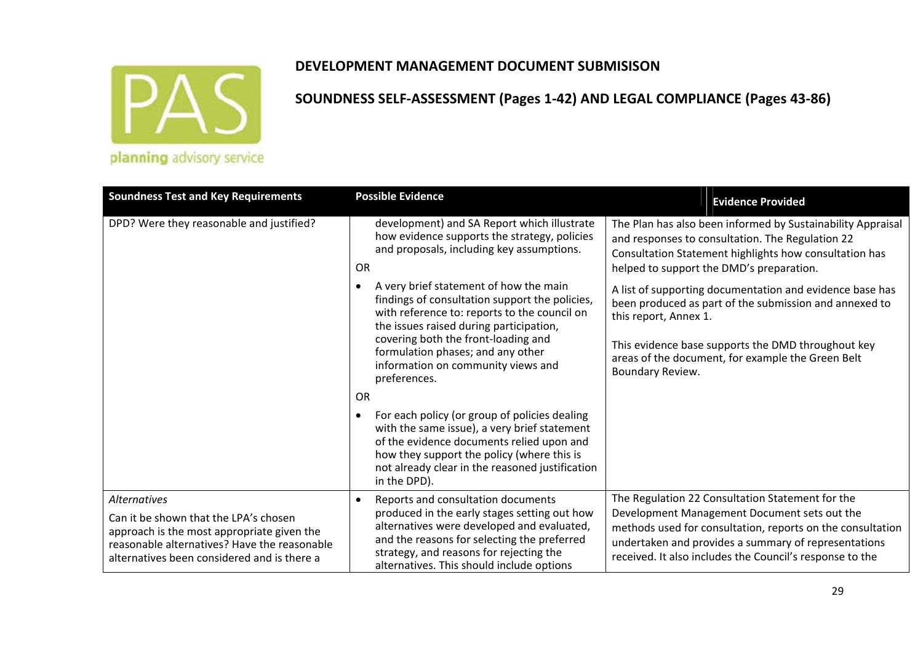

|  |  | planning advisory service |  |
|--|--|---------------------------|--|
|  |  |                           |  |

| <b>Soundness Test and Key Requirements</b>                                                                                                                                                                | <b>Possible Evidence</b>                                                                                                                                                                                                                                                                                              | <b>Evidence Provided</b>                                                                                                                                                                                                                                                           |
|-----------------------------------------------------------------------------------------------------------------------------------------------------------------------------------------------------------|-----------------------------------------------------------------------------------------------------------------------------------------------------------------------------------------------------------------------------------------------------------------------------------------------------------------------|------------------------------------------------------------------------------------------------------------------------------------------------------------------------------------------------------------------------------------------------------------------------------------|
| DPD? Were they reasonable and justified?                                                                                                                                                                  | development) and SA Report which illustrate<br>how evidence supports the strategy, policies<br>and proposals, including key assumptions.<br><b>OR</b>                                                                                                                                                                 | The Plan has also been informed by Sustainability Appraisal<br>and responses to consultation. The Regulation 22<br>Consultation Statement highlights how consultation has<br>helped to support the DMD's preparation.                                                              |
|                                                                                                                                                                                                           | A very brief statement of how the main<br>findings of consultation support the policies,<br>with reference to: reports to the council on<br>the issues raised during participation,<br>covering both the front-loading and<br>formulation phases; and any other<br>information on community views and<br>preferences. | A list of supporting documentation and evidence base has<br>been produced as part of the submission and annexed to<br>this report, Annex 1.<br>This evidence base supports the DMD throughout key<br>areas of the document, for example the Green Belt<br>Boundary Review.         |
|                                                                                                                                                                                                           | <b>OR</b>                                                                                                                                                                                                                                                                                                             |                                                                                                                                                                                                                                                                                    |
|                                                                                                                                                                                                           | For each policy (or group of policies dealing<br>with the same issue), a very brief statement<br>of the evidence documents relied upon and<br>how they support the policy (where this is<br>not already clear in the reasoned justification<br>in the DPD).                                                           |                                                                                                                                                                                                                                                                                    |
| <b>Alternatives</b><br>Can it be shown that the LPA's chosen<br>approach is the most appropriate given the<br>reasonable alternatives? Have the reasonable<br>alternatives been considered and is there a | Reports and consultation documents<br>produced in the early stages setting out how<br>alternatives were developed and evaluated,<br>and the reasons for selecting the preferred<br>strategy, and reasons for rejecting the<br>alternatives. This should include options                                               | The Regulation 22 Consultation Statement for the<br>Development Management Document sets out the<br>methods used for consultation, reports on the consultation<br>undertaken and provides a summary of representations<br>received. It also includes the Council's response to the |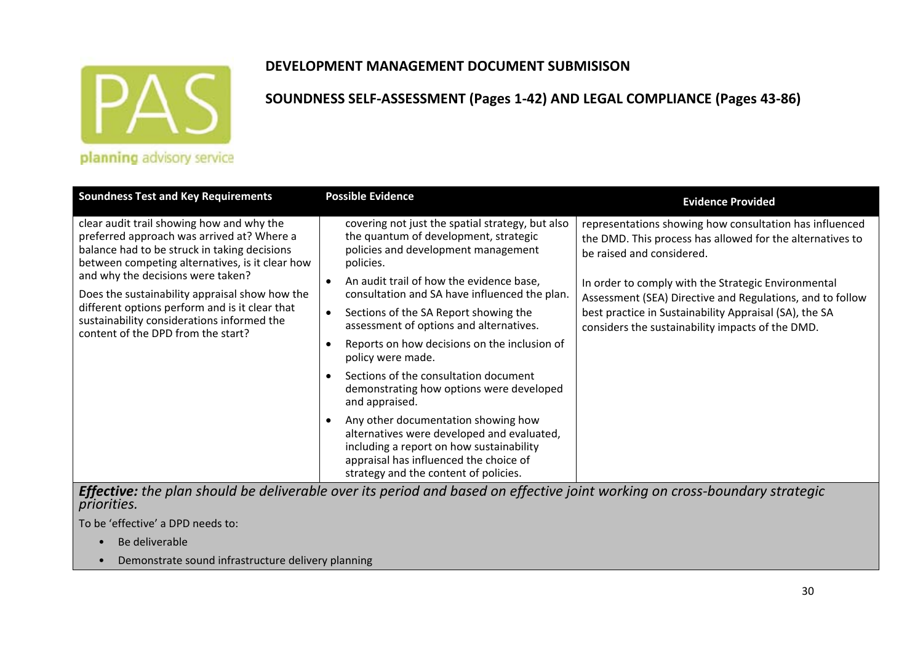

### **DEVELOPMENT MANAGEMENT DOCUMENT SUBMISISON**

### **SOUNDNESS SELF‐ASSESSMENT (Pages 1‐42) AND LEGAL COMPLIANCE (Pages 43‐86)**

| <b>Soundness Test and Key Requirements</b>                                                                                                                                                                                                                                                                                                                                                                              | <b>Possible Evidence</b>                                                                                                                                                                                                                                                                                                                                                                                                                                                                                                                                                                                     | <b>Evidence Provided</b>                                                                                                                                                                                                                                                                                                                                                            |  |  |
|-------------------------------------------------------------------------------------------------------------------------------------------------------------------------------------------------------------------------------------------------------------------------------------------------------------------------------------------------------------------------------------------------------------------------|--------------------------------------------------------------------------------------------------------------------------------------------------------------------------------------------------------------------------------------------------------------------------------------------------------------------------------------------------------------------------------------------------------------------------------------------------------------------------------------------------------------------------------------------------------------------------------------------------------------|-------------------------------------------------------------------------------------------------------------------------------------------------------------------------------------------------------------------------------------------------------------------------------------------------------------------------------------------------------------------------------------|--|--|
| clear audit trail showing how and why the<br>preferred approach was arrived at? Where a<br>balance had to be struck in taking decisions<br>between competing alternatives, is it clear how<br>and why the decisions were taken?<br>Does the sustainability appraisal show how the<br>different options perform and is it clear that<br>sustainability considerations informed the<br>content of the DPD from the start? | covering not just the spatial strategy, but also<br>the quantum of development, strategic<br>policies and development management<br>policies.<br>An audit trail of how the evidence base,<br>consultation and SA have influenced the plan.<br>Sections of the SA Report showing the<br>$\bullet$<br>assessment of options and alternatives.<br>Reports on how decisions on the inclusion of<br>policy were made.<br>Sections of the consultation document<br>demonstrating how options were developed<br>and appraised.<br>Any other documentation showing how<br>alternatives were developed and evaluated, | representations showing how consultation has influenced<br>the DMD. This process has allowed for the alternatives to<br>be raised and considered.<br>In order to comply with the Strategic Environmental<br>Assessment (SEA) Directive and Regulations, and to follow<br>best practice in Sustainability Appraisal (SA), the SA<br>considers the sustainability impacts of the DMD. |  |  |
|                                                                                                                                                                                                                                                                                                                                                                                                                         | including a report on how sustainability<br>appraisal has influenced the choice of<br>strategy and the content of policies.                                                                                                                                                                                                                                                                                                                                                                                                                                                                                  |                                                                                                                                                                                                                                                                                                                                                                                     |  |  |
| Effective: the plan should be deliverable over its period and based on effective joint working on cross-boundary strategic                                                                                                                                                                                                                                                                                              |                                                                                                                                                                                                                                                                                                                                                                                                                                                                                                                                                                                                              |                                                                                                                                                                                                                                                                                                                                                                                     |  |  |

*priorities.*

To be 'effective' <sup>a</sup> DPD needs to:

- Be deliverable
- Demonstrate sound infrastructure delivery planning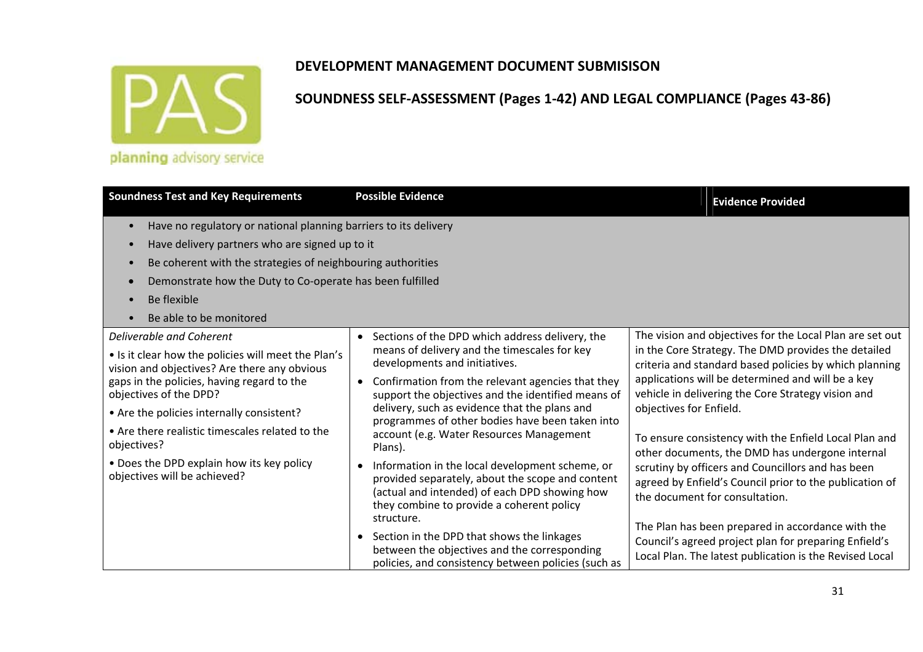

| <b>Soundness Test and Key Requirements</b>                                                                                                                                                                                                                                                                                                                                                          | <b>Possible Evidence</b>                                                                                                                                                                                                                                                                                                                                                                                                                                                                                                                                                                                                                                                                                                                                                               | <b>Evidence Provided</b>                                                                                                                                                                                                                                                                                                                                                                                                                                                                                                                                                                                                                                                                                                                               |
|-----------------------------------------------------------------------------------------------------------------------------------------------------------------------------------------------------------------------------------------------------------------------------------------------------------------------------------------------------------------------------------------------------|----------------------------------------------------------------------------------------------------------------------------------------------------------------------------------------------------------------------------------------------------------------------------------------------------------------------------------------------------------------------------------------------------------------------------------------------------------------------------------------------------------------------------------------------------------------------------------------------------------------------------------------------------------------------------------------------------------------------------------------------------------------------------------------|--------------------------------------------------------------------------------------------------------------------------------------------------------------------------------------------------------------------------------------------------------------------------------------------------------------------------------------------------------------------------------------------------------------------------------------------------------------------------------------------------------------------------------------------------------------------------------------------------------------------------------------------------------------------------------------------------------------------------------------------------------|
| Have no regulatory or national planning barriers to its delivery<br>$\bullet$<br>Have delivery partners who are signed up to it<br>$\bullet$<br>Be coherent with the strategies of neighbouring authorities<br>$\bullet$<br>Demonstrate how the Duty to Co-operate has been fulfilled<br>$\bullet$<br>Be flexible<br>$\bullet$<br>Be able to be monitored                                           |                                                                                                                                                                                                                                                                                                                                                                                                                                                                                                                                                                                                                                                                                                                                                                                        |                                                                                                                                                                                                                                                                                                                                                                                                                                                                                                                                                                                                                                                                                                                                                        |
| Deliverable and Coherent<br>• Is it clear how the policies will meet the Plan's<br>vision and objectives? Are there any obvious<br>gaps in the policies, having regard to the<br>objectives of the DPD?<br>• Are the policies internally consistent?<br>• Are there realistic timescales related to the<br>objectives?<br>• Does the DPD explain how its key policy<br>objectives will be achieved? | • Sections of the DPD which address delivery, the<br>means of delivery and the timescales for key<br>developments and initiatives.<br>• Confirmation from the relevant agencies that they<br>support the objectives and the identified means of<br>delivery, such as evidence that the plans and<br>programmes of other bodies have been taken into<br>account (e.g. Water Resources Management<br>Plans).<br>• Information in the local development scheme, or<br>provided separately, about the scope and content<br>(actual and intended) of each DPD showing how<br>they combine to provide a coherent policy<br>structure.<br>• Section in the DPD that shows the linkages<br>between the objectives and the corresponding<br>policies, and consistency between policies (such as | The vision and objectives for the Local Plan are set out<br>in the Core Strategy. The DMD provides the detailed<br>criteria and standard based policies by which planning<br>applications will be determined and will be a key<br>vehicle in delivering the Core Strategy vision and<br>objectives for Enfield.<br>To ensure consistency with the Enfield Local Plan and<br>other documents, the DMD has undergone internal<br>scrutiny by officers and Councillors and has been<br>agreed by Enfield's Council prior to the publication of<br>the document for consultation.<br>The Plan has been prepared in accordance with the<br>Council's agreed project plan for preparing Enfield's<br>Local Plan. The latest publication is the Revised Local |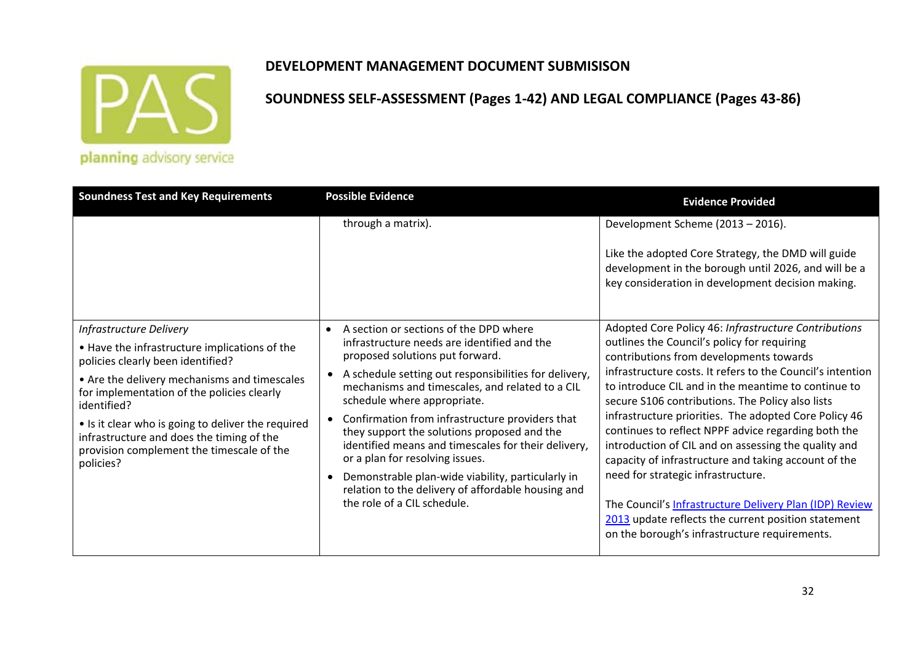

### **DEVELOPMENT MANAGEMENT DOCUMENT SUBMISISON**

| <b>Soundness Test and Key Requirements</b>                                                                                                                                                                                                                                                                                                                                              | <b>Possible Evidence</b>                                                                                                                                                                                                                                                                                                                                                                                                                                                                                                                                                                                               | <b>Evidence Provided</b>                                                                                                                                                                                                                                                                                                                                                                                                                                                                                                                                                                                                                                                                                                                                         |
|-----------------------------------------------------------------------------------------------------------------------------------------------------------------------------------------------------------------------------------------------------------------------------------------------------------------------------------------------------------------------------------------|------------------------------------------------------------------------------------------------------------------------------------------------------------------------------------------------------------------------------------------------------------------------------------------------------------------------------------------------------------------------------------------------------------------------------------------------------------------------------------------------------------------------------------------------------------------------------------------------------------------------|------------------------------------------------------------------------------------------------------------------------------------------------------------------------------------------------------------------------------------------------------------------------------------------------------------------------------------------------------------------------------------------------------------------------------------------------------------------------------------------------------------------------------------------------------------------------------------------------------------------------------------------------------------------------------------------------------------------------------------------------------------------|
|                                                                                                                                                                                                                                                                                                                                                                                         | through a matrix).                                                                                                                                                                                                                                                                                                                                                                                                                                                                                                                                                                                                     | Development Scheme (2013 - 2016).<br>Like the adopted Core Strategy, the DMD will guide<br>development in the borough until 2026, and will be a<br>key consideration in development decision making.                                                                                                                                                                                                                                                                                                                                                                                                                                                                                                                                                             |
| Infrastructure Delivery<br>• Have the infrastructure implications of the<br>policies clearly been identified?<br>• Are the delivery mechanisms and timescales<br>for implementation of the policies clearly<br>identified?<br>• Is it clear who is going to deliver the required<br>infrastructure and does the timing of the<br>provision complement the timescale of the<br>policies? | A section or sections of the DPD where<br>$\bullet$<br>infrastructure needs are identified and the<br>proposed solutions put forward.<br>A schedule setting out responsibilities for delivery,<br>mechanisms and timescales, and related to a CIL<br>schedule where appropriate.<br>Confirmation from infrastructure providers that<br>they support the solutions proposed and the<br>identified means and timescales for their delivery,<br>or a plan for resolving issues.<br>Demonstrable plan-wide viability, particularly in<br>relation to the delivery of affordable housing and<br>the role of a CIL schedule. | Adopted Core Policy 46: Infrastructure Contributions<br>outlines the Council's policy for requiring<br>contributions from developments towards<br>infrastructure costs. It refers to the Council's intention<br>to introduce CIL and in the meantime to continue to<br>secure S106 contributions. The Policy also lists<br>infrastructure priorities. The adopted Core Policy 46<br>continues to reflect NPPF advice regarding both the<br>introduction of CIL and on assessing the quality and<br>capacity of infrastructure and taking account of the<br>need for strategic infrastructure.<br>The Council's Infrastructure Delivery Plan (IDP) Review<br>2013 update reflects the current position statement<br>on the borough's infrastructure requirements. |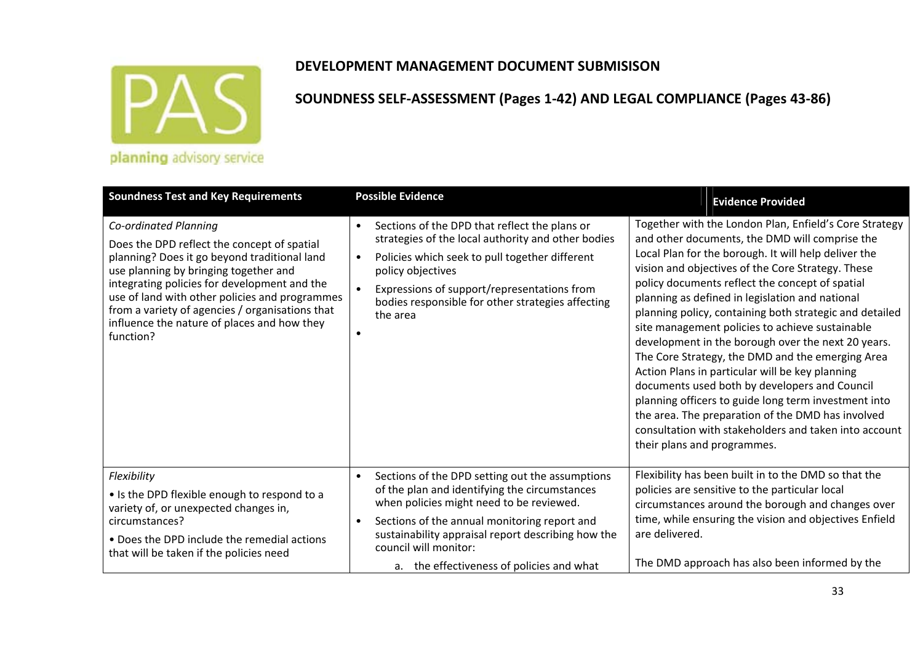

| <b>Soundness Test and Key Requirements</b>                                                                                                                                                                                                                                                                                                                                     | <b>Possible Evidence</b>                                                                                                                                                                                                                                                                                                          | <b>Evidence Provided</b>                                                                                                                                                                                                                                                                                                                                                                                                                                                                                                                                                                                                                                                                                                                                                                                                                                     |
|--------------------------------------------------------------------------------------------------------------------------------------------------------------------------------------------------------------------------------------------------------------------------------------------------------------------------------------------------------------------------------|-----------------------------------------------------------------------------------------------------------------------------------------------------------------------------------------------------------------------------------------------------------------------------------------------------------------------------------|--------------------------------------------------------------------------------------------------------------------------------------------------------------------------------------------------------------------------------------------------------------------------------------------------------------------------------------------------------------------------------------------------------------------------------------------------------------------------------------------------------------------------------------------------------------------------------------------------------------------------------------------------------------------------------------------------------------------------------------------------------------------------------------------------------------------------------------------------------------|
| Co-ordinated Planning<br>Does the DPD reflect the concept of spatial<br>planning? Does it go beyond traditional land<br>use planning by bringing together and<br>integrating policies for development and the<br>use of land with other policies and programmes<br>from a variety of agencies / organisations that<br>influence the nature of places and how they<br>function? | Sections of the DPD that reflect the plans or<br>$\bullet$<br>strategies of the local authority and other bodies<br>Policies which seek to pull together different<br>$\bullet$<br>policy objectives<br>Expressions of support/representations from<br>$\bullet$<br>bodies responsible for other strategies affecting<br>the area | Together with the London Plan, Enfield's Core Strategy<br>and other documents, the DMD will comprise the<br>Local Plan for the borough. It will help deliver the<br>vision and objectives of the Core Strategy. These<br>policy documents reflect the concept of spatial<br>planning as defined in legislation and national<br>planning policy, containing both strategic and detailed<br>site management policies to achieve sustainable<br>development in the borough over the next 20 years.<br>The Core Strategy, the DMD and the emerging Area<br>Action Plans in particular will be key planning<br>documents used both by developers and Council<br>planning officers to guide long term investment into<br>the area. The preparation of the DMD has involved<br>consultation with stakeholders and taken into account<br>their plans and programmes. |
| Flexibility                                                                                                                                                                                                                                                                                                                                                                    | Sections of the DPD setting out the assumptions<br>$\bullet$                                                                                                                                                                                                                                                                      | Flexibility has been built in to the DMD so that the                                                                                                                                                                                                                                                                                                                                                                                                                                                                                                                                                                                                                                                                                                                                                                                                         |
| • Is the DPD flexible enough to respond to a<br>variety of, or unexpected changes in,<br>circumstances?<br>• Does the DPD include the remedial actions                                                                                                                                                                                                                         | of the plan and identifying the circumstances<br>when policies might need to be reviewed.<br>Sections of the annual monitoring report and<br>$\bullet$<br>sustainability appraisal report describing how the<br>council will monitor:                                                                                             | policies are sensitive to the particular local<br>circumstances around the borough and changes over<br>time, while ensuring the vision and objectives Enfield<br>are delivered.                                                                                                                                                                                                                                                                                                                                                                                                                                                                                                                                                                                                                                                                              |
| that will be taken if the policies need                                                                                                                                                                                                                                                                                                                                        | a. the effectiveness of policies and what                                                                                                                                                                                                                                                                                         | The DMD approach has also been informed by the                                                                                                                                                                                                                                                                                                                                                                                                                                                                                                                                                                                                                                                                                                                                                                                                               |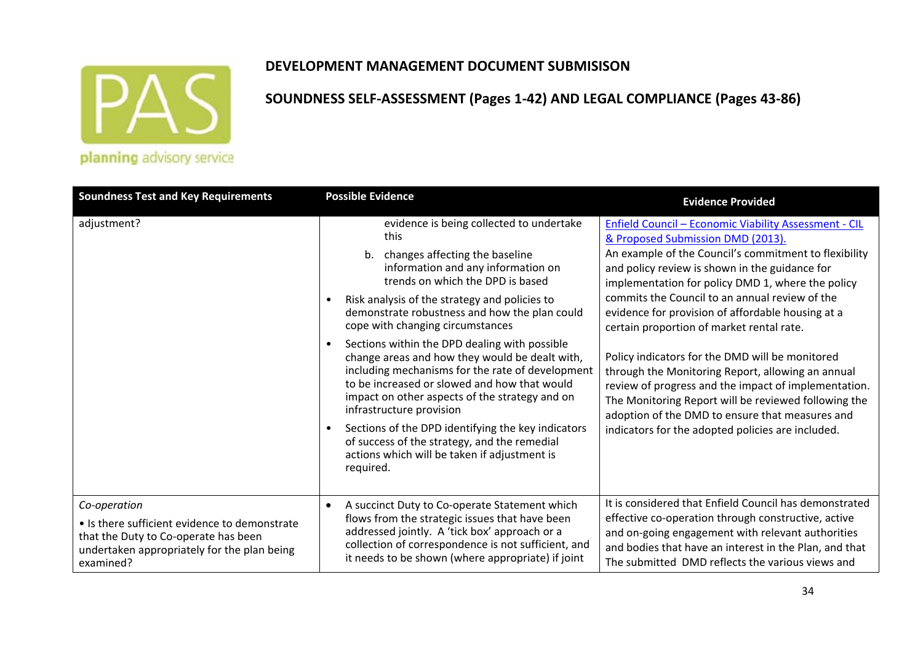

### **DEVELOPMENT MANAGEMENT DOCUMENT SUBMISISON**

| <b>Soundness Test and Key Requirements</b>                                                                                                                        | <b>Possible Evidence</b>                                                                                                                                                                                                                                                                                                                                                                                                                                                                                                                                                                                                                                                                                                                                                   | <b>Evidence Provided</b>                                                                                                                                                                                                                                                                                                                                                                                                                                                                                                                                                                                                                                                                                                                       |
|-------------------------------------------------------------------------------------------------------------------------------------------------------------------|----------------------------------------------------------------------------------------------------------------------------------------------------------------------------------------------------------------------------------------------------------------------------------------------------------------------------------------------------------------------------------------------------------------------------------------------------------------------------------------------------------------------------------------------------------------------------------------------------------------------------------------------------------------------------------------------------------------------------------------------------------------------------|------------------------------------------------------------------------------------------------------------------------------------------------------------------------------------------------------------------------------------------------------------------------------------------------------------------------------------------------------------------------------------------------------------------------------------------------------------------------------------------------------------------------------------------------------------------------------------------------------------------------------------------------------------------------------------------------------------------------------------------------|
| adjustment?                                                                                                                                                       | evidence is being collected to undertake<br>this<br>b. changes affecting the baseline<br>information and any information on<br>trends on which the DPD is based<br>Risk analysis of the strategy and policies to<br>demonstrate robustness and how the plan could<br>cope with changing circumstances<br>Sections within the DPD dealing with possible<br>$\bullet$<br>change areas and how they would be dealt with,<br>including mechanisms for the rate of development<br>to be increased or slowed and how that would<br>impact on other aspects of the strategy and on<br>infrastructure provision<br>Sections of the DPD identifying the key indicators<br>of success of the strategy, and the remedial<br>actions which will be taken if adjustment is<br>required. | Enfield Council - Economic Viability Assessment - CIL<br>& Proposed Submission DMD (2013).<br>An example of the Council's commitment to flexibility<br>and policy review is shown in the guidance for<br>implementation for policy DMD 1, where the policy<br>commits the Council to an annual review of the<br>evidence for provision of affordable housing at a<br>certain proportion of market rental rate.<br>Policy indicators for the DMD will be monitored<br>through the Monitoring Report, allowing an annual<br>review of progress and the impact of implementation.<br>The Monitoring Report will be reviewed following the<br>adoption of the DMD to ensure that measures and<br>indicators for the adopted policies are included. |
| Co-operation<br>• Is there sufficient evidence to demonstrate<br>that the Duty to Co-operate has been<br>undertaken appropriately for the plan being<br>examined? | A succinct Duty to Co-operate Statement which<br>$\bullet$<br>flows from the strategic issues that have been<br>addressed jointly. A 'tick box' approach or a<br>collection of correspondence is not sufficient, and<br>it needs to be shown (where appropriate) if joint                                                                                                                                                                                                                                                                                                                                                                                                                                                                                                  | It is considered that Enfield Council has demonstrated<br>effective co-operation through constructive, active<br>and on-going engagement with relevant authorities<br>and bodies that have an interest in the Plan, and that<br>The submitted DMD reflects the various views and                                                                                                                                                                                                                                                                                                                                                                                                                                                               |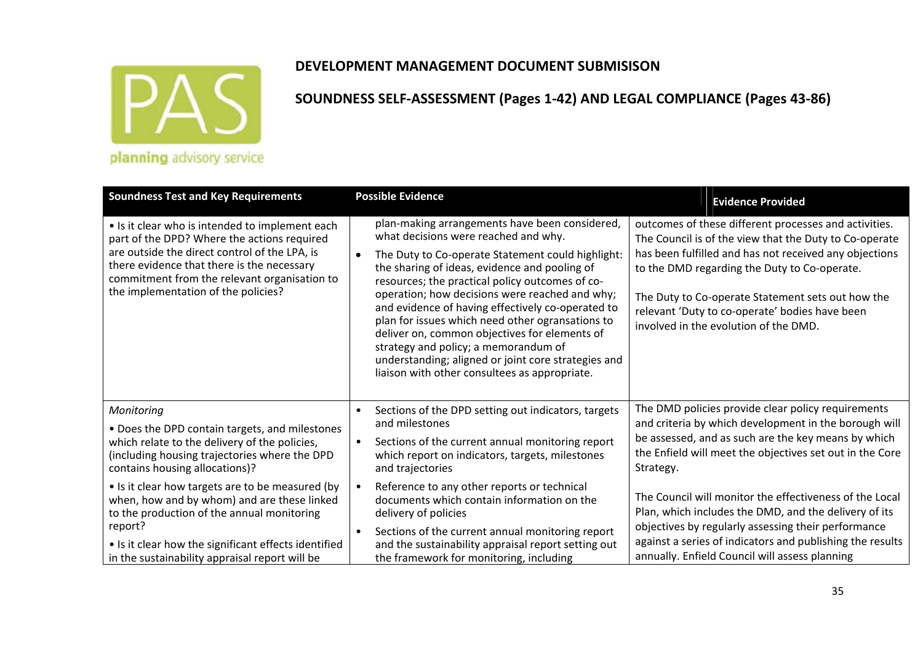

| <b>Soundness Test and Key Requirements</b>                                                                                                                                                                                                                                           | <b>Possible Evidence</b>                                                                                                                                                                                                                                                                                                                                                                                                                                                                                                                                                                                                 | <b>Evidence Provided</b>                                                                                                                                                                                                                                                                                                                                                  |
|--------------------------------------------------------------------------------------------------------------------------------------------------------------------------------------------------------------------------------------------------------------------------------------|--------------------------------------------------------------------------------------------------------------------------------------------------------------------------------------------------------------------------------------------------------------------------------------------------------------------------------------------------------------------------------------------------------------------------------------------------------------------------------------------------------------------------------------------------------------------------------------------------------------------------|---------------------------------------------------------------------------------------------------------------------------------------------------------------------------------------------------------------------------------------------------------------------------------------------------------------------------------------------------------------------------|
| • Is it clear who is intended to implement each<br>part of the DPD? Where the actions required<br>are outside the direct control of the LPA, is<br>there evidence that there is the necessary<br>commitment from the relevant organisation to<br>the implementation of the policies? | plan-making arrangements have been considered,<br>what decisions were reached and why.<br>The Duty to Co-operate Statement could highlight:<br>$\bullet$<br>the sharing of ideas, evidence and pooling of<br>resources; the practical policy outcomes of co-<br>operation; how decisions were reached and why;<br>and evidence of having effectively co-operated to<br>plan for issues which need other ogransations to<br>deliver on, common objectives for elements of<br>strategy and policy; a memorandum of<br>understanding; aligned or joint core strategies and<br>liaison with other consultees as appropriate. | outcomes of these different processes and activities.<br>The Council is of the view that the Duty to Co-operate<br>has been fulfilled and has not received any objections<br>to the DMD regarding the Duty to Co-operate.<br>The Duty to Co-operate Statement sets out how the<br>relevant 'Duty to co-operate' bodies have been<br>involved in the evolution of the DMD. |
| Monitoring<br>. Does the DPD contain targets, and milestones<br>which relate to the delivery of the policies,<br>(including housing trajectories where the DPD<br>contains housing allocations)?                                                                                     | Sections of the DPD setting out indicators, targets<br>$\bullet$<br>and milestones<br>Sections of the current annual monitoring report<br>$\bullet$<br>which report on indicators, targets, milestones<br>and trajectories                                                                                                                                                                                                                                                                                                                                                                                               | The DMD policies provide clear policy requirements<br>and criteria by which development in the borough will<br>be assessed, and as such are the key means by which<br>the Enfield will meet the objectives set out in the Core<br>Strategy.                                                                                                                               |
| • Is it clear how targets are to be measured (by<br>when, how and by whom) and are these linked<br>to the production of the annual monitoring<br>report?<br>• Is it clear how the significant effects identified<br>in the sustainability appraisal report will be                   | Reference to any other reports or technical<br>documents which contain information on the<br>delivery of policies<br>Sections of the current annual monitoring report<br>$\bullet$<br>and the sustainability appraisal report setting out<br>the framework for monitoring, including                                                                                                                                                                                                                                                                                                                                     | The Council will monitor the effectiveness of the Local<br>Plan, which includes the DMD, and the delivery of its<br>objectives by regularly assessing their performance<br>against a series of indicators and publishing the results<br>annually. Enfield Council will assess planning                                                                                    |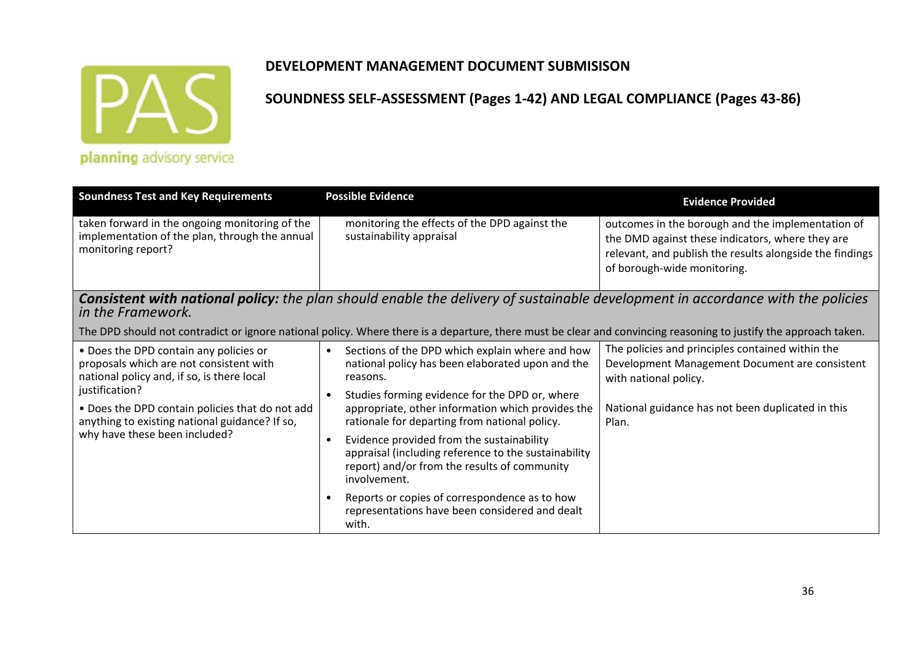

### **DEVELOPMENT MANAGEMENT DOCUMENT SUBMISISON**

| <b>Soundness Test and Key Requirements</b>                                                                                                                                                                                                                                              | <b>Possible Evidence</b>                                                                                                                                                                                                                                                                                                                                                                                                                                               | <b>Evidence Provided</b>                                                                                                                                                                         |  |
|-----------------------------------------------------------------------------------------------------------------------------------------------------------------------------------------------------------------------------------------------------------------------------------------|------------------------------------------------------------------------------------------------------------------------------------------------------------------------------------------------------------------------------------------------------------------------------------------------------------------------------------------------------------------------------------------------------------------------------------------------------------------------|--------------------------------------------------------------------------------------------------------------------------------------------------------------------------------------------------|--|
| taken forward in the ongoing monitoring of the<br>implementation of the plan, through the annual<br>monitoring report?                                                                                                                                                                  | monitoring the effects of the DPD against the<br>sustainability appraisal                                                                                                                                                                                                                                                                                                                                                                                              | outcomes in the borough and the implementation of<br>the DMD against these indicators, where they are<br>relevant, and publish the results alongside the findings<br>of borough-wide monitoring. |  |
| <b>Consistent with national policy:</b> the plan should enable the delivery of sustainable development in accordance with the policies<br>in the Framework.                                                                                                                             |                                                                                                                                                                                                                                                                                                                                                                                                                                                                        |                                                                                                                                                                                                  |  |
| The DPD should not contradict or ignore national policy. Where there is a departure, there must be clear and convincing reasoning to justify the approach taken.                                                                                                                        |                                                                                                                                                                                                                                                                                                                                                                                                                                                                        |                                                                                                                                                                                                  |  |
| • Does the DPD contain any policies or<br>proposals which are not consistent with<br>national policy and, if so, is there local<br>justification?<br>. Does the DPD contain policies that do not add<br>anything to existing national guidance? If so,<br>why have these been included? | Sections of the DPD which explain where and how<br>$\bullet$<br>national policy has been elaborated upon and the<br>reasons.<br>Studies forming evidence for the DPD or, where<br>appropriate, other information which provides the<br>rationale for departing from national policy.<br>Evidence provided from the sustainability<br>$\bullet$<br>appraisal (including reference to the sustainability<br>report) and/or from the results of community<br>involvement. | The policies and principles contained within the<br>Development Management Document are consistent<br>with national policy.<br>National guidance has not been duplicated in this<br>Plan.        |  |
|                                                                                                                                                                                                                                                                                         | Reports or copies of correspondence as to how<br>representations have been considered and dealt<br>with.                                                                                                                                                                                                                                                                                                                                                               |                                                                                                                                                                                                  |  |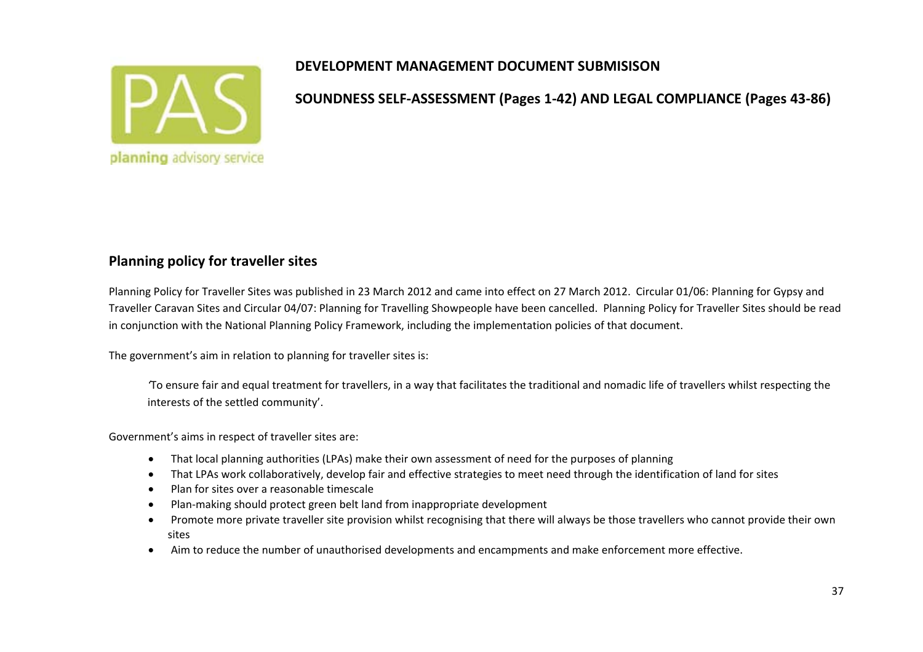

**SOUNDNESS SELF‐ASSESSMENT (Pages 1‐42) AND LEGAL COMPLIANCE (Pages 43‐86)**

# **Planning policy for traveller sites**

Planning Policy for Traveller Sites was published in 23 March 2012 and came into effect on 27 March 2012. Circular 01/06: Planning for Gypsy and Traveller Caravan Sites and Circular 04/07: Planning for Travelling Showpeople have been cancelled. Planning Policy for Traveller Sites should be read in conjunction with the National Planning Policy Framework, including the implementation policies of that document.

The government's aim in relation to planning for traveller sites is:

*'*To ensure fair and equal treatment for travellers, in <sup>a</sup> way that facilitates the traditional and nomadic life of travellers whilst respecting the interests of the settled community'.

Government's aims in respect of traveller sites are:

- $\bullet$ That local planning authorities (LPAs) make their own assessment of need for the purposes of planning
- $\bullet$ That LPAs work collaboratively, develop fair and effective strategies to meet need through the identification of land for sites
- $\bullet$ • Plan for sites over a reasonable timescale
- $\bullet$ Plan‐making should protect green belt land from inappropriate development
- $\bullet$  Promote more private traveller site provision whilst recognising that there will always be those travellers who cannot provide their own sites
- $\bullet$ Aim to reduce the number of unauthorised developments and encampments and make enforcement more effective.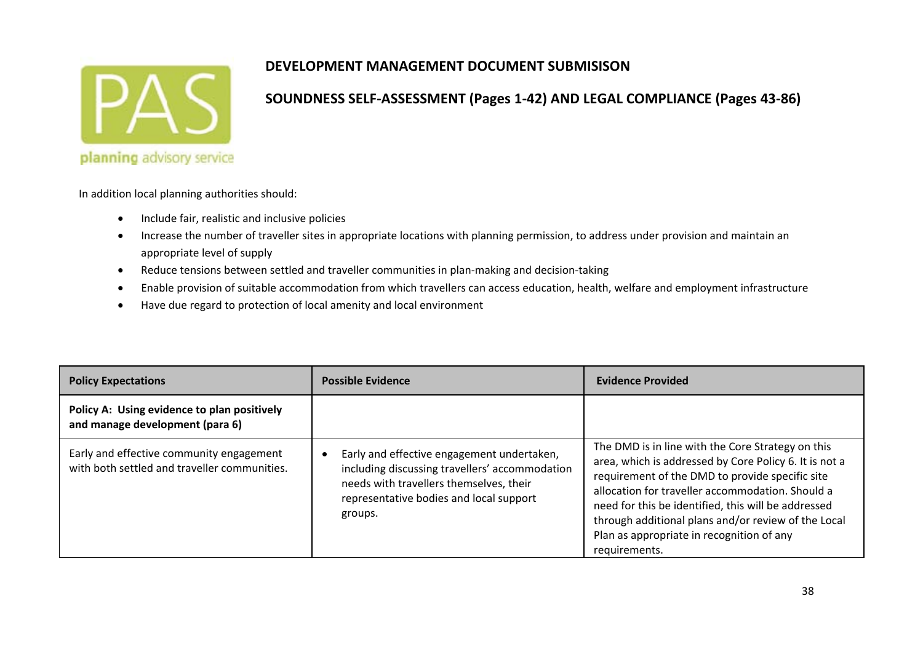

#### **SOUNDNESS SELF‐ASSESSMENT (Pages 1‐42) AND LEGAL COMPLIANCE (Pages 43‐86)**

In addition local planning authorities should:

- $\bullet$ **•** Include fair, realistic and inclusive policies
- $\bullet$  Increase the number of traveller sites in appropriate locations with planning permission, to address under provision and maintain an appropriate level of supply
- $\bullet$ ● Reduce tensions between settled and traveller communities in plan-making and decision-taking
- $\bullet$ Enable provision of suitable accommodation from which travellers can access education, health, welfare and employment infrastructure
- $\bullet$ Have due regard to protection of local amenity and local environment

| <b>Policy Expectations</b>                                                               | <b>Possible Evidence</b>                                                                                                                                                                      | Evidence Provided                                                                                                                                                                                                                                                                                                                                                                              |
|------------------------------------------------------------------------------------------|-----------------------------------------------------------------------------------------------------------------------------------------------------------------------------------------------|------------------------------------------------------------------------------------------------------------------------------------------------------------------------------------------------------------------------------------------------------------------------------------------------------------------------------------------------------------------------------------------------|
| Policy A: Using evidence to plan positively<br>and manage development (para 6)           |                                                                                                                                                                                               |                                                                                                                                                                                                                                                                                                                                                                                                |
| Early and effective community engagement<br>with both settled and traveller communities. | Early and effective engagement undertaken,<br>including discussing travellers' accommodation<br>needs with travellers themselves, their<br>representative bodies and local support<br>groups. | The DMD is in line with the Core Strategy on this<br>area, which is addressed by Core Policy 6. It is not a<br>requirement of the DMD to provide specific site<br>allocation for traveller accommodation. Should a<br>need for this be identified, this will be addressed<br>through additional plans and/or review of the Local<br>Plan as appropriate in recognition of any<br>requirements. |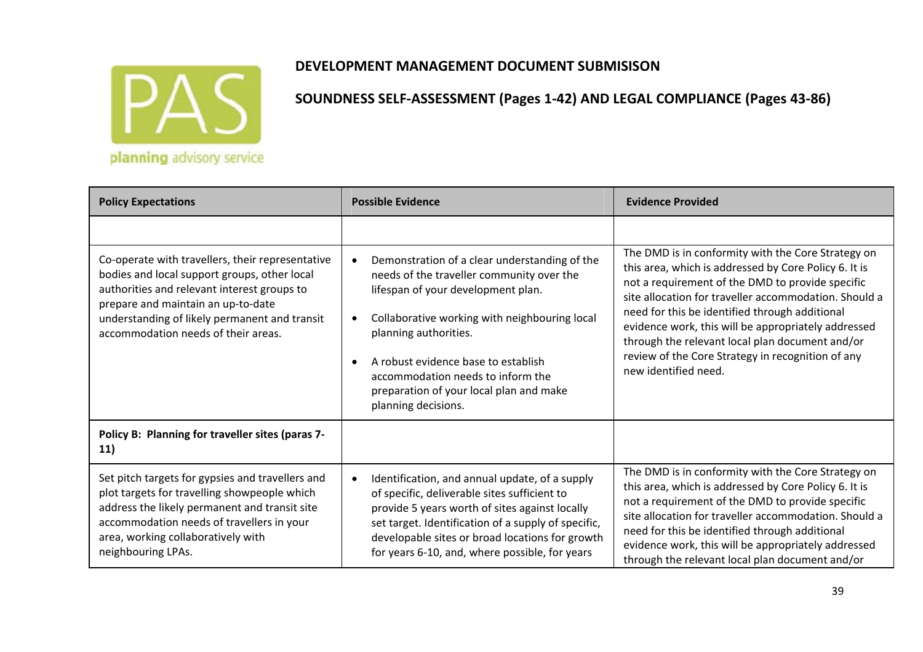

| <b>Policy Expectations</b>                                                                                                                                                                                                                                                    | <b>Possible Evidence</b>                                                                                                                                                                                                                                                                                                                                                                | <b>Evidence Provided</b>                                                                                                                                                                                                                                                                                                                                                                                                                                          |
|-------------------------------------------------------------------------------------------------------------------------------------------------------------------------------------------------------------------------------------------------------------------------------|-----------------------------------------------------------------------------------------------------------------------------------------------------------------------------------------------------------------------------------------------------------------------------------------------------------------------------------------------------------------------------------------|-------------------------------------------------------------------------------------------------------------------------------------------------------------------------------------------------------------------------------------------------------------------------------------------------------------------------------------------------------------------------------------------------------------------------------------------------------------------|
|                                                                                                                                                                                                                                                                               |                                                                                                                                                                                                                                                                                                                                                                                         |                                                                                                                                                                                                                                                                                                                                                                                                                                                                   |
| Co-operate with travellers, their representative<br>bodies and local support groups, other local<br>authorities and relevant interest groups to<br>prepare and maintain an up-to-date<br>understanding of likely permanent and transit<br>accommodation needs of their areas. | Demonstration of a clear understanding of the<br>$\bullet$<br>needs of the traveller community over the<br>lifespan of your development plan.<br>Collaborative working with neighbouring local<br>٠<br>planning authorities.<br>A robust evidence base to establish<br>$\bullet$<br>accommodation needs to inform the<br>preparation of your local plan and make<br>planning decisions. | The DMD is in conformity with the Core Strategy on<br>this area, which is addressed by Core Policy 6. It is<br>not a requirement of the DMD to provide specific<br>site allocation for traveller accommodation. Should a<br>need for this be identified through additional<br>evidence work, this will be appropriately addressed<br>through the relevant local plan document and/or<br>review of the Core Strategy in recognition of any<br>new identified need. |
| Policy B: Planning for traveller sites (paras 7-<br>11)                                                                                                                                                                                                                       |                                                                                                                                                                                                                                                                                                                                                                                         |                                                                                                                                                                                                                                                                                                                                                                                                                                                                   |
| Set pitch targets for gypsies and travellers and<br>plot targets for travelling showpeople which<br>address the likely permanent and transit site<br>accommodation needs of travellers in your<br>area, working collaboratively with<br>neighbouring LPAs.                    | Identification, and annual update, of a supply<br>$\bullet$<br>of specific, deliverable sites sufficient to<br>provide 5 years worth of sites against locally<br>set target. Identification of a supply of specific,<br>developable sites or broad locations for growth<br>for years 6-10, and, where possible, for years                                                               | The DMD is in conformity with the Core Strategy on<br>this area, which is addressed by Core Policy 6. It is<br>not a requirement of the DMD to provide specific<br>site allocation for traveller accommodation. Should a<br>need for this be identified through additional<br>evidence work, this will be appropriately addressed<br>through the relevant local plan document and/or                                                                              |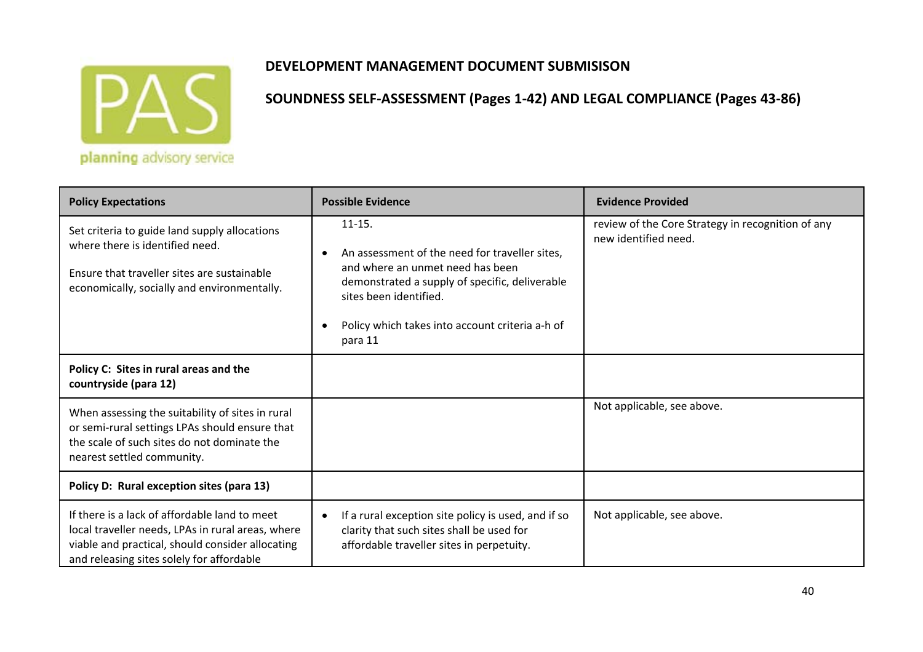

#### planning advisory service

#### **DEVELOPMENT MANAGEMENT DOCUMENT SUBMISISON**

| <b>Policy Expectations</b>                                                                                                                                                                          | <b>Possible Evidence</b>                                                                                                                                                                                                                                             | <b>Evidence Provided</b>                                                  |
|-----------------------------------------------------------------------------------------------------------------------------------------------------------------------------------------------------|----------------------------------------------------------------------------------------------------------------------------------------------------------------------------------------------------------------------------------------------------------------------|---------------------------------------------------------------------------|
| Set criteria to guide land supply allocations<br>where there is identified need.<br>Ensure that traveller sites are sustainable<br>economically, socially and environmentally.                      | $11 - 15.$<br>An assessment of the need for traveller sites,<br>$\bullet$<br>and where an unmet need has been<br>demonstrated a supply of specific, deliverable<br>sites been identified.<br>Policy which takes into account criteria a-h of<br>$\bullet$<br>para 11 | review of the Core Strategy in recognition of any<br>new identified need. |
| Policy C: Sites in rural areas and the<br>countryside (para 12)                                                                                                                                     |                                                                                                                                                                                                                                                                      |                                                                           |
| When assessing the suitability of sites in rural<br>or semi-rural settings LPAs should ensure that<br>the scale of such sites do not dominate the<br>nearest settled community.                     |                                                                                                                                                                                                                                                                      | Not applicable, see above.                                                |
| Policy D: Rural exception sites (para 13)                                                                                                                                                           |                                                                                                                                                                                                                                                                      |                                                                           |
| If there is a lack of affordable land to meet<br>local traveller needs, LPAs in rural areas, where<br>viable and practical, should consider allocating<br>and releasing sites solely for affordable | If a rural exception site policy is used, and if so<br>clarity that such sites shall be used for<br>affordable traveller sites in perpetuity.                                                                                                                        | Not applicable, see above.                                                |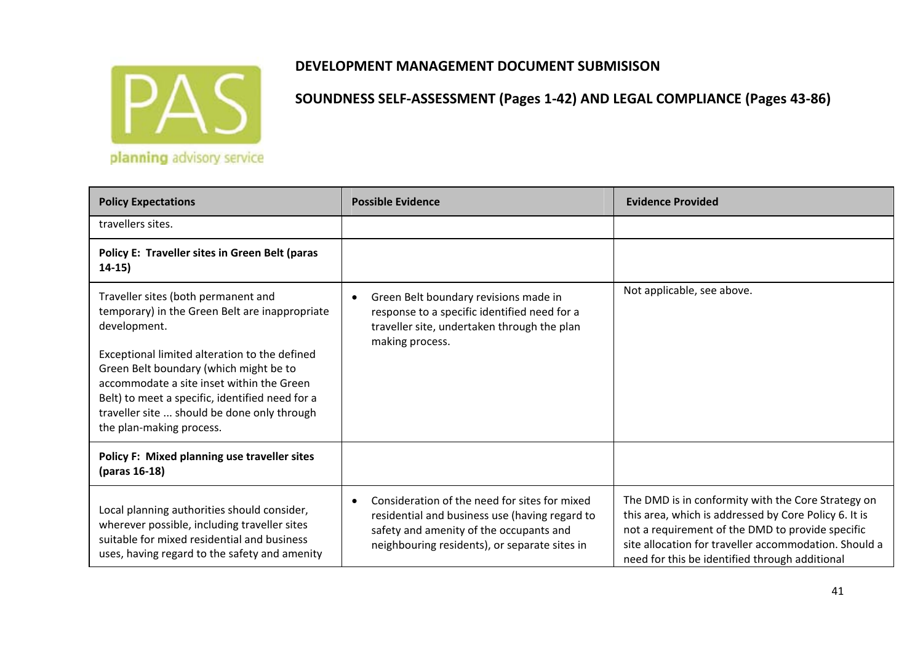

| <b>Policy Expectations</b>                                                                                                                                                                                                                                                                                                                                                  | <b>Possible Evidence</b>                                                                                                                                                                                 | <b>Evidence Provided</b>                                                                                                                                                                                                                                                   |
|-----------------------------------------------------------------------------------------------------------------------------------------------------------------------------------------------------------------------------------------------------------------------------------------------------------------------------------------------------------------------------|----------------------------------------------------------------------------------------------------------------------------------------------------------------------------------------------------------|----------------------------------------------------------------------------------------------------------------------------------------------------------------------------------------------------------------------------------------------------------------------------|
| travellers sites.                                                                                                                                                                                                                                                                                                                                                           |                                                                                                                                                                                                          |                                                                                                                                                                                                                                                                            |
| Policy E: Traveller sites in Green Belt (paras<br>$14-15)$                                                                                                                                                                                                                                                                                                                  |                                                                                                                                                                                                          |                                                                                                                                                                                                                                                                            |
| Traveller sites (both permanent and<br>temporary) in the Green Belt are inappropriate<br>development.<br>Exceptional limited alteration to the defined<br>Green Belt boundary (which might be to<br>accommodate a site inset within the Green<br>Belt) to meet a specific, identified need for a<br>traveller site  should be done only through<br>the plan-making process. | Green Belt boundary revisions made in<br>$\bullet$<br>response to a specific identified need for a<br>traveller site, undertaken through the plan<br>making process.                                     | Not applicable, see above.                                                                                                                                                                                                                                                 |
| Policy F: Mixed planning use traveller sites<br>(paras 16-18)                                                                                                                                                                                                                                                                                                               |                                                                                                                                                                                                          |                                                                                                                                                                                                                                                                            |
| Local planning authorities should consider,<br>wherever possible, including traveller sites<br>suitable for mixed residential and business<br>uses, having regard to the safety and amenity                                                                                                                                                                                 | Consideration of the need for sites for mixed<br>$\bullet$<br>residential and business use (having regard to<br>safety and amenity of the occupants and<br>neighbouring residents), or separate sites in | The DMD is in conformity with the Core Strategy on<br>this area, which is addressed by Core Policy 6. It is<br>not a requirement of the DMD to provide specific<br>site allocation for traveller accommodation. Should a<br>need for this be identified through additional |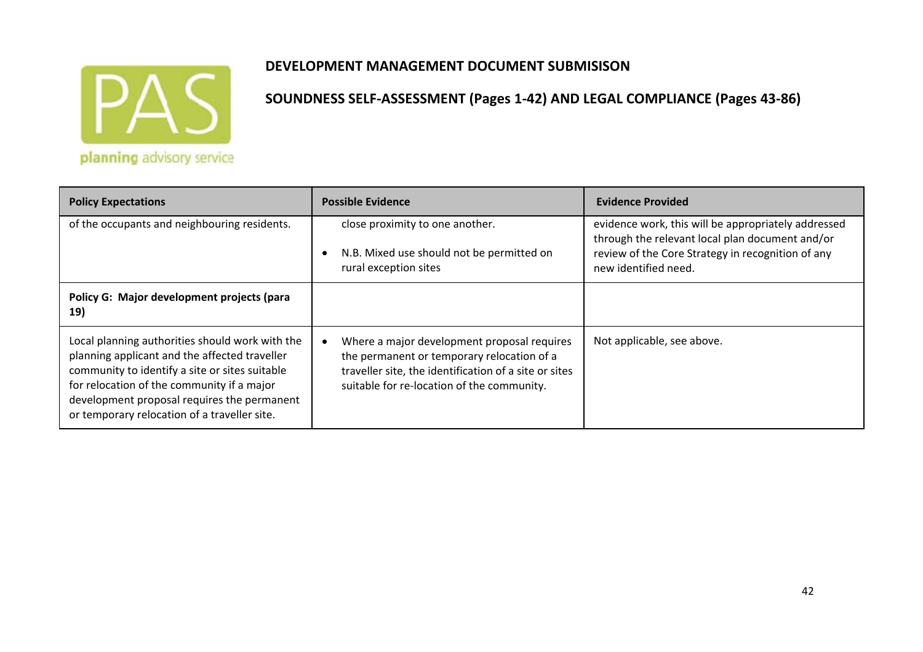

| <b>Policy Expectations</b>                                                                                                                                                                                                                                                                      | <b>Possible Evidence</b>                                                                                                                                                                         | <b>Evidence Provided</b>                                                                                                                                                            |
|-------------------------------------------------------------------------------------------------------------------------------------------------------------------------------------------------------------------------------------------------------------------------------------------------|--------------------------------------------------------------------------------------------------------------------------------------------------------------------------------------------------|-------------------------------------------------------------------------------------------------------------------------------------------------------------------------------------|
| of the occupants and neighbouring residents.                                                                                                                                                                                                                                                    | close proximity to one another.<br>N.B. Mixed use should not be permitted on<br>rural exception sites                                                                                            | evidence work, this will be appropriately addressed<br>through the relevant local plan document and/or<br>review of the Core Strategy in recognition of any<br>new identified need. |
| Policy G: Major development projects (para<br>19)                                                                                                                                                                                                                                               |                                                                                                                                                                                                  |                                                                                                                                                                                     |
| Local planning authorities should work with the<br>planning applicant and the affected traveller<br>community to identify a site or sites suitable<br>for relocation of the community if a major<br>development proposal requires the permanent<br>or temporary relocation of a traveller site. | Where a major development proposal requires<br>the permanent or temporary relocation of a<br>traveller site, the identification of a site or sites<br>suitable for re-location of the community. | Not applicable, see above.                                                                                                                                                          |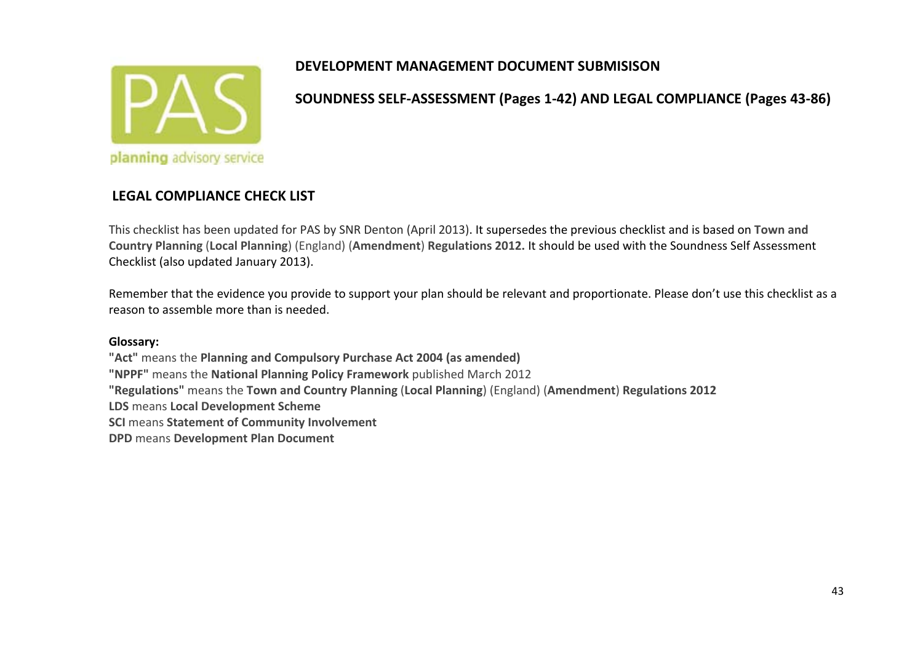

**SOUNDNESS SELF‐ASSESSMENT (Pages 1‐42) AND LEGAL COMPLIANCE (Pages 43‐86)**

#### **LEGAL COMPLIANCE CHECK LIST**

This checklist has been updated for PAS by SNR Denton (April 2013). It supersedes the previous checklist and is based on **Town and Country Planning** (**Local Planning**) (England) (**Amendment**) **Regulations 2012.** It should be used with the Soundness Self Assessment Checklist (also updated January 2013).

Remember that the evidence you provide to support your plan should be relevant and proportionate. Please don't use this checklist as <sup>a</sup> reason to assemble more than is needed.

#### **Glossary:**

**"Act"** means the **Planning and Compulsory Purchase Act 2004 (as amended) "NPPF"** means the **National Planning Policy Framework** published March 2012 **"Regulations"** means the **Town and Country Planning** (**Local Planning**) (England) (**Amendment**) **Regulations 2012 LDS** means **Local Development Scheme SCI** means **Statement of Community Involvement DPD** means **Development Plan Document**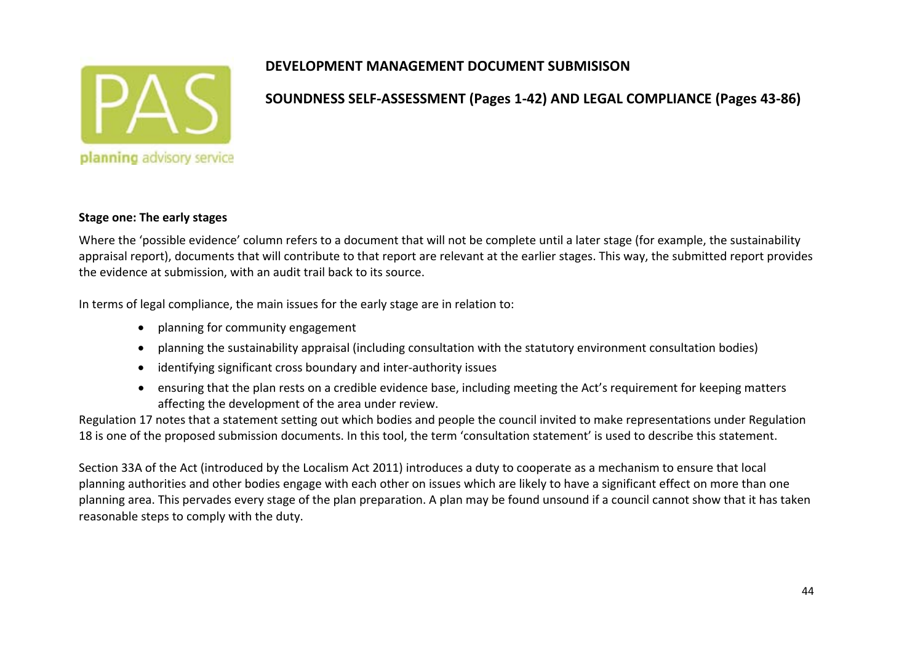

#### **SOUNDNESS SELF‐ASSESSMENT (Pages 1‐42) AND LEGAL COMPLIANCE (Pages 43‐86)**

#### **Stage one: The early stages**

Where the 'possible evidence' column refers to <sup>a</sup> document that will not be complete until <sup>a</sup> later stage (for example, the sustainability appraisal report), documents that will contribute to that report are relevant at the earlier stages. This way, the submitted report provides the evidence at submission, with an audit trail back to its source.

In terms of legal compliance, the main issues for the early stage are in relation to:

- planning for community engagement
- planning the sustainability appraisal (including consultation with the statutory environment consultation bodies)
- identifying significant cross boundary and inter‐authority issues
- ensuring that the plan rests on <sup>a</sup> credible evidence base, including meeting the Act's requirement for keeping matters affecting the development of the area under review.

Regulation 17 notes that <sup>a</sup> statement setting out which bodies and people the council invited to make representations under Regulation 18 is one of the proposed submission documents. In this tool, the term 'consultation statement' is used to describe this statement.

Section 33A of the Act (introduced by the Localism Act 2011) introduces <sup>a</sup> duty to cooperate as <sup>a</sup> mechanism to ensure that local planning authorities and other bodies engage with each other on issues which are likely to have <sup>a</sup> significant effect on more than one planning area. This pervades every stage of the plan preparation. A plan may be found unsound if <sup>a</sup> council cannot show that it has taken reasonable steps to comply with the duty.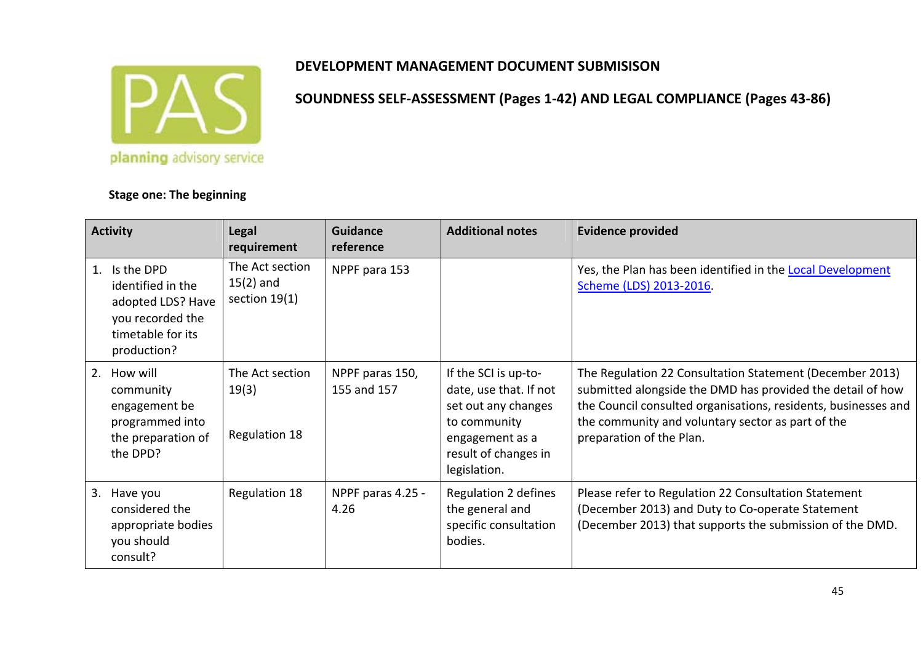

**Stage one: The beginning**

# **DEVELOPMENT MANAGEMENT DOCUMENT SUBMISISON**

**Activity Legal requirement GuidancereferenceAdditional notes Evidence provided** 1. Is the DPDidentified in the adopted LDS? Have you recorded the timetable for its production? The Act section15(2) and section 19(1) NPPF para 153 Yes, the Plan has been identified in the Local Development Scheme (LDS) 2013‐2016. 2. How will community engagement be programmed into the preparation of the DPD? The Act section19(3) Regulation 18 NPPF paras 150, 155 and 157 If the SCI is up‐to‐ date, use that. If not set out any changes to community engagement as <sup>a</sup> result of changes in legislation. The Regulation 22 Consultation Statement (December 2013) submitted alongside the DMD has provided the detail of how the Council consulted organisations, residents, businesses and the community and voluntary sector as part of the preparation of the Plan. 3. Have you considered the appropriate bodies you should consult?Regulation  $18$  NPPF paras 4.25 -4.26Regulation 2 defines the general and specific consultation bodies.Please refer to Regulation 22 Consultation Statement (December 2013) and Duty to Co‐operate Statement (December 2013) that supports the submission of the DMD.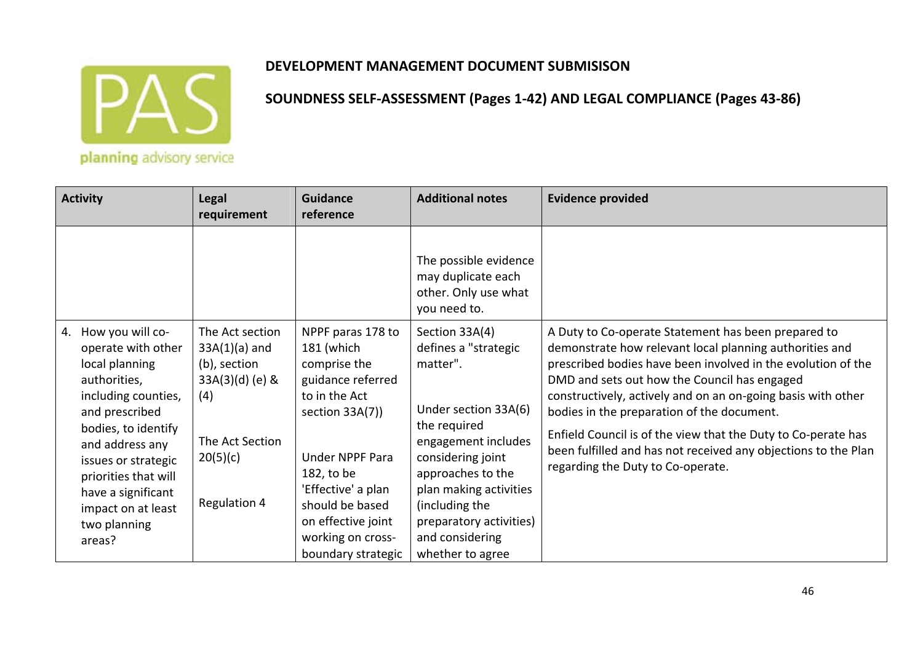

| <b>Activity</b>                                                                                                                                                                                                                                                                        | <b>Legal</b><br>requirement                                                                                                   | <b>Guidance</b><br>reference                                                                                                                                                                                                                               | <b>Additional notes</b>                                                                                                                                                                                                                                                   | <b>Evidence provided</b>                                                                                                                                                                                                                                                                                                                                                                                                                                                                                             |
|----------------------------------------------------------------------------------------------------------------------------------------------------------------------------------------------------------------------------------------------------------------------------------------|-------------------------------------------------------------------------------------------------------------------------------|------------------------------------------------------------------------------------------------------------------------------------------------------------------------------------------------------------------------------------------------------------|---------------------------------------------------------------------------------------------------------------------------------------------------------------------------------------------------------------------------------------------------------------------------|----------------------------------------------------------------------------------------------------------------------------------------------------------------------------------------------------------------------------------------------------------------------------------------------------------------------------------------------------------------------------------------------------------------------------------------------------------------------------------------------------------------------|
|                                                                                                                                                                                                                                                                                        |                                                                                                                               |                                                                                                                                                                                                                                                            | The possible evidence<br>may duplicate each<br>other. Only use what<br>you need to.                                                                                                                                                                                       |                                                                                                                                                                                                                                                                                                                                                                                                                                                                                                                      |
| How you will co-<br>4.<br>operate with other<br>local planning<br>authorities,<br>including counties,<br>and prescribed<br>bodies, to identify<br>and address any<br>issues or strategic<br>priorities that will<br>have a significant<br>impact on at least<br>two planning<br>areas? | The Act section<br>$33A(1)(a)$ and<br>(b), section<br>$33A(3)(d)$ (e) &<br>(4)<br>The Act Section<br>20(5)(c)<br>Regulation 4 | NPPF paras 178 to<br>181 (which<br>comprise the<br>guidance referred<br>to in the Act<br>section 33A(7))<br><b>Under NPPF Para</b><br>182, to be<br>'Effective' a plan<br>should be based<br>on effective joint<br>working on cross-<br>boundary strategic | Section 33A(4)<br>defines a "strategic<br>matter".<br>Under section 33A(6)<br>the required<br>engagement includes<br>considering joint<br>approaches to the<br>plan making activities<br>(including the<br>preparatory activities)<br>and considering<br>whether to agree | A Duty to Co-operate Statement has been prepared to<br>demonstrate how relevant local planning authorities and<br>prescribed bodies have been involved in the evolution of the<br>DMD and sets out how the Council has engaged<br>constructively, actively and on an on-going basis with other<br>bodies in the preparation of the document.<br>Enfield Council is of the view that the Duty to Co-perate has<br>been fulfilled and has not received any objections to the Plan<br>regarding the Duty to Co-operate. |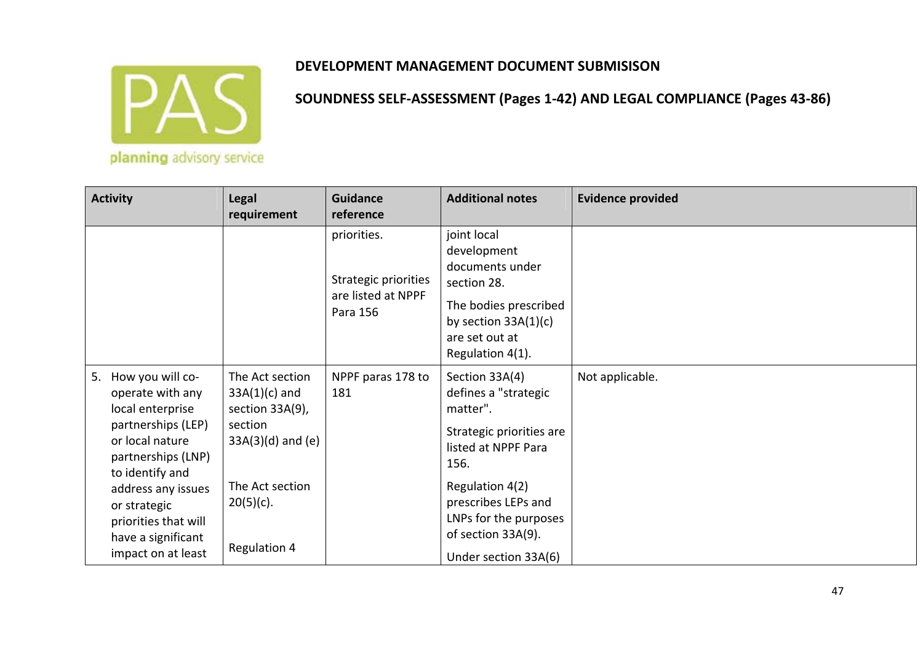

| <b>Activity</b>                                                                                                                                                                                                                                            | <b>Legal</b><br>requirement                                                                                                                | <b>Guidance</b><br>reference                                          | <b>Additional notes</b>                                                                                                                                                                                                        | <b>Evidence provided</b> |
|------------------------------------------------------------------------------------------------------------------------------------------------------------------------------------------------------------------------------------------------------------|--------------------------------------------------------------------------------------------------------------------------------------------|-----------------------------------------------------------------------|--------------------------------------------------------------------------------------------------------------------------------------------------------------------------------------------------------------------------------|--------------------------|
|                                                                                                                                                                                                                                                            |                                                                                                                                            | priorities.<br>Strategic priorities<br>are listed at NPPF<br>Para 156 | joint local<br>development<br>documents under<br>section 28.<br>The bodies prescribed<br>by section $33A(1)(c)$<br>are set out at<br>Regulation 4(1).                                                                          |                          |
| How you will co-<br>5.<br>operate with any<br>local enterprise<br>partnerships (LEP)<br>or local nature<br>partnerships (LNP)<br>to identify and<br>address any issues<br>or strategic<br>priorities that will<br>have a significant<br>impact on at least | The Act section<br>$33A(1)(c)$ and<br>section 33A(9),<br>section<br>$33A(3)(d)$ and (e)<br>The Act section<br>$20(5)(c)$ .<br>Regulation 4 | NPPF paras 178 to<br>181                                              | Section 33A(4)<br>defines a "strategic<br>matter".<br>Strategic priorities are<br>listed at NPPF Para<br>156.<br>Regulation 4(2)<br>prescribes LEPs and<br>LNPs for the purposes<br>of section 33A(9).<br>Under section 33A(6) | Not applicable.          |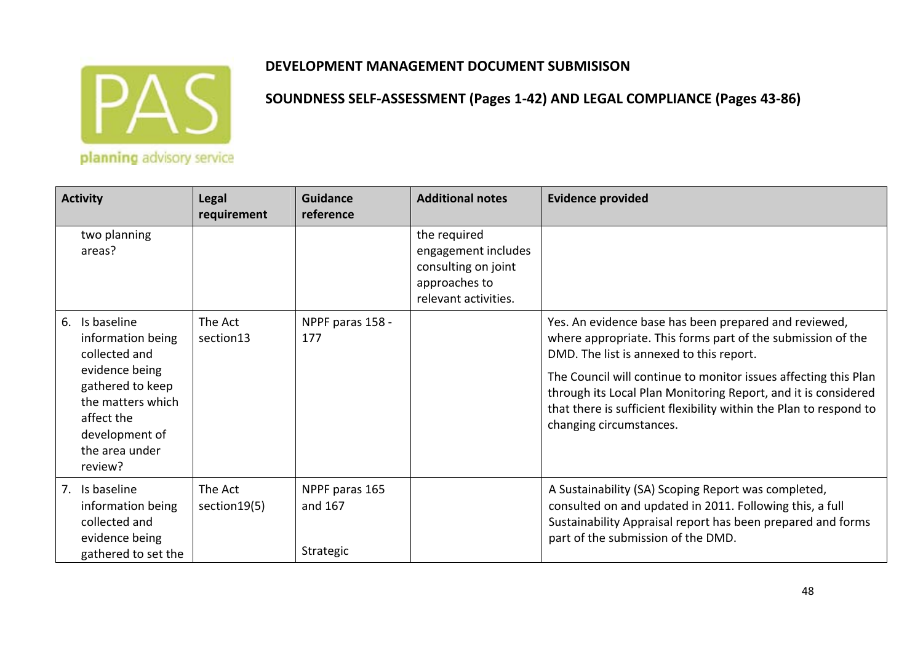

| <b>Activity</b>                                                                                                                                                                 | <b>Legal</b><br>requirement | <b>Guidance</b><br>reference           | <b>Additional notes</b>                                                                             | <b>Evidence provided</b>                                                                                                                                                                                                                                                                                                                                                                               |
|---------------------------------------------------------------------------------------------------------------------------------------------------------------------------------|-----------------------------|----------------------------------------|-----------------------------------------------------------------------------------------------------|--------------------------------------------------------------------------------------------------------------------------------------------------------------------------------------------------------------------------------------------------------------------------------------------------------------------------------------------------------------------------------------------------------|
| two planning<br>areas?                                                                                                                                                          |                             |                                        | the required<br>engagement includes<br>consulting on joint<br>approaches to<br>relevant activities. |                                                                                                                                                                                                                                                                                                                                                                                                        |
| Is baseline<br>6.<br>information being<br>collected and<br>evidence being<br>gathered to keep<br>the matters which<br>affect the<br>development of<br>the area under<br>review? | The Act<br>section13        | NPPF paras 158 -<br>177                |                                                                                                     | Yes. An evidence base has been prepared and reviewed,<br>where appropriate. This forms part of the submission of the<br>DMD. The list is annexed to this report.<br>The Council will continue to monitor issues affecting this Plan<br>through its Local Plan Monitoring Report, and it is considered<br>that there is sufficient flexibility within the Plan to respond to<br>changing circumstances. |
| 7. Is baseline<br>information being<br>collected and<br>evidence being<br>gathered to set the                                                                                   | The Act<br>section 19(5)    | NPPF paras 165<br>and 167<br>Strategic |                                                                                                     | A Sustainability (SA) Scoping Report was completed,<br>consulted on and updated in 2011. Following this, a full<br>Sustainability Appraisal report has been prepared and forms<br>part of the submission of the DMD.                                                                                                                                                                                   |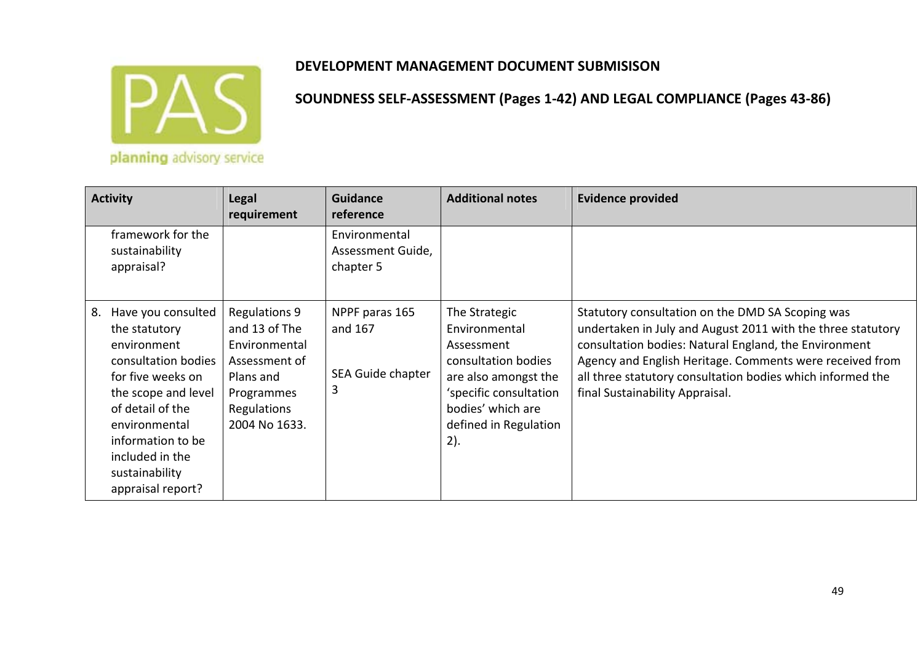

| <b>Activity</b>                                                                                                                                                                                                                                 | <b>Legal</b><br>requirement                                                                                                        | <b>Guidance</b><br>reference                        | <b>Additional notes</b>                                                                                                                                                    | <b>Evidence provided</b>                                                                                                                                                                                                                                                                                                              |
|-------------------------------------------------------------------------------------------------------------------------------------------------------------------------------------------------------------------------------------------------|------------------------------------------------------------------------------------------------------------------------------------|-----------------------------------------------------|----------------------------------------------------------------------------------------------------------------------------------------------------------------------------|---------------------------------------------------------------------------------------------------------------------------------------------------------------------------------------------------------------------------------------------------------------------------------------------------------------------------------------|
| framework for the<br>sustainability<br>appraisal?                                                                                                                                                                                               |                                                                                                                                    | Environmental<br>Assessment Guide,<br>chapter 5     |                                                                                                                                                                            |                                                                                                                                                                                                                                                                                                                                       |
| Have you consulted<br>8.<br>the statutory<br>environment<br>consultation bodies<br>for five weeks on<br>the scope and level<br>of detail of the<br>environmental<br>information to be<br>included in the<br>sustainability<br>appraisal report? | <b>Regulations 9</b><br>and 13 of The<br>Environmental<br>Assessment of<br>Plans and<br>Programmes<br>Regulations<br>2004 No 1633. | NPPF paras 165<br>and 167<br>SEA Guide chapter<br>3 | The Strategic<br>Environmental<br>Assessment<br>consultation bodies<br>are also amongst the<br>'specific consultation<br>bodies' which are<br>defined in Regulation<br>2). | Statutory consultation on the DMD SA Scoping was<br>undertaken in July and August 2011 with the three statutory<br>consultation bodies: Natural England, the Environment<br>Agency and English Heritage. Comments were received from<br>all three statutory consultation bodies which informed the<br>final Sustainability Appraisal. |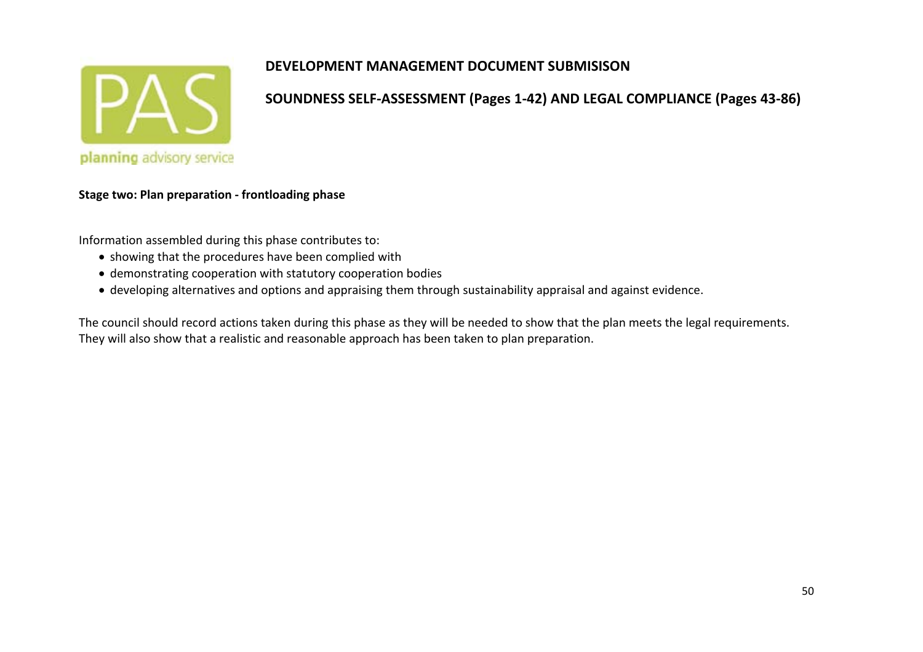

**SOUNDNESS SELF‐ASSESSMENT (Pages 1‐42) AND LEGAL COMPLIANCE (Pages 43‐86)**

**Stage two: Plan preparation ‐ frontloading phase**

Information assembled during this phase contributes to:

- showing that the procedures have been complied with
- demonstrating cooperation with statutory cooperation bodies
- developing alternatives and options and appraising them through sustainability appraisal and against evidence.

The council should record actions taken during this phase as they will be needed to show that the plan meets the legal requirements. They will also show that <sup>a</sup> realistic and reasonable approach has been taken to plan preparation.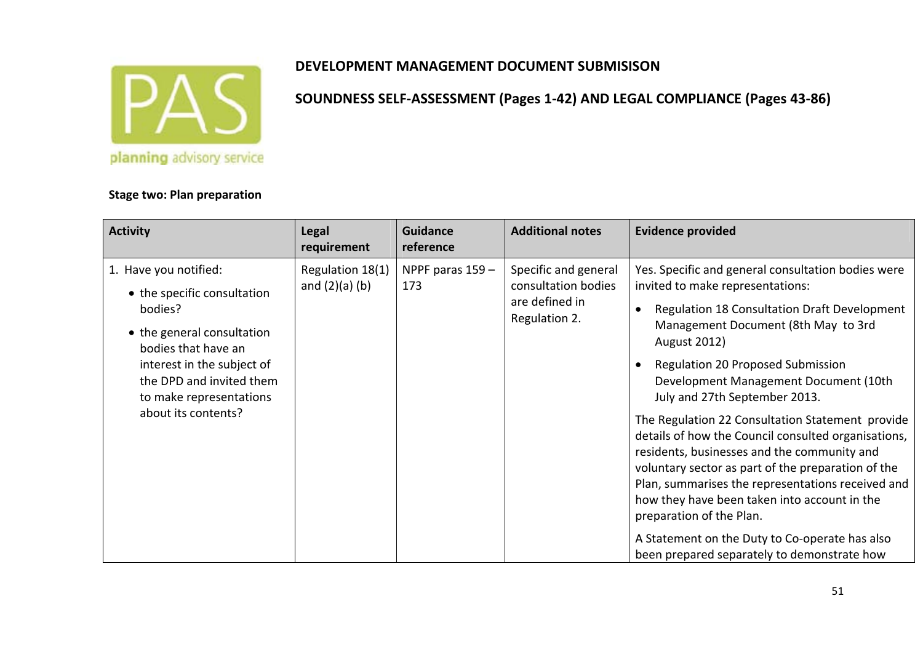

**Stage two: Plan preparation**

# **DEVELOPMENT MANAGEMENT DOCUMENT SUBMISISON**

#### **Activity Legal requirement GuidancereferenceAdditional notes Evidence provided** 1. Have you notified: • the specific consultation bodies?• the general consultation bodies that have aninterest in the subject of the DPD and invited themto make representations about its contents?Regulation 18(1) and (2)(a) (b) NPPF paras 159 – 173Specific and general consultation bodies are defined in Regulation 2. Yes. Specific and general consultation bodies were invited to make representations: Regulation 18 Consultation Draft Development Management Document (8th May to 3rd August 2012) Regulation 20 Proposed Submission Development Management Document (10th July and 27th September 2013. The Regulation 22 Consultation Statement provide details of how the Council consulted organisations, residents, businesses and the community and voluntary sector as part of the preparation of the Plan, summarises the representations received and how they have been taken into account in the preparation of the Plan. A Statement on the Duty to Co‐operate has also been prepared separately to demonstrate how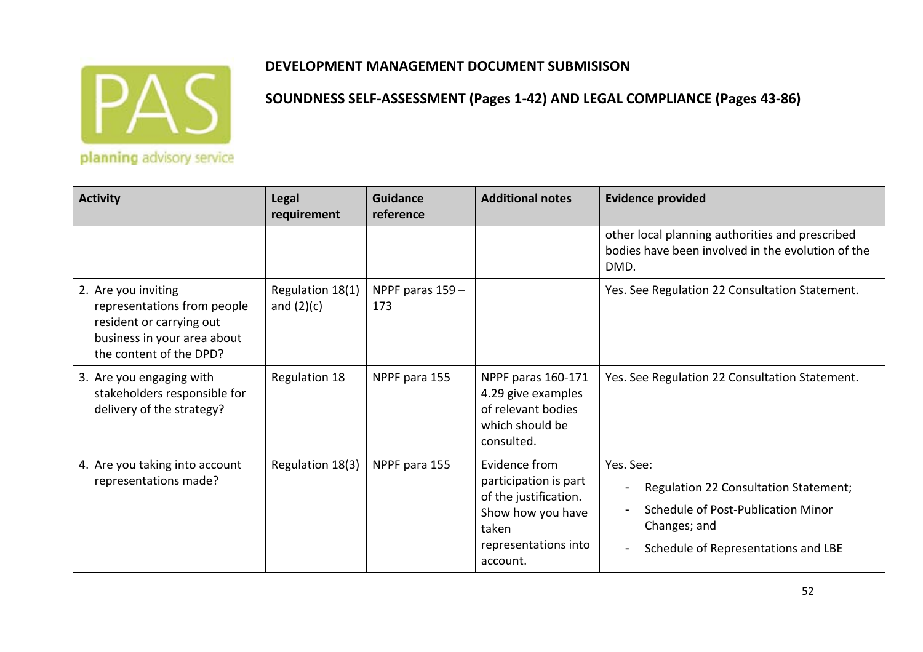

planning advisory service

| <b>Activity</b>                                                                                                                          | <b>Legal</b><br>requirement      | <b>Guidance</b><br>reference | <b>Additional notes</b>                                                                                                           | <b>Evidence provided</b>                                                                                                                        |
|------------------------------------------------------------------------------------------------------------------------------------------|----------------------------------|------------------------------|-----------------------------------------------------------------------------------------------------------------------------------|-------------------------------------------------------------------------------------------------------------------------------------------------|
|                                                                                                                                          |                                  |                              |                                                                                                                                   | other local planning authorities and prescribed<br>bodies have been involved in the evolution of the<br>DMD.                                    |
| 2. Are you inviting<br>representations from people<br>resident or carrying out<br>business in your area about<br>the content of the DPD? | Regulation 18(1)<br>and $(2)(c)$ | NPPF paras 159 -<br>173      |                                                                                                                                   | Yes. See Regulation 22 Consultation Statement.                                                                                                  |
| 3. Are you engaging with<br>stakeholders responsible for<br>delivery of the strategy?                                                    | Regulation 18                    | NPPF para 155                | NPPF paras 160-171<br>4.29 give examples<br>of relevant bodies<br>which should be<br>consulted.                                   | Yes. See Regulation 22 Consultation Statement.                                                                                                  |
| 4. Are you taking into account<br>representations made?                                                                                  | Regulation 18(3)                 | NPPF para 155                | Evidence from<br>participation is part<br>of the justification.<br>Show how you have<br>taken<br>representations into<br>account. | Yes. See:<br>Regulation 22 Consultation Statement;<br>Schedule of Post-Publication Minor<br>Changes; and<br>Schedule of Representations and LBE |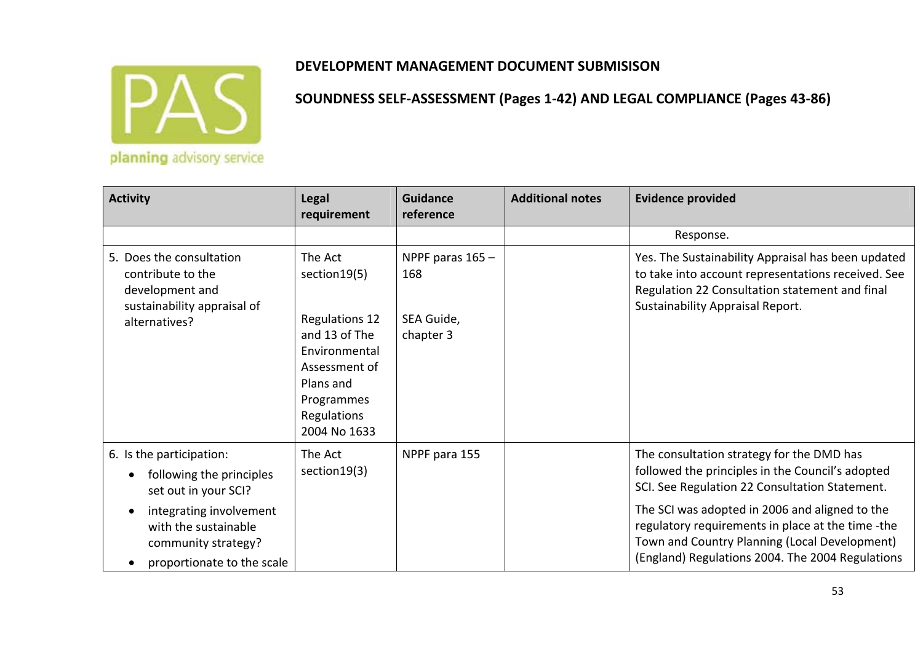

| <b>Activity</b>                                                                                                                                                                                   | <b>Legal</b><br>requirement                                                                                                                                    | <b>Guidance</b><br>reference                       | <b>Additional notes</b> | <b>Evidence provided</b>                                                                                                                                                                                                                                                                                                                                    |
|---------------------------------------------------------------------------------------------------------------------------------------------------------------------------------------------------|----------------------------------------------------------------------------------------------------------------------------------------------------------------|----------------------------------------------------|-------------------------|-------------------------------------------------------------------------------------------------------------------------------------------------------------------------------------------------------------------------------------------------------------------------------------------------------------------------------------------------------------|
|                                                                                                                                                                                                   |                                                                                                                                                                |                                                    |                         | Response.                                                                                                                                                                                                                                                                                                                                                   |
| 5. Does the consultation<br>contribute to the<br>development and<br>sustainability appraisal of<br>alternatives?                                                                                  | The Act<br>section 19(5)<br><b>Regulations 12</b><br>and 13 of The<br>Environmental<br>Assessment of<br>Plans and<br>Programmes<br>Regulations<br>2004 No 1633 | NPPF paras 165 -<br>168<br>SEA Guide,<br>chapter 3 |                         | Yes. The Sustainability Appraisal has been updated<br>to take into account representations received. See<br>Regulation 22 Consultation statement and final<br>Sustainability Appraisal Report.                                                                                                                                                              |
| 6. Is the participation:<br>following the principles<br>set out in your SCI?<br>integrating involvement<br>$\bullet$<br>with the sustainable<br>community strategy?<br>proportionate to the scale | The Act<br>section19(3)                                                                                                                                        | NPPF para 155                                      |                         | The consultation strategy for the DMD has<br>followed the principles in the Council's adopted<br>SCI. See Regulation 22 Consultation Statement.<br>The SCI was adopted in 2006 and aligned to the<br>regulatory requirements in place at the time -the<br>Town and Country Planning (Local Development)<br>(England) Regulations 2004. The 2004 Regulations |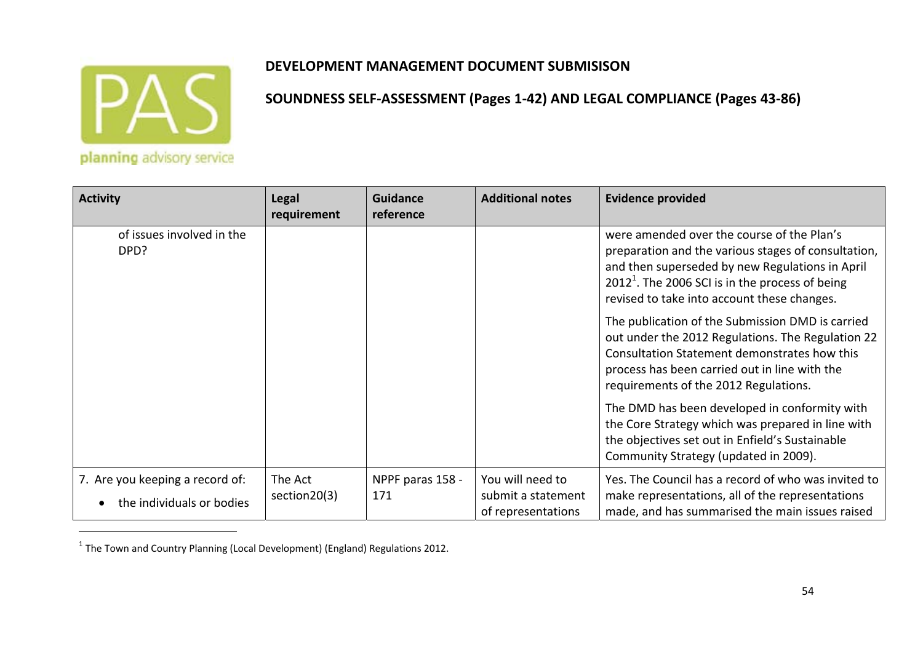

planning advisory service

| <b>Activity</b>                                              | <b>Legal</b><br>requirement | <b>Guidance</b><br>reference | <b>Additional notes</b>                                      | <b>Evidence provided</b>                                                                                                                                                                                                                                 |
|--------------------------------------------------------------|-----------------------------|------------------------------|--------------------------------------------------------------|----------------------------------------------------------------------------------------------------------------------------------------------------------------------------------------------------------------------------------------------------------|
| of issues involved in the<br>DPD?                            |                             |                              |                                                              | were amended over the course of the Plan's<br>preparation and the various stages of consultation,<br>and then superseded by new Regulations in April<br>$20121$ . The 2006 SCI is in the process of being<br>revised to take into account these changes. |
|                                                              |                             |                              |                                                              | The publication of the Submission DMD is carried<br>out under the 2012 Regulations. The Regulation 22<br>Consultation Statement demonstrates how this<br>process has been carried out in line with the<br>requirements of the 2012 Regulations.          |
|                                                              |                             |                              |                                                              | The DMD has been developed in conformity with<br>the Core Strategy which was prepared in line with<br>the objectives set out in Enfield's Sustainable<br>Community Strategy (updated in 2009).                                                           |
| 7. Are you keeping a record of:<br>the individuals or bodies | The Act<br>section20(3)     | NPPF paras 158 -<br>171      | You will need to<br>submit a statement<br>of representations | Yes. The Council has a record of who was invited to<br>make representations, all of the representations<br>made, and has summarised the main issues raised                                                                                               |

 $^1$  The Town and Country Planning (Local Development) (England) Regulations 2012.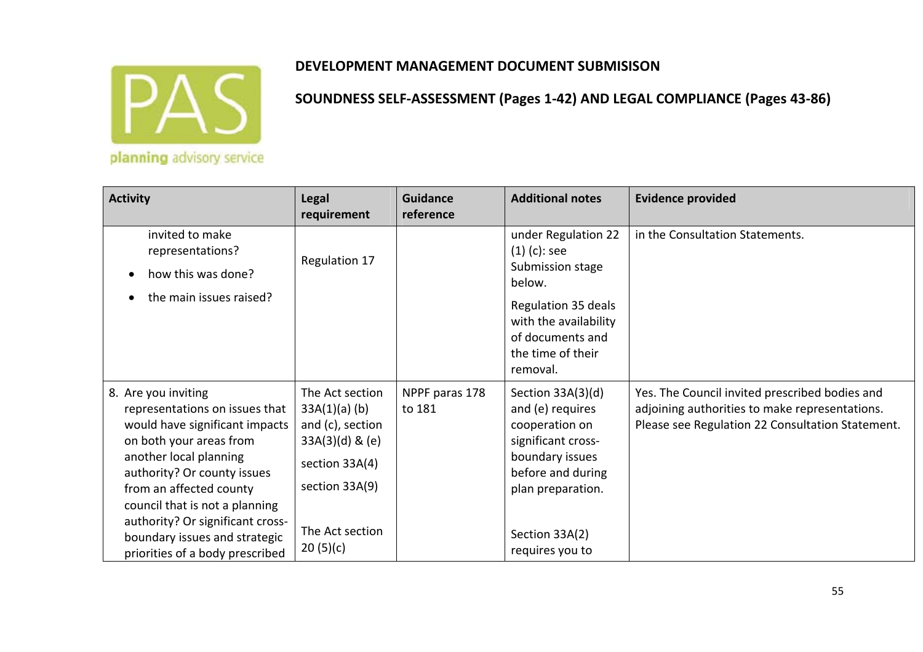

| <b>Activity</b>                                                                                                                                                                                                                                                                                                                                  | <b>Legal</b><br>requirement                                                                                                                    | <b>Guidance</b><br>reference | <b>Additional notes</b>                                                                                                                                                         | <b>Evidence provided</b>                                                                                                                             |
|--------------------------------------------------------------------------------------------------------------------------------------------------------------------------------------------------------------------------------------------------------------------------------------------------------------------------------------------------|------------------------------------------------------------------------------------------------------------------------------------------------|------------------------------|---------------------------------------------------------------------------------------------------------------------------------------------------------------------------------|------------------------------------------------------------------------------------------------------------------------------------------------------|
| invited to make<br>representations?<br>how this was done?<br>the main issues raised?                                                                                                                                                                                                                                                             | Regulation 17                                                                                                                                  |                              | under Regulation 22<br>$(1)$ (c): see<br>Submission stage<br>below.                                                                                                             | in the Consultation Statements.                                                                                                                      |
|                                                                                                                                                                                                                                                                                                                                                  |                                                                                                                                                |                              | Regulation 35 deals<br>with the availability<br>of documents and<br>the time of their<br>removal.                                                                               |                                                                                                                                                      |
| 8. Are you inviting<br>representations on issues that<br>would have significant impacts<br>on both your areas from<br>another local planning<br>authority? Or county issues<br>from an affected county<br>council that is not a planning<br>authority? Or significant cross-<br>boundary issues and strategic<br>priorities of a body prescribed | The Act section<br>$33A(1)(a)$ (b)<br>and (c), section<br>$33A(3)(d)$ & (e)<br>section 33A(4)<br>section 33A(9)<br>The Act section<br>20(5)(c) | NPPF paras 178<br>to 181     | Section 33A(3)(d)<br>and (e) requires<br>cooperation on<br>significant cross-<br>boundary issues<br>before and during<br>plan preparation.<br>Section 33A(2)<br>requires you to | Yes. The Council invited prescribed bodies and<br>adjoining authorities to make representations.<br>Please see Regulation 22 Consultation Statement. |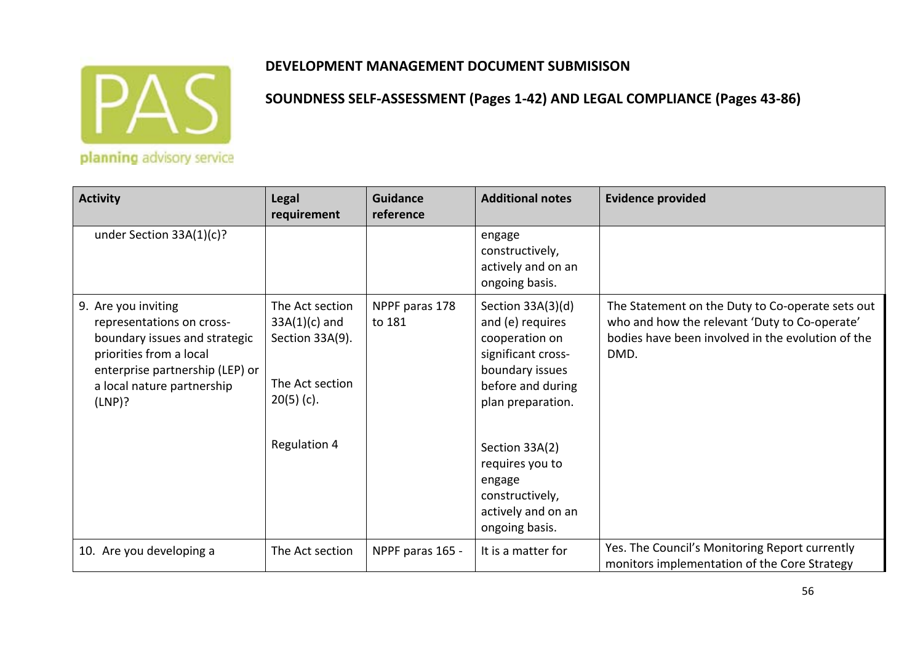

planning advisory service

| <b>Activity</b>                                                                                                                                                                         | <b>Legal</b><br>requirement                                                                                     | <b>Guidance</b><br>reference | <b>Additional notes</b>                                                                                                                                                                                                                              | <b>Evidence provided</b>                                                                                                                                       |
|-----------------------------------------------------------------------------------------------------------------------------------------------------------------------------------------|-----------------------------------------------------------------------------------------------------------------|------------------------------|------------------------------------------------------------------------------------------------------------------------------------------------------------------------------------------------------------------------------------------------------|----------------------------------------------------------------------------------------------------------------------------------------------------------------|
| under Section $33A(1)(c)?$                                                                                                                                                              |                                                                                                                 |                              | engage<br>constructively,<br>actively and on an<br>ongoing basis.                                                                                                                                                                                    |                                                                                                                                                                |
| 9. Are you inviting<br>representations on cross-<br>boundary issues and strategic<br>priorities from a local<br>enterprise partnership (LEP) or<br>a local nature partnership<br>(LNP)? | The Act section<br>$33A(1)(c)$ and<br>Section 33A(9).<br>The Act section<br>$20(5)$ (c).<br><b>Regulation 4</b> | NPPF paras 178<br>to 181     | Section 33A(3)(d)<br>and (e) requires<br>cooperation on<br>significant cross-<br>boundary issues<br>before and during<br>plan preparation.<br>Section 33A(2)<br>requires you to<br>engage<br>constructively,<br>actively and on an<br>ongoing basis. | The Statement on the Duty to Co-operate sets out<br>who and how the relevant 'Duty to Co-operate'<br>bodies have been involved in the evolution of the<br>DMD. |
| 10. Are you developing a                                                                                                                                                                | The Act section                                                                                                 | NPPF paras 165 -             | It is a matter for                                                                                                                                                                                                                                   | Yes. The Council's Monitoring Report currently<br>monitors implementation of the Core Strategy                                                                 |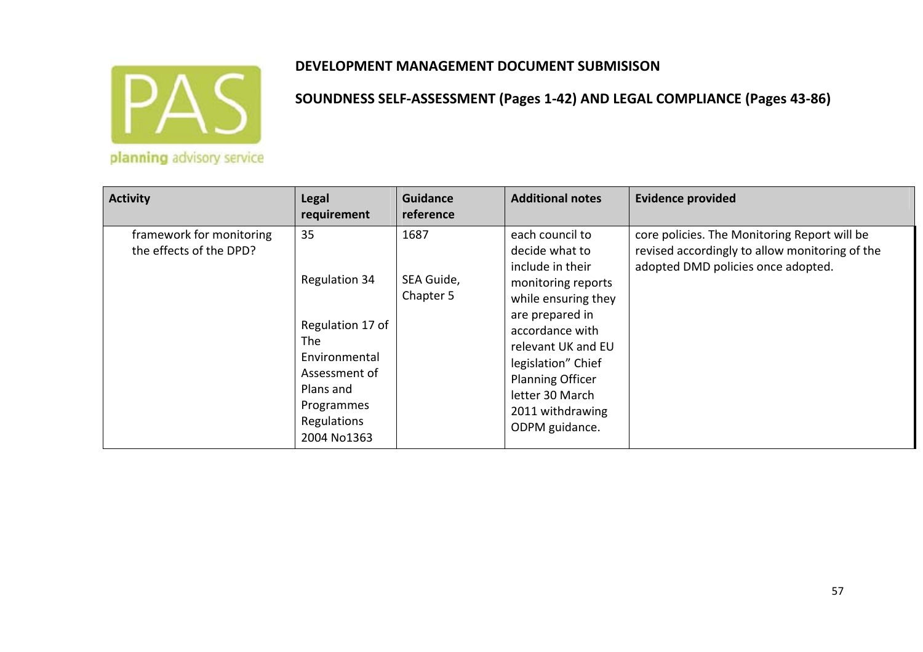

| <b>Activity</b>                                     | <b>Legal</b><br>requirement                                                                                                               | Guidance<br>reference           | <b>Additional notes</b>                                                                                                                                                                                                                                                  | <b>Evidence provided</b>                                                                                                             |
|-----------------------------------------------------|-------------------------------------------------------------------------------------------------------------------------------------------|---------------------------------|--------------------------------------------------------------------------------------------------------------------------------------------------------------------------------------------------------------------------------------------------------------------------|--------------------------------------------------------------------------------------------------------------------------------------|
| framework for monitoring<br>the effects of the DPD? | 35<br>Regulation 34<br>Regulation 17 of<br>The<br>Environmental<br>Assessment of<br>Plans and<br>Programmes<br>Regulations<br>2004 No1363 | 1687<br>SEA Guide,<br>Chapter 5 | each council to<br>decide what to<br>include in their<br>monitoring reports<br>while ensuring they<br>are prepared in<br>accordance with<br>relevant UK and EU<br>legislation" Chief<br><b>Planning Officer</b><br>letter 30 March<br>2011 withdrawing<br>ODPM guidance. | core policies. The Monitoring Report will be<br>revised accordingly to allow monitoring of the<br>adopted DMD policies once adopted. |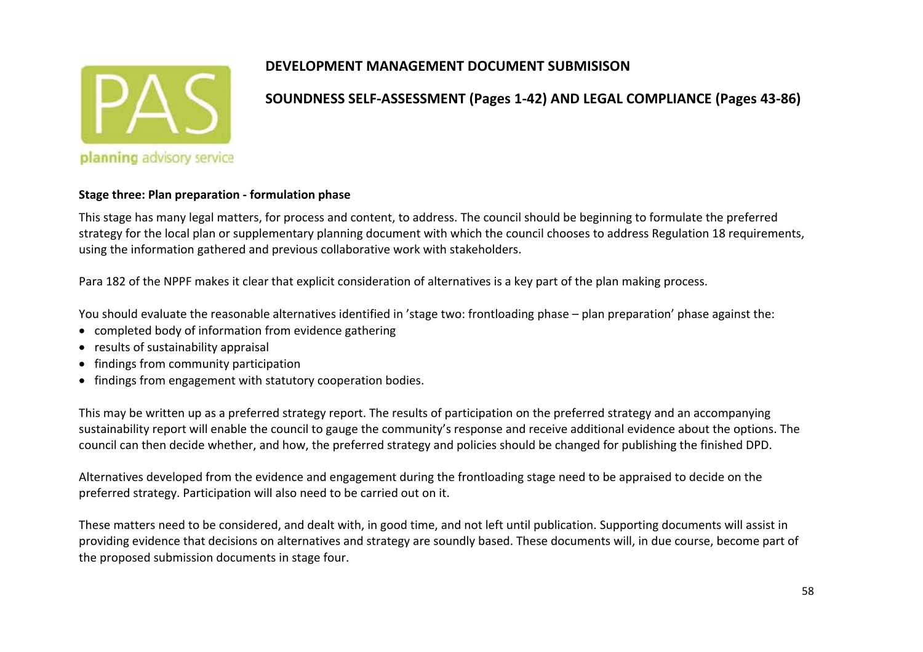

#### **SOUNDNESS SELF‐ASSESSMENT (Pages 1‐42) AND LEGAL COMPLIANCE (Pages 43‐86)**

#### **Stage three: Plan preparation ‐ formulation phase**

This stage has many legal matters, for process and content, to address. The council should be beginning to formulate the preferred strategy for the local plan or supplementary planning document with which the council chooses to address Regulation 18 requirements, using the information gathered and previous collaborative work with stakeholders.

Para 182 of the NPPF makes it clear that explicit consideration of alternatives is <sup>a</sup> key part of the plan making process.

You should evaluate the reasonable alternatives identified in 'stage two: frontloading phase – plan preparation' phase against the:

- completed body of information from evidence gathering
- results of sustainability appraisal
- findings from community participation
- **•** findings from engagement with statutory cooperation bodies.

This may be written up as <sup>a</sup> preferred strategy report. The results of participation on the preferred strategy and an accompanying sustainability report will enable the council to gauge the community's response and receive additional evidence about the options. The council can then decide whether, and how, the preferred strategy and policies should be changed for publishing the finished DPD.

Alternatives developed from the evidence and engagement during the frontloading stage need to be appraised to decide on the preferred strategy. Participation will also need to be carried out on it.

These matters need to be considered, and dealt with, in good time, and not left until publication. Supporting documents will assist in providing evidence that decisions on alternatives and strategy are soundly based. These documents will, in due course, become part of the proposed submission documents in stage four.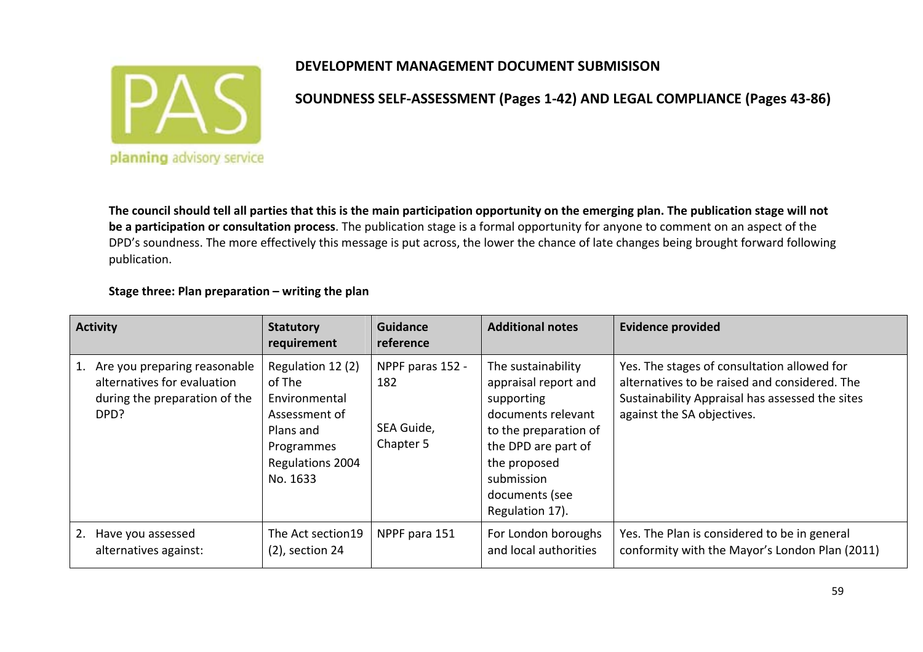

**SOUNDNESS SELF‐ASSESSMENT (Pages 1‐42) AND LEGAL COMPLIANCE (Pages 43‐86)**

The council should tell all parties that this is the main participation opportunity on the emerging plan. The publication stage will not **be <sup>a</sup> participation or consultation process**. The publication stage is <sup>a</sup> formal opportunity for anyone to comment on an aspect of the DPD's soundness. The more effectively this message is put across, the lower the chance of late changes being brought forward following publication.

#### **Stage three: Plan preparation – writing the plan**

| <b>Activity</b>                                                                                      | <b>Statutory</b><br>requirement                                                                                          | <b>Guidance</b><br>reference                       | <b>Additional notes</b>                                                                                                                                                                           | <b>Evidence provided</b>                                                                                                                                                      |
|------------------------------------------------------------------------------------------------------|--------------------------------------------------------------------------------------------------------------------------|----------------------------------------------------|---------------------------------------------------------------------------------------------------------------------------------------------------------------------------------------------------|-------------------------------------------------------------------------------------------------------------------------------------------------------------------------------|
| Are you preparing reasonable<br>alternatives for evaluation<br>during the preparation of the<br>DPD? | Regulation 12 (2)<br>of The<br>Environmental<br>Assessment of<br>Plans and<br>Programmes<br>Regulations 2004<br>No. 1633 | NPPF paras 152 -<br>182<br>SEA Guide,<br>Chapter 5 | The sustainability<br>appraisal report and<br>supporting<br>documents relevant<br>to the preparation of<br>the DPD are part of<br>the proposed<br>submission<br>documents (see<br>Regulation 17). | Yes. The stages of consultation allowed for<br>alternatives to be raised and considered. The<br>Sustainability Appraisal has assessed the sites<br>against the SA objectives. |
| Have you assessed<br>alternatives against:                                                           | The Act section19<br>$(2)$ , section 24                                                                                  | NPPF para 151                                      | For London boroughs<br>and local authorities                                                                                                                                                      | Yes. The Plan is considered to be in general<br>conformity with the Mayor's London Plan (2011)                                                                                |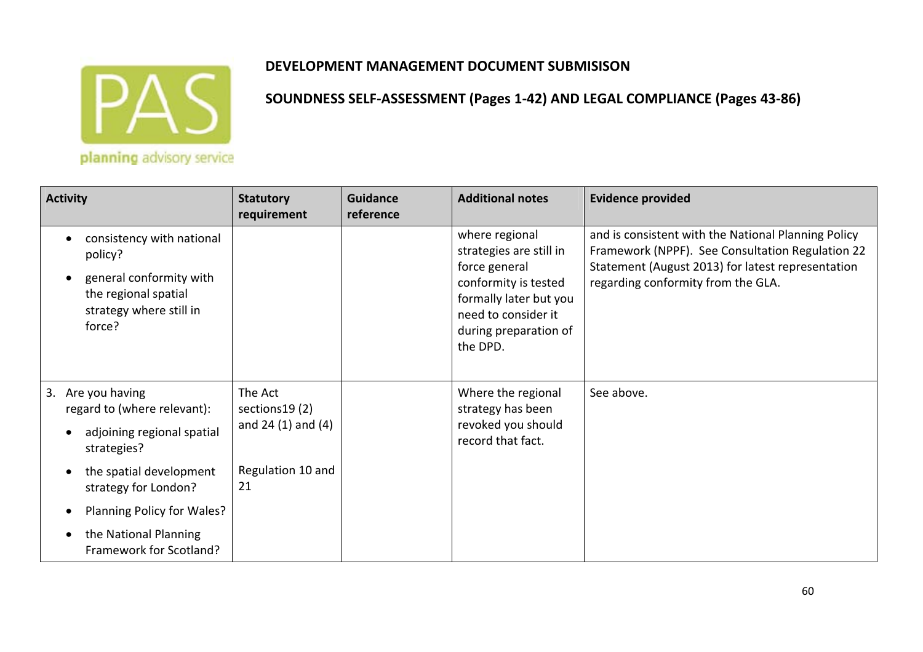

| <b>Statutory</b><br>requirement                     | <b>Guidance</b><br>reference | <b>Additional notes</b>                                                                                                                                                  | <b>Evidence provided</b>                                                                                                                                                                           |
|-----------------------------------------------------|------------------------------|--------------------------------------------------------------------------------------------------------------------------------------------------------------------------|----------------------------------------------------------------------------------------------------------------------------------------------------------------------------------------------------|
|                                                     |                              | where regional<br>strategies are still in<br>force general<br>conformity is tested<br>formally later but you<br>need to consider it<br>during preparation of<br>the DPD. | and is consistent with the National Planning Policy<br>Framework (NPPF). See Consultation Regulation 22<br>Statement (August 2013) for latest representation<br>regarding conformity from the GLA. |
| The Act<br>sections 19 (2)<br>and $24(1)$ and $(4)$ |                              | Where the regional<br>strategy has been<br>revoked you should<br>record that fact.                                                                                       | See above.                                                                                                                                                                                         |
| Regulation 10 and<br>21                             |                              |                                                                                                                                                                          |                                                                                                                                                                                                    |
|                                                     |                              |                                                                                                                                                                          |                                                                                                                                                                                                    |
|                                                     |                              |                                                                                                                                                                          |                                                                                                                                                                                                    |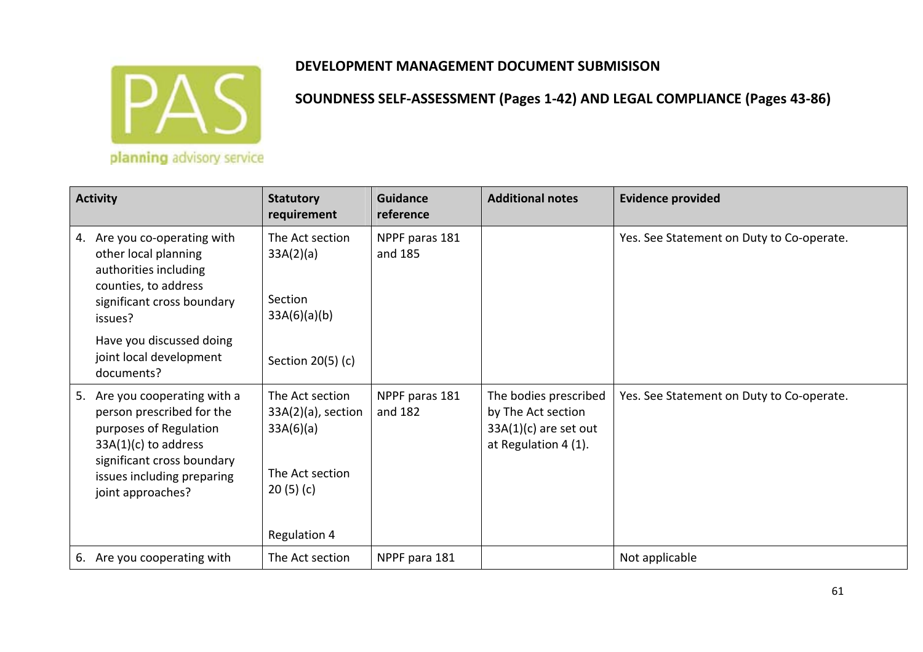

| <b>Activity</b>                                                                                                                                                                                    | <b>Statutory</b><br>requirement                                                                      | <b>Guidance</b><br>reference | <b>Additional notes</b>                                                                        | <b>Evidence provided</b>                  |
|----------------------------------------------------------------------------------------------------------------------------------------------------------------------------------------------------|------------------------------------------------------------------------------------------------------|------------------------------|------------------------------------------------------------------------------------------------|-------------------------------------------|
| Are you co-operating with<br>4.<br>other local planning<br>authorities including<br>counties, to address<br>significant cross boundary<br>issues?                                                  | The Act section<br>33A(2)(a)<br>Section<br>33A(6)(a)(b)                                              | NPPF paras 181<br>and 185    |                                                                                                | Yes. See Statement on Duty to Co-operate. |
| Have you discussed doing<br>joint local development<br>documents?                                                                                                                                  | Section 20(5) (c)                                                                                    |                              |                                                                                                |                                           |
| Are you cooperating with a<br>5.<br>person prescribed for the<br>purposes of Regulation<br>$33A(1)(c)$ to address<br>significant cross boundary<br>issues including preparing<br>joint approaches? | The Act section<br>$33A(2)(a)$ , section<br>33A(6)(a)<br>The Act section<br>20(5)(c)<br>Regulation 4 | NPPF paras 181<br>and 182    | The bodies prescribed<br>by The Act section<br>$33A(1)(c)$ are set out<br>at Regulation 4 (1). | Yes. See Statement on Duty to Co-operate. |
| 6. Are you cooperating with                                                                                                                                                                        | The Act section                                                                                      | NPPF para 181                |                                                                                                | Not applicable                            |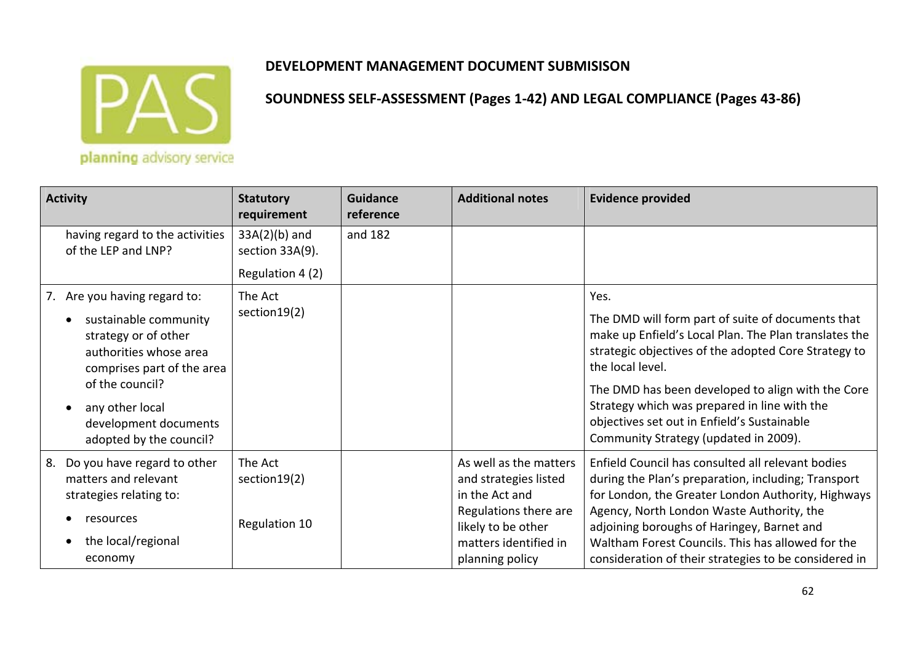

| planning advisory service |  |
|---------------------------|--|

| <b>Activity</b>                                                                                                                                                                                                                 | <b>Statutory</b><br>requirement                        | <b>Guidance</b><br>reference | <b>Additional notes</b>                                                                                                                                      | <b>Evidence provided</b>                                                                                                                                                                                                                                                                                                                                                                    |
|---------------------------------------------------------------------------------------------------------------------------------------------------------------------------------------------------------------------------------|--------------------------------------------------------|------------------------------|--------------------------------------------------------------------------------------------------------------------------------------------------------------|---------------------------------------------------------------------------------------------------------------------------------------------------------------------------------------------------------------------------------------------------------------------------------------------------------------------------------------------------------------------------------------------|
| having regard to the activities<br>of the LEP and LNP?                                                                                                                                                                          | $33A(2)(b)$ and<br>section 33A(9).<br>Regulation 4 (2) | and 182                      |                                                                                                                                                              |                                                                                                                                                                                                                                                                                                                                                                                             |
| 7. Are you having regard to:<br>sustainable community<br>strategy or of other<br>authorities whose area<br>comprises part of the area<br>of the council?<br>any other local<br>development documents<br>adopted by the council? | The Act<br>section19(2)                                |                              |                                                                                                                                                              | Yes.<br>The DMD will form part of suite of documents that<br>make up Enfield's Local Plan. The Plan translates the<br>strategic objectives of the adopted Core Strategy to<br>the local level.<br>The DMD has been developed to align with the Core<br>Strategy which was prepared in line with the<br>objectives set out in Enfield's Sustainable<br>Community Strategy (updated in 2009). |
| Do you have regard to other<br>8.<br>matters and relevant<br>strategies relating to:<br>resources<br>the local/regional<br>economy                                                                                              | The Act<br>section 19(2)<br>Regulation 10              |                              | As well as the matters<br>and strategies listed<br>in the Act and<br>Regulations there are<br>likely to be other<br>matters identified in<br>planning policy | Enfield Council has consulted all relevant bodies<br>during the Plan's preparation, including; Transport<br>for London, the Greater London Authority, Highways<br>Agency, North London Waste Authority, the<br>adjoining boroughs of Haringey, Barnet and<br>Waltham Forest Councils. This has allowed for the<br>consideration of their strategies to be considered in                     |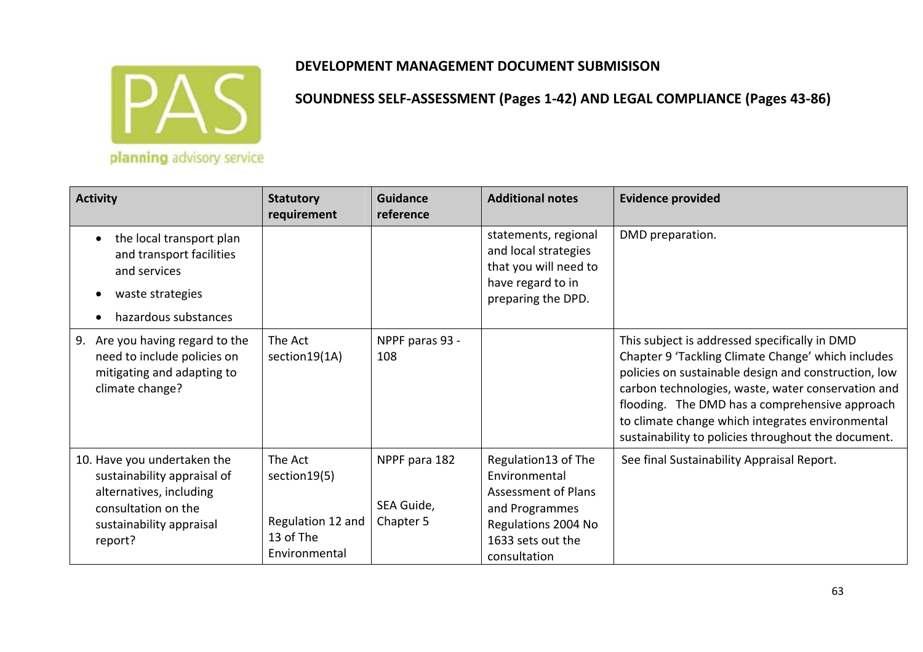

| <b>Activity</b>                                                                                                                                     | <b>Statutory</b><br>requirement                                             | <b>Guidance</b><br>reference             | <b>Additional notes</b>                                                                                                                          | <b>Evidence provided</b>                                                                                                                                                                                                                                                                                                                                                       |
|-----------------------------------------------------------------------------------------------------------------------------------------------------|-----------------------------------------------------------------------------|------------------------------------------|--------------------------------------------------------------------------------------------------------------------------------------------------|--------------------------------------------------------------------------------------------------------------------------------------------------------------------------------------------------------------------------------------------------------------------------------------------------------------------------------------------------------------------------------|
| the local transport plan<br>$\bullet$<br>and transport facilities<br>and services<br>waste strategies<br>٠<br>hazardous substances                  |                                                                             |                                          | statements, regional<br>and local strategies<br>that you will need to<br>have regard to in<br>preparing the DPD.                                 | DMD preparation.                                                                                                                                                                                                                                                                                                                                                               |
| 9. Are you having regard to the<br>need to include policies on<br>mitigating and adapting to<br>climate change?                                     | The Act<br>section19(1A)                                                    | NPPF paras 93 -<br>108                   |                                                                                                                                                  | This subject is addressed specifically in DMD<br>Chapter 9 'Tackling Climate Change' which includes<br>policies on sustainable design and construction, low<br>carbon technologies, waste, water conservation and<br>flooding. The DMD has a comprehensive approach<br>to climate change which integrates environmental<br>sustainability to policies throughout the document. |
| 10. Have you undertaken the<br>sustainability appraisal of<br>alternatives, including<br>consultation on the<br>sustainability appraisal<br>report? | The Act<br>section 19(5)<br>Regulation 12 and<br>13 of The<br>Environmental | NPPF para 182<br>SEA Guide,<br>Chapter 5 | Regulation13 of The<br>Environmental<br><b>Assessment of Plans</b><br>and Programmes<br>Regulations 2004 No<br>1633 sets out the<br>consultation | See final Sustainability Appraisal Report.                                                                                                                                                                                                                                                                                                                                     |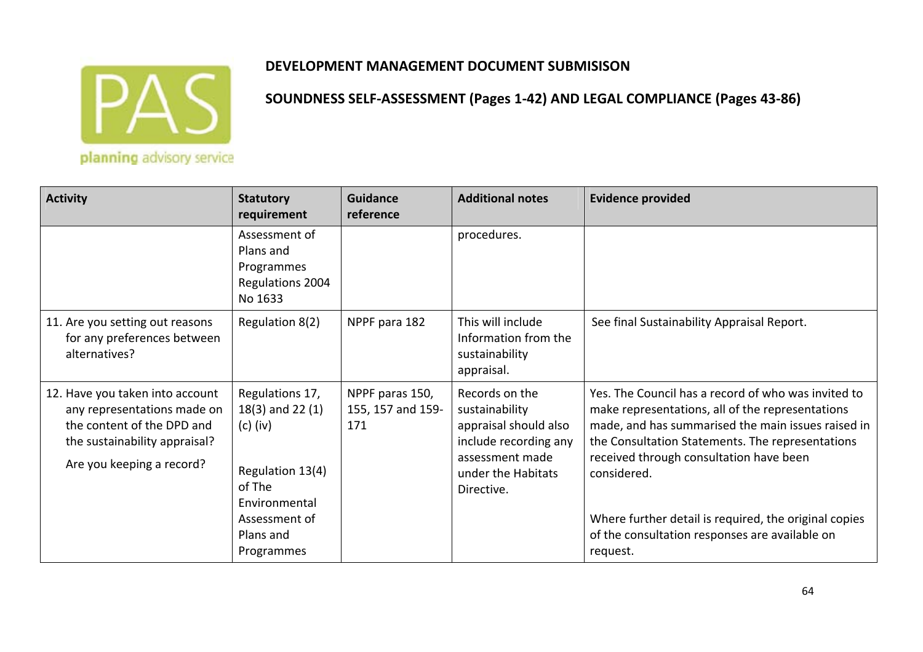

| <b>Activity</b>                                                                                                                                            | <b>Statutory</b><br>requirement                                                                                       | Guidance<br>reference                       | <b>Additional notes</b>                                                                                                                   | <b>Evidence provided</b>                                                                                                                                                                                                                                                                                                             |
|------------------------------------------------------------------------------------------------------------------------------------------------------------|-----------------------------------------------------------------------------------------------------------------------|---------------------------------------------|-------------------------------------------------------------------------------------------------------------------------------------------|--------------------------------------------------------------------------------------------------------------------------------------------------------------------------------------------------------------------------------------------------------------------------------------------------------------------------------------|
|                                                                                                                                                            | Assessment of<br>Plans and<br>Programmes<br>Regulations 2004<br>No 1633                                               |                                             | procedures.                                                                                                                               |                                                                                                                                                                                                                                                                                                                                      |
| 11. Are you setting out reasons<br>for any preferences between<br>alternatives?                                                                            | Regulation 8(2)                                                                                                       | NPPF para 182                               | This will include<br>Information from the<br>sustainability<br>appraisal.                                                                 | See final Sustainability Appraisal Report.                                                                                                                                                                                                                                                                                           |
| 12. Have you taken into account<br>any representations made on<br>the content of the DPD and<br>the sustainability appraisal?<br>Are you keeping a record? | Regulations 17,<br>$18(3)$ and 22 $(1)$<br>$(c)$ (iv)<br>Regulation 13(4)<br>of The<br>Environmental<br>Assessment of | NPPF paras 150,<br>155, 157 and 159-<br>171 | Records on the<br>sustainability<br>appraisal should also<br>include recording any<br>assessment made<br>under the Habitats<br>Directive. | Yes. The Council has a record of who was invited to<br>make representations, all of the representations<br>made, and has summarised the main issues raised in<br>the Consultation Statements. The representations<br>received through consultation have been<br>considered.<br>Where further detail is required, the original copies |
|                                                                                                                                                            | Plans and<br>Programmes                                                                                               |                                             |                                                                                                                                           | of the consultation responses are available on<br>request.                                                                                                                                                                                                                                                                           |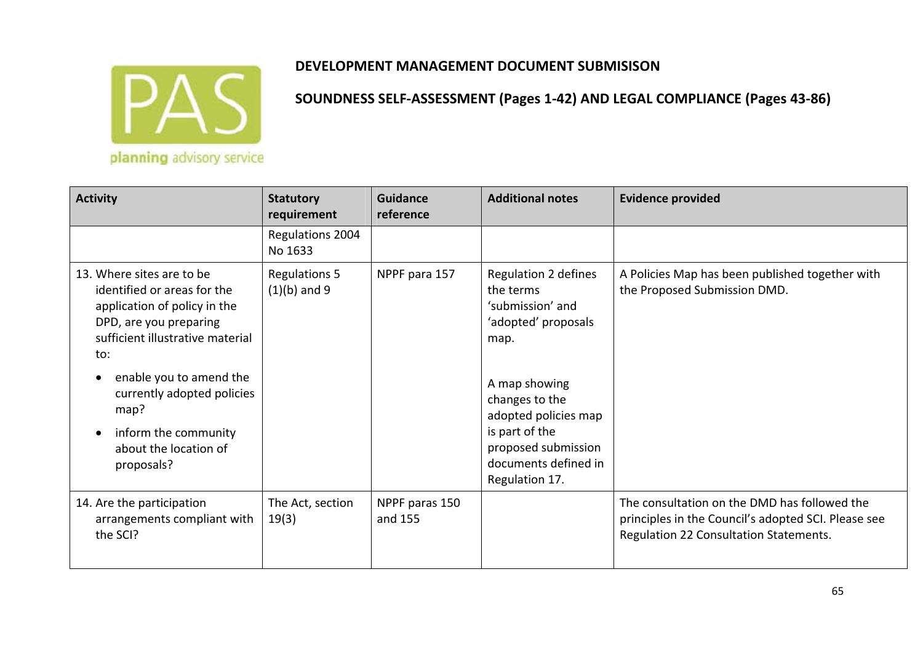

| <b>Activity</b>                                                                                                                                                                                                                                                                                            | <b>Statutory</b><br>requirement        | <b>Guidance</b><br>reference | <b>Additional notes</b>                                                                                                                                                                                                            | <b>Evidence provided</b>                                                                                                                      |
|------------------------------------------------------------------------------------------------------------------------------------------------------------------------------------------------------------------------------------------------------------------------------------------------------------|----------------------------------------|------------------------------|------------------------------------------------------------------------------------------------------------------------------------------------------------------------------------------------------------------------------------|-----------------------------------------------------------------------------------------------------------------------------------------------|
|                                                                                                                                                                                                                                                                                                            | Regulations 2004<br>No 1633            |                              |                                                                                                                                                                                                                                    |                                                                                                                                               |
| 13. Where sites are to be<br>identified or areas for the<br>application of policy in the<br>DPD, are you preparing<br>sufficient illustrative material<br>to:<br>enable you to amend the<br>$\bullet$<br>currently adopted policies<br>map?<br>inform the community<br>about the location of<br>proposals? | <b>Regulations 5</b><br>$(1)(b)$ and 9 | NPPF para 157                | Regulation 2 defines<br>the terms<br>'submission' and<br>'adopted' proposals<br>map.<br>A map showing<br>changes to the<br>adopted policies map<br>is part of the<br>proposed submission<br>documents defined in<br>Regulation 17. | A Policies Map has been published together with<br>the Proposed Submission DMD.                                                               |
| 14. Are the participation<br>arrangements compliant with<br>the SCI?                                                                                                                                                                                                                                       | The Act, section<br>19(3)              | NPPF paras 150<br>and 155    |                                                                                                                                                                                                                                    | The consultation on the DMD has followed the<br>principles in the Council's adopted SCI. Please see<br>Regulation 22 Consultation Statements. |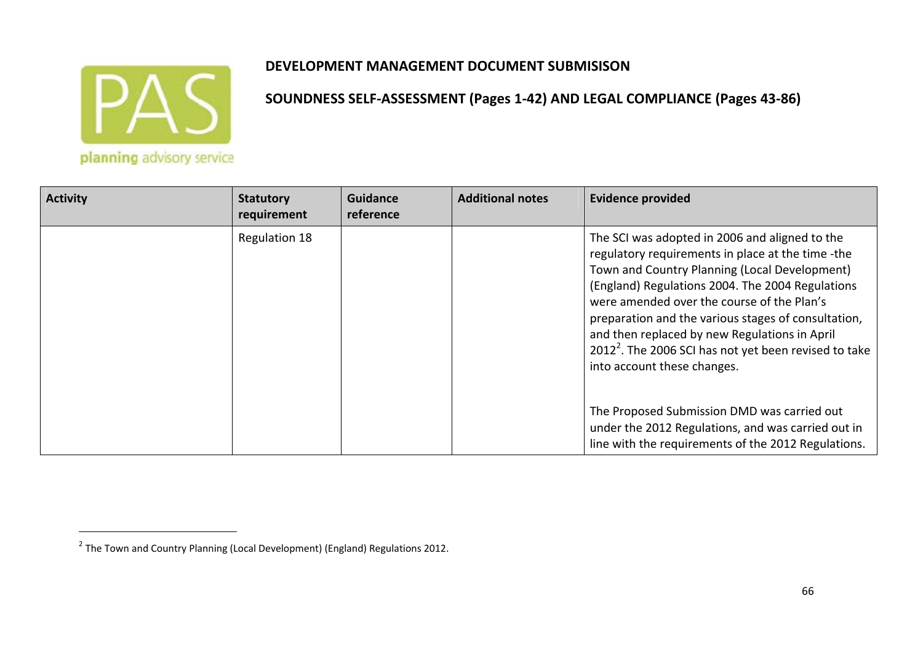

| <b>Activity</b> | <b>Statutory</b><br>requirement | <b>Guidance</b><br>reference | <b>Additional notes</b> | <b>Evidence provided</b>                                                                                                                                                                                                                                                                                                                                                                                                                                           |
|-----------------|---------------------------------|------------------------------|-------------------------|--------------------------------------------------------------------------------------------------------------------------------------------------------------------------------------------------------------------------------------------------------------------------------------------------------------------------------------------------------------------------------------------------------------------------------------------------------------------|
|                 | Regulation 18                   |                              |                         | The SCI was adopted in 2006 and aligned to the<br>regulatory requirements in place at the time -the<br>Town and Country Planning (Local Development)<br>(England) Regulations 2004. The 2004 Regulations<br>were amended over the course of the Plan's<br>preparation and the various stages of consultation,<br>and then replaced by new Regulations in April<br>2012 <sup>2</sup> . The 2006 SCI has not yet been revised to take<br>into account these changes. |
|                 |                                 |                              |                         | The Proposed Submission DMD was carried out<br>under the 2012 Regulations, and was carried out in<br>line with the requirements of the 2012 Regulations.                                                                                                                                                                                                                                                                                                           |

 $^2$  The Town and Country Planning (Local Development) (England) Regulations 2012.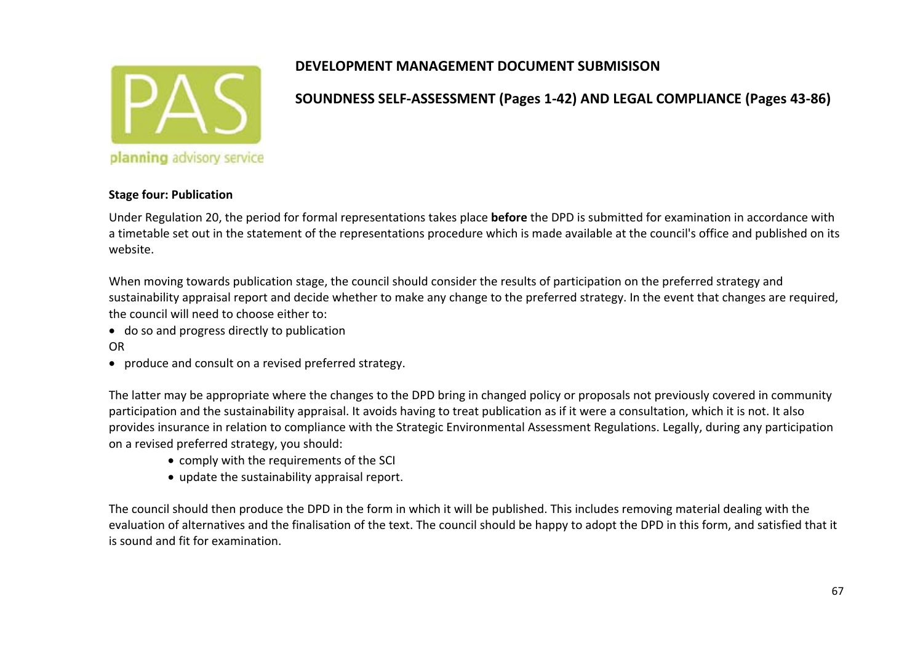

# **SOUNDNESS SELF‐ASSESSMENT (Pages 1‐42) AND LEGAL COMPLIANCE (Pages 43‐86)**

#### **Stage four: Publication**

Under Regulation 20, the period for formal representations takes place **before** the DPD is submitted for examination in accordance with a timetable set out in the statement of the representations procedure which is made available at the council's office and published on its website.

When moving towards publication stage, the council should consider the results of participation on the preferred strategy and sustainability appraisal report and decide whether to make any change to the preferred strategy. In the event that changes are required, the council will need to choose either to:

- do so and progress directly to publication OR
- produce and consult on <sup>a</sup> revised preferred strategy.

The latter may be appropriate where the changes to the DPD bring in changed policy or proposals not previously covered in community participation and the sustainability appraisal. It avoids having to treat publication as if it were <sup>a</sup> consultation, which it is not. It also provides insurance in relation to compliance with the Strategic Environmental Assessment Regulations. Legally, during any participation on <sup>a</sup> revised preferred strategy, you should:

- comply with the requirements of the SCI
- update the sustainability appraisal report.

The council should then produce the DPD in the form in which it will be published. This includes removing material dealing with the evaluation of alternatives and the finalisation of the text. The council should be happy to adopt the DPD in this form, and satisfied that it is sound and fit for examination.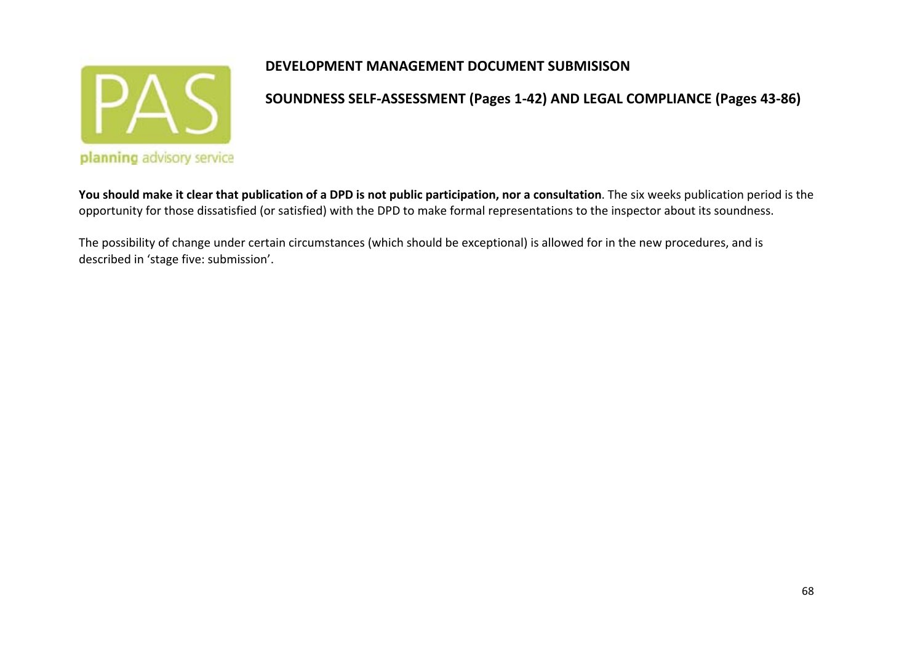

**SOUNDNESS SELF‐ASSESSMENT (Pages 1‐42) AND LEGAL COMPLIANCE (Pages 43‐86)**

You should make it clear that publication of a DPD is not public participation, nor a consultation. The six weeks publication period is the opportunity for those dissatisfied (or satisfied) with the DPD to make formal representations to the inspector about its soundness.

The possibility of change under certain circumstances (which should be exceptional) is allowed for in the new procedures, and is described in 'stage five: submission'.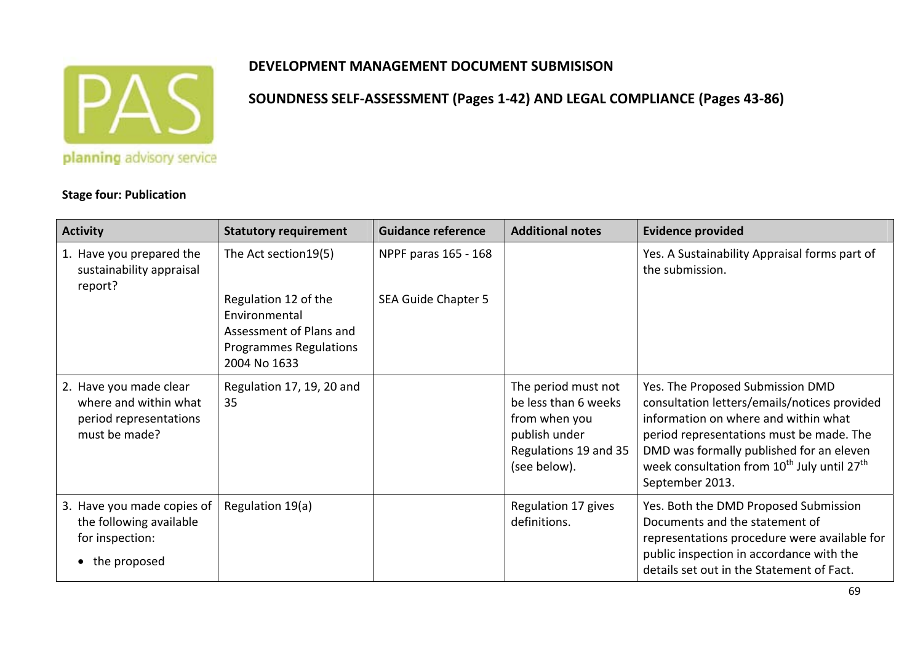

**SOUNDNESS SELF‐ASSESSMENT (Pages 1‐42) AND LEGAL COMPLIANCE (Pages 43‐86)**

**Stage four: Publication**

#### **Activity Statutory requirement Guidance reference Additional notes Evidence provided** 1. Have you prepared the sustainability appraisal report? The Act section19(5) Regulation 12 of the EnvironmentalAssessment of Plans andProgrammes Regulations 2004 No 1633 NPPF paras 165 ‐ 168 SEA Guide Chapter 5 Yes. A Sustainability Appraisal forms part of the submission. 2. Have you made clear where and within what period representations must be made? Regulation 17, 19, 20 and 35The period must not be less than 6 weeks from when you publish under Regulations 19 and 35 (see below). Yes. The Proposed Submission DMD consultation letters/emails/notices provided information on where and within what period representations must be made. The DMD was formally published for an eleven week consultation from  $10^{\text{th}}$  July until 27 $^{\text{th}}$ September 2013. 3. Have you made copies of the following available for inspection: • the proposed Regulation 19(a) Regulation 17 gives definitions.Yes. Both the DMD Proposed Submission Documents and the statement of representations procedure were available for public inspection in accordance with the details set out in the Statement of Fact.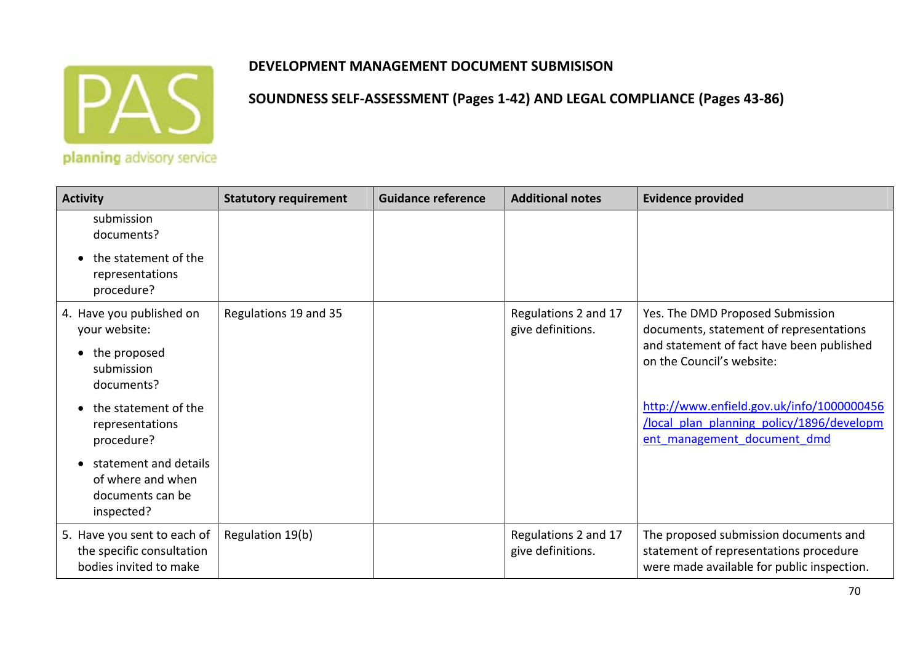

| <b>Activity</b>                                                                    | <b>Statutory requirement</b> | <b>Guidance reference</b> | <b>Additional notes</b>                   | <b>Evidence provided</b>                                                                                                      |
|------------------------------------------------------------------------------------|------------------------------|---------------------------|-------------------------------------------|-------------------------------------------------------------------------------------------------------------------------------|
| submission<br>documents?                                                           |                              |                           |                                           |                                                                                                                               |
| the statement of the<br>representations<br>procedure?                              |                              |                           |                                           |                                                                                                                               |
| 4. Have you published on<br>your website:                                          | Regulations 19 and 35        |                           | Regulations 2 and 17<br>give definitions. | Yes. The DMD Proposed Submission<br>documents, statement of representations                                                   |
| the proposed<br>submission<br>documents?                                           |                              |                           |                                           | and statement of fact have been published<br>on the Council's website:                                                        |
| the statement of the<br>representations<br>procedure?                              |                              |                           |                                           | http://www.enfield.gov.uk/info/1000000456<br>/local plan planning policy/1896/developm<br>ent management document dmd         |
| statement and details<br>of where and when<br>documents can be<br>inspected?       |                              |                           |                                           |                                                                                                                               |
| 5. Have you sent to each of<br>the specific consultation<br>bodies invited to make | Regulation 19(b)             |                           | Regulations 2 and 17<br>give definitions. | The proposed submission documents and<br>statement of representations procedure<br>were made available for public inspection. |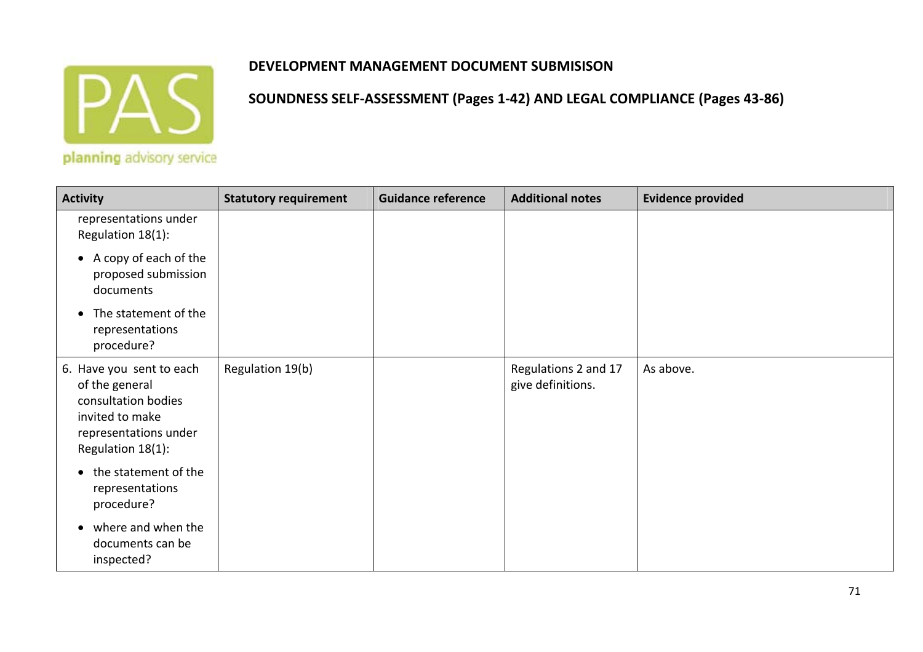

| <b>Activity</b>                                                                                                                    | <b>Statutory requirement</b> | <b>Guidance reference</b> | <b>Additional notes</b>                   | <b>Evidence provided</b> |
|------------------------------------------------------------------------------------------------------------------------------------|------------------------------|---------------------------|-------------------------------------------|--------------------------|
| representations under<br>Regulation 18(1):                                                                                         |                              |                           |                                           |                          |
| • A copy of each of the<br>proposed submission<br>documents                                                                        |                              |                           |                                           |                          |
| The statement of the<br>representations<br>procedure?                                                                              |                              |                           |                                           |                          |
| 6. Have you sent to each<br>of the general<br>consultation bodies<br>invited to make<br>representations under<br>Regulation 18(1): | Regulation 19(b)             |                           | Regulations 2 and 17<br>give definitions. | As above.                |
| the statement of the<br>$\bullet$<br>representations<br>procedure?                                                                 |                              |                           |                                           |                          |
| where and when the<br>documents can be<br>inspected?                                                                               |                              |                           |                                           |                          |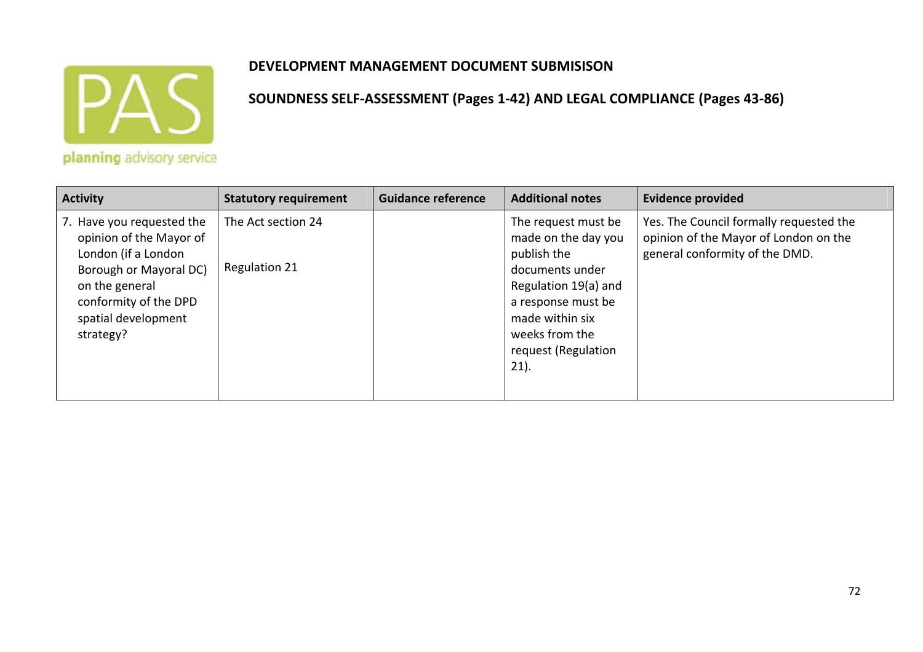

**SOUNDNESS SELF‐ASSESSMENT (Pages 1‐42) AND LEGAL COMPLIANCE (Pages 43‐86)**

planning advisory service

| <b>Activity</b>                                                                                                                                                                      | <b>Statutory requirement</b>               | <b>Guidance reference</b> | <b>Additional notes</b>                                                                                                                                                                           | <b>Evidence provided</b>                                                                                           |
|--------------------------------------------------------------------------------------------------------------------------------------------------------------------------------------|--------------------------------------------|---------------------------|---------------------------------------------------------------------------------------------------------------------------------------------------------------------------------------------------|--------------------------------------------------------------------------------------------------------------------|
| 7. Have you requested the<br>opinion of the Mayor of<br>London (if a London<br>Borough or Mayoral DC)<br>on the general<br>conformity of the DPD<br>spatial development<br>strategy? | The Act section 24<br><b>Regulation 21</b> |                           | The request must be<br>made on the day you<br>publish the<br>documents under<br>Regulation 19(a) and<br>a response must be<br>made within six<br>weeks from the<br>request (Regulation<br>$21$ ). | Yes. The Council formally requested the<br>opinion of the Mayor of London on the<br>general conformity of the DMD. |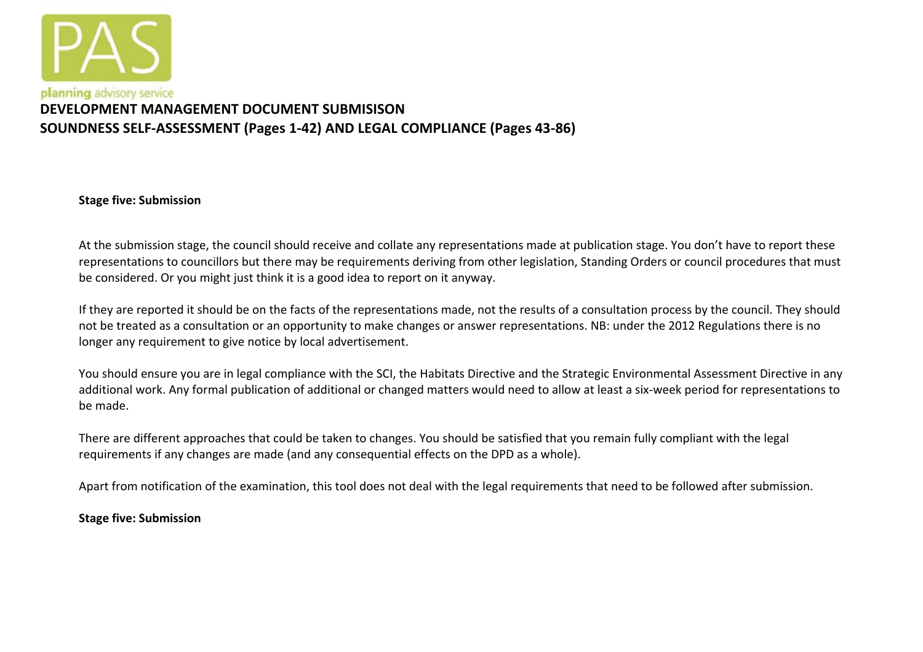

# **DEVELOPMENT MANAGEMENT DOCUMENT SUBMISISONSOUNDNESS SELF‐ASSESSMENT (Pages 1‐42) AND LEGAL COMPLIANCE (Pages 43‐86)**

**Stage five: Submission**

At the submission stage, the council should receive and collate any representations made at publication stage. You don't have to report these representations to councillors but there may be requirements deriving from other legislation, Standing Orders or council procedures that must be considered. Or you might just think it is <sup>a</sup> good idea to report on it anyway.

If they are reported it should be on the facts of the representations made, not the results of <sup>a</sup> consultation process by the council. They should not be treated as <sup>a</sup> consultation or an opportunity to make changes or answer representations. NB: under the 2012 Regulations there is no longer any requirement to give notice by local advertisement.

You should ensure you are in legal compliance with the SCI, the Habitats Directive and the Strategic Environmental Assessment Directive in any additional work. Any formal publication of additional or changed matters would need to allow at least <sup>a</sup> six‐week period for representations to be made.

There are different approaches that could be taken to changes. You should be satisfied that you remain fully compliant with the legal requirements if any changes are made (and any consequential effects on the DPD as <sup>a</sup> whole).

Apart from notification of the examination, this tool does not deal with the legal requirements that need to be followed after submission.

**Stage five: Submission**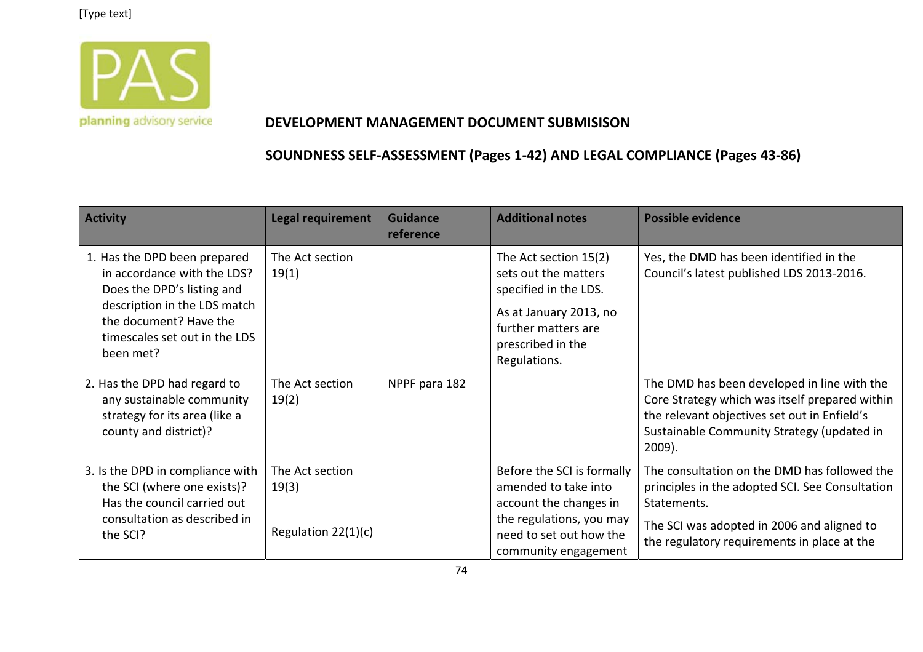

#### **DEVELOPMENT MANAGEMENT DOCUMENT SUBMISISON**

| <b>Activity</b>                                                                                                                                                                                   | <b>Legal requirement</b>                          | <b>Guidance</b><br>reference | <b>Additional notes</b>                                                                                                                                      | <b>Possible evidence</b>                                                                                                                                                                                    |
|---------------------------------------------------------------------------------------------------------------------------------------------------------------------------------------------------|---------------------------------------------------|------------------------------|--------------------------------------------------------------------------------------------------------------------------------------------------------------|-------------------------------------------------------------------------------------------------------------------------------------------------------------------------------------------------------------|
| 1. Has the DPD been prepared<br>in accordance with the LDS?<br>Does the DPD's listing and<br>description in the LDS match<br>the document? Have the<br>timescales set out in the LDS<br>been met? | The Act section<br>19(1)                          |                              | The Act section 15(2)<br>sets out the matters<br>specified in the LDS.<br>As at January 2013, no<br>further matters are<br>prescribed in the<br>Regulations. | Yes, the DMD has been identified in the<br>Council's latest published LDS 2013-2016.                                                                                                                        |
| 2. Has the DPD had regard to<br>any sustainable community<br>strategy for its area (like a<br>county and district)?                                                                               | The Act section<br>19(2)                          | NPPF para 182                |                                                                                                                                                              | The DMD has been developed in line with the<br>Core Strategy which was itself prepared within<br>the relevant objectives set out in Enfield's<br>Sustainable Community Strategy (updated in<br>$2009$ ).    |
| 3. Is the DPD in compliance with<br>the SCI (where one exists)?<br>Has the council carried out<br>consultation as described in<br>the SCI?                                                        | The Act section<br>19(3)<br>Regulation $22(1)(c)$ |                              | Before the SCI is formally<br>amended to take into<br>account the changes in<br>the regulations, you may<br>need to set out how the<br>community engagement  | The consultation on the DMD has followed the<br>principles in the adopted SCI. See Consultation<br>Statements.<br>The SCI was adopted in 2006 and aligned to<br>the regulatory requirements in place at the |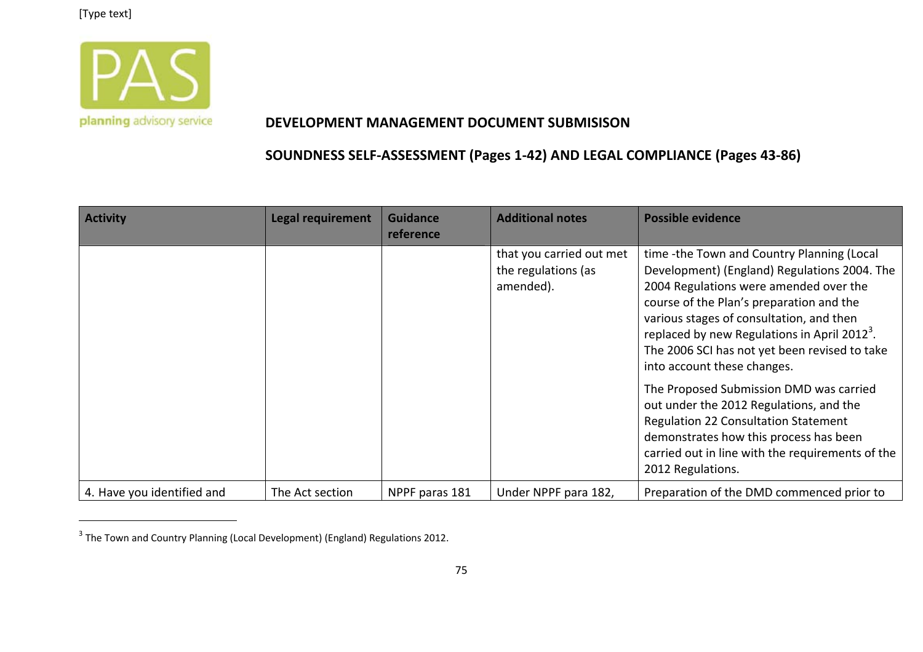

#### **DEVELOPMENT MANAGEMENT DOCUMENT SUBMISISON**

| <b>Activity</b>            | <b>Legal requirement</b> | <b>Guidance</b><br>reference | <b>Additional notes</b>                                      | <b>Possible evidence</b>                                                                                                                                                                                                                                                                                                                                                 |
|----------------------------|--------------------------|------------------------------|--------------------------------------------------------------|--------------------------------------------------------------------------------------------------------------------------------------------------------------------------------------------------------------------------------------------------------------------------------------------------------------------------------------------------------------------------|
|                            |                          |                              | that you carried out met<br>the regulations (as<br>amended). | time -the Town and Country Planning (Local<br>Development) (England) Regulations 2004. The<br>2004 Regulations were amended over the<br>course of the Plan's preparation and the<br>various stages of consultation, and then<br>replaced by new Regulations in April 2012 <sup>3</sup> .<br>The 2006 SCI has not yet been revised to take<br>into account these changes. |
|                            |                          |                              |                                                              | The Proposed Submission DMD was carried<br>out under the 2012 Regulations, and the<br><b>Regulation 22 Consultation Statement</b><br>demonstrates how this process has been<br>carried out in line with the requirements of the<br>2012 Regulations.                                                                                                                     |
| 4. Have you identified and | The Act section          | NPPF paras 181               | Under NPPF para 182,                                         | Preparation of the DMD commenced prior to                                                                                                                                                                                                                                                                                                                                |

 $^3$  The Town and Country Planning (Local Development) (England) Regulations 2012.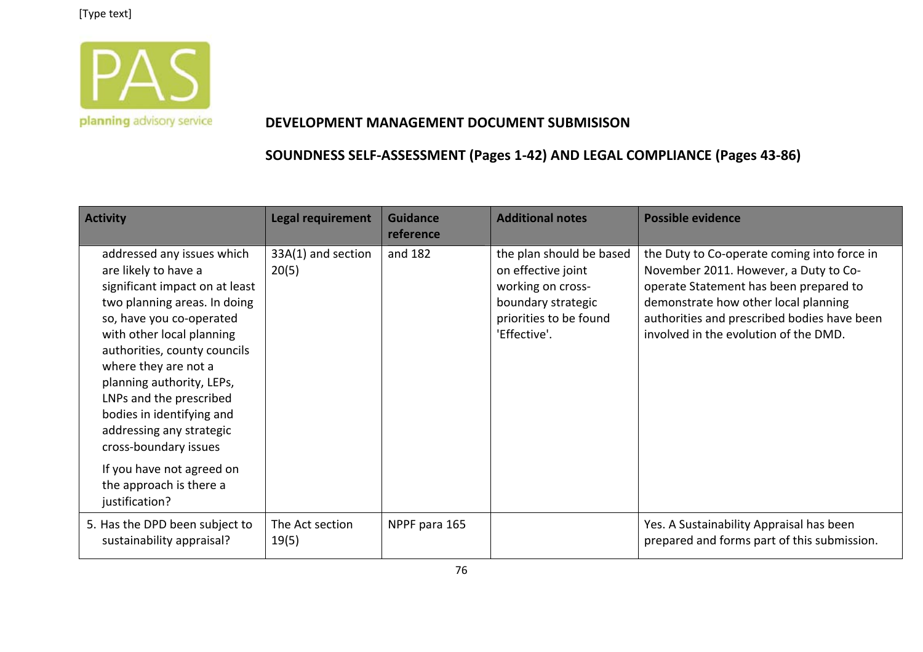

#### **DEVELOPMENT MANAGEMENT DOCUMENT SUBMISISON**

| <b>Activity</b>                                                                                                                                                                                                                                                                                                                                                                                                                                           | <b>Legal requirement</b>    | <b>Guidance</b><br>reference | <b>Additional notes</b>                                                                                                             | <b>Possible evidence</b>                                                                                                                                                                                                                                       |
|-----------------------------------------------------------------------------------------------------------------------------------------------------------------------------------------------------------------------------------------------------------------------------------------------------------------------------------------------------------------------------------------------------------------------------------------------------------|-----------------------------|------------------------------|-------------------------------------------------------------------------------------------------------------------------------------|----------------------------------------------------------------------------------------------------------------------------------------------------------------------------------------------------------------------------------------------------------------|
| addressed any issues which<br>are likely to have a<br>significant impact on at least<br>two planning areas. In doing<br>so, have you co-operated<br>with other local planning<br>authorities, county councils<br>where they are not a<br>planning authority, LEPs,<br>LNPs and the prescribed<br>bodies in identifying and<br>addressing any strategic<br>cross-boundary issues<br>If you have not agreed on<br>the approach is there a<br>justification? | 33A(1) and section<br>20(5) | and 182                      | the plan should be based<br>on effective joint<br>working on cross-<br>boundary strategic<br>priorities to be found<br>'Effective'. | the Duty to Co-operate coming into force in<br>November 2011. However, a Duty to Co-<br>operate Statement has been prepared to<br>demonstrate how other local planning<br>authorities and prescribed bodies have been<br>involved in the evolution of the DMD. |
| 5. Has the DPD been subject to<br>sustainability appraisal?                                                                                                                                                                                                                                                                                                                                                                                               | The Act section<br>19(5)    | NPPF para 165                |                                                                                                                                     | Yes. A Sustainability Appraisal has been<br>prepared and forms part of this submission.                                                                                                                                                                        |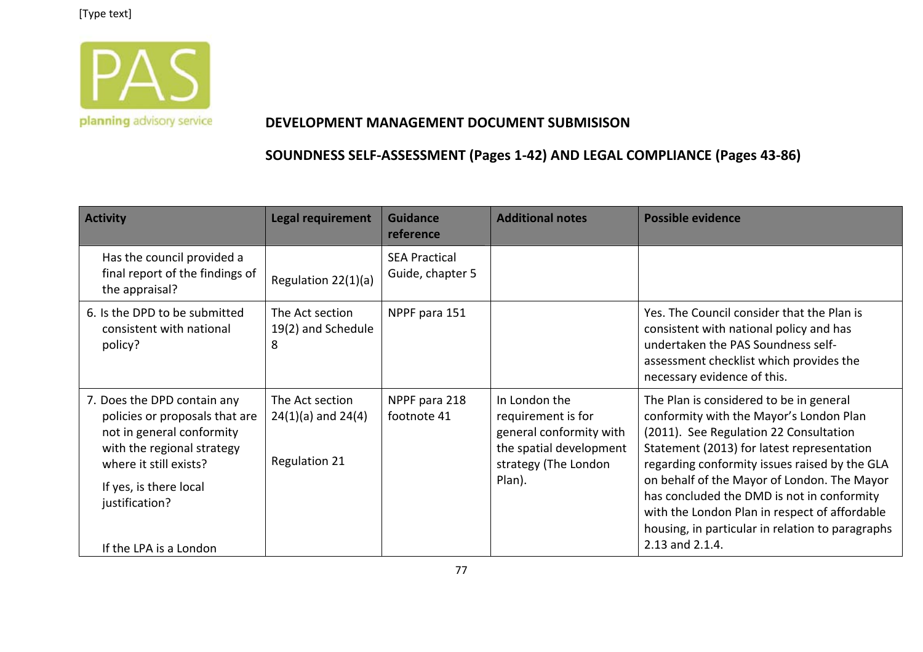

#### **DEVELOPMENT MANAGEMENT DOCUMENT SUBMISISON**

| <b>Activity</b>                                                                                                                                                                                                          | <b>Legal requirement</b>                                          | <b>Guidance</b><br>reference             | <b>Additional notes</b>                                                                                                     | <b>Possible evidence</b>                                                                                                                                                                                                                                                                                                                                                                                                                         |
|--------------------------------------------------------------------------------------------------------------------------------------------------------------------------------------------------------------------------|-------------------------------------------------------------------|------------------------------------------|-----------------------------------------------------------------------------------------------------------------------------|--------------------------------------------------------------------------------------------------------------------------------------------------------------------------------------------------------------------------------------------------------------------------------------------------------------------------------------------------------------------------------------------------------------------------------------------------|
| Has the council provided a<br>final report of the findings of<br>the appraisal?                                                                                                                                          | Regulation 22(1)(a)                                               | <b>SEA Practical</b><br>Guide, chapter 5 |                                                                                                                             |                                                                                                                                                                                                                                                                                                                                                                                                                                                  |
| 6. Is the DPD to be submitted<br>consistent with national<br>policy?                                                                                                                                                     | The Act section<br>19(2) and Schedule<br>8                        | NPPF para 151                            |                                                                                                                             | Yes. The Council consider that the Plan is<br>consistent with national policy and has<br>undertaken the PAS Soundness self-<br>assessment checklist which provides the<br>necessary evidence of this.                                                                                                                                                                                                                                            |
| 7. Does the DPD contain any<br>policies or proposals that are<br>not in general conformity<br>with the regional strategy<br>where it still exists?<br>If yes, is there local<br>justification?<br>If the LPA is a London | The Act section<br>$24(1)(a)$ and $24(4)$<br><b>Regulation 21</b> | NPPF para 218<br>footnote 41             | In London the<br>requirement is for<br>general conformity with<br>the spatial development<br>strategy (The London<br>Plan). | The Plan is considered to be in general<br>conformity with the Mayor's London Plan<br>(2011). See Regulation 22 Consultation<br>Statement (2013) for latest representation<br>regarding conformity issues raised by the GLA<br>on behalf of the Mayor of London. The Mayor<br>has concluded the DMD is not in conformity<br>with the London Plan in respect of affordable<br>housing, in particular in relation to paragraphs<br>2.13 and 2.1.4. |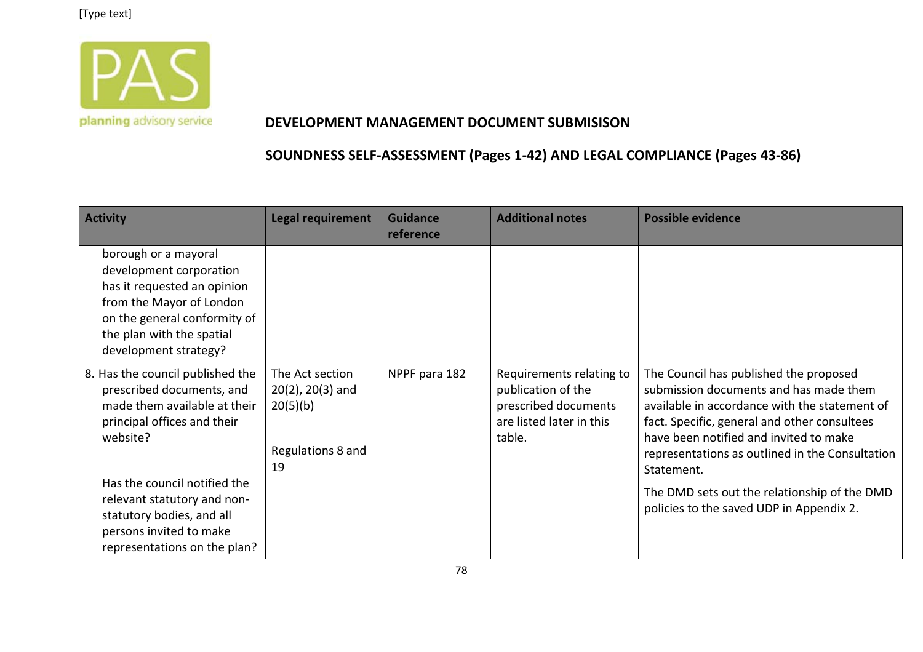

#### **DEVELOPMENT MANAGEMENT DOCUMENT SUBMISISON**

| <b>Activity</b>                                                                                                                                                                                                                                                                                 | <b>Legal requirement</b>                                                        | <b>Guidance</b><br>reference | <b>Additional notes</b>                                                                                      | <b>Possible evidence</b>                                                                                                                                                                                                                                                                                                                                                                 |
|-------------------------------------------------------------------------------------------------------------------------------------------------------------------------------------------------------------------------------------------------------------------------------------------------|---------------------------------------------------------------------------------|------------------------------|--------------------------------------------------------------------------------------------------------------|------------------------------------------------------------------------------------------------------------------------------------------------------------------------------------------------------------------------------------------------------------------------------------------------------------------------------------------------------------------------------------------|
| borough or a mayoral<br>development corporation<br>has it requested an opinion<br>from the Mayor of London<br>on the general conformity of<br>the plan with the spatial<br>development strategy?                                                                                                |                                                                                 |                              |                                                                                                              |                                                                                                                                                                                                                                                                                                                                                                                          |
| 8. Has the council published the<br>prescribed documents, and<br>made them available at their<br>principal offices and their<br>website?<br>Has the council notified the<br>relevant statutory and non-<br>statutory bodies, and all<br>persons invited to make<br>representations on the plan? | The Act section<br>$20(2)$ , $20(3)$ and<br>20(5)(b)<br>Regulations 8 and<br>19 | NPPF para 182                | Requirements relating to<br>publication of the<br>prescribed documents<br>are listed later in this<br>table. | The Council has published the proposed<br>submission documents and has made them<br>available in accordance with the statement of<br>fact. Specific, general and other consultees<br>have been notified and invited to make<br>representations as outlined in the Consultation<br>Statement.<br>The DMD sets out the relationship of the DMD<br>policies to the saved UDP in Appendix 2. |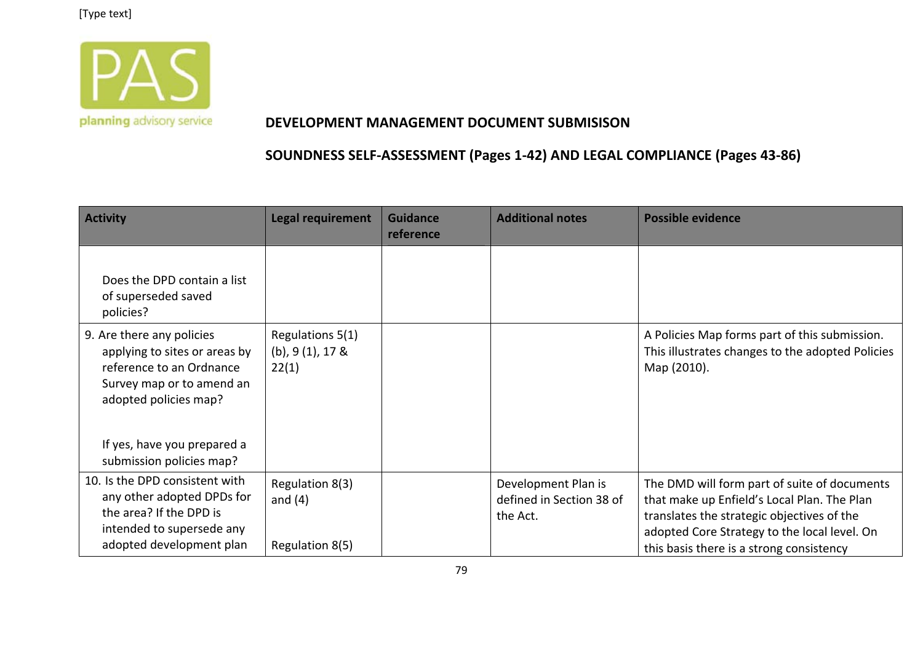

#### **DEVELOPMENT MANAGEMENT DOCUMENT SUBMISISON**

| <b>Activity</b>                                                                                                                                                             | <b>Legal requirement</b>                         | <b>Guidance</b><br>reference | <b>Additional notes</b>                                     | <b>Possible evidence</b>                                                                                                                                                                  |
|-----------------------------------------------------------------------------------------------------------------------------------------------------------------------------|--------------------------------------------------|------------------------------|-------------------------------------------------------------|-------------------------------------------------------------------------------------------------------------------------------------------------------------------------------------------|
| Does the DPD contain a list<br>of superseded saved<br>policies?                                                                                                             |                                                  |                              |                                                             |                                                                                                                                                                                           |
| 9. Are there any policies<br>applying to sites or areas by<br>reference to an Ordnance<br>Survey map or to amend an<br>adopted policies map?<br>If yes, have you prepared a | Regulations 5(1)<br>$(b)$ , 9 (1), 17 &<br>22(1) |                              |                                                             | A Policies Map forms part of this submission.<br>This illustrates changes to the adopted Policies<br>Map (2010).                                                                          |
| submission policies map?<br>10. Is the DPD consistent with<br>any other adopted DPDs for<br>the area? If the DPD is<br>intended to supersede any                            | Regulation 8(3)<br>and $(4)$                     |                              | Development Plan is<br>defined in Section 38 of<br>the Act. | The DMD will form part of suite of documents<br>that make up Enfield's Local Plan. The Plan<br>translates the strategic objectives of the<br>adopted Core Strategy to the local level. On |
| adopted development plan                                                                                                                                                    | Regulation 8(5)                                  |                              |                                                             | this basis there is a strong consistency                                                                                                                                                  |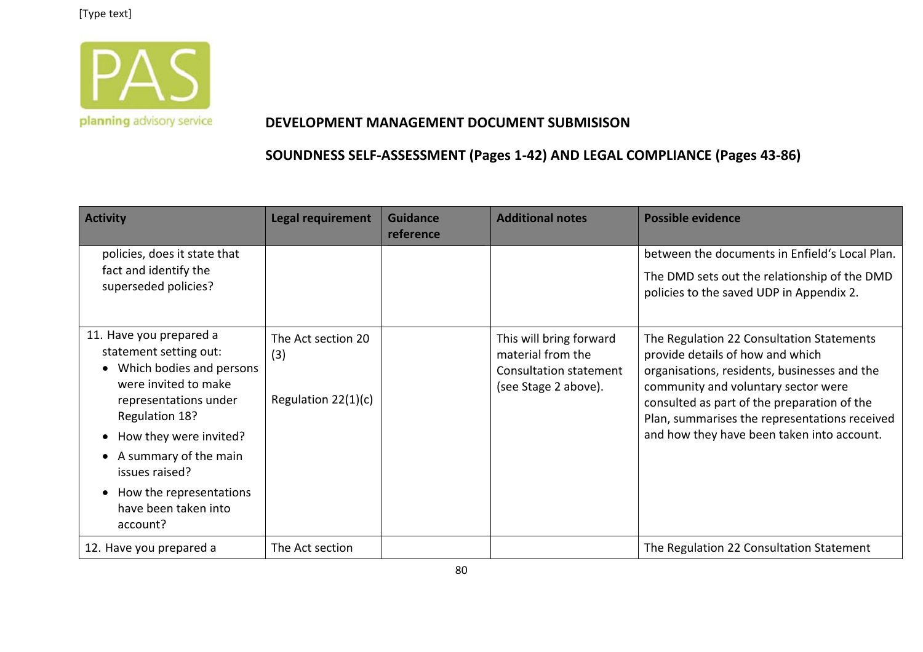

#### **DEVELOPMENT MANAGEMENT DOCUMENT SUBMISISON**

| <b>Activity</b>                                                                                                                                                                                                                                                                      | <b>Legal requirement</b>                           | <b>Guidance</b><br>reference | <b>Additional notes</b>                                                                               | <b>Possible evidence</b>                                                                                                                                                                                                                                                                                           |
|--------------------------------------------------------------------------------------------------------------------------------------------------------------------------------------------------------------------------------------------------------------------------------------|----------------------------------------------------|------------------------------|-------------------------------------------------------------------------------------------------------|--------------------------------------------------------------------------------------------------------------------------------------------------------------------------------------------------------------------------------------------------------------------------------------------------------------------|
| policies, does it state that<br>fact and identify the<br>superseded policies?                                                                                                                                                                                                        |                                                    |                              |                                                                                                       | between the documents in Enfield's Local Plan.<br>The DMD sets out the relationship of the DMD<br>policies to the saved UDP in Appendix 2.                                                                                                                                                                         |
| 11. Have you prepared a<br>statement setting out:<br>Which bodies and persons<br>were invited to make<br>representations under<br>Regulation 18?<br>How they were invited?<br>A summary of the main<br>issues raised?<br>How the representations<br>have been taken into<br>account? | The Act section 20<br>(3)<br>Regulation $22(1)(c)$ |                              | This will bring forward<br>material from the<br><b>Consultation statement</b><br>(see Stage 2 above). | The Regulation 22 Consultation Statements<br>provide details of how and which<br>organisations, residents, businesses and the<br>community and voluntary sector were<br>consulted as part of the preparation of the<br>Plan, summarises the representations received<br>and how they have been taken into account. |
| 12. Have you prepared a                                                                                                                                                                                                                                                              | The Act section                                    |                              |                                                                                                       | The Regulation 22 Consultation Statement                                                                                                                                                                                                                                                                           |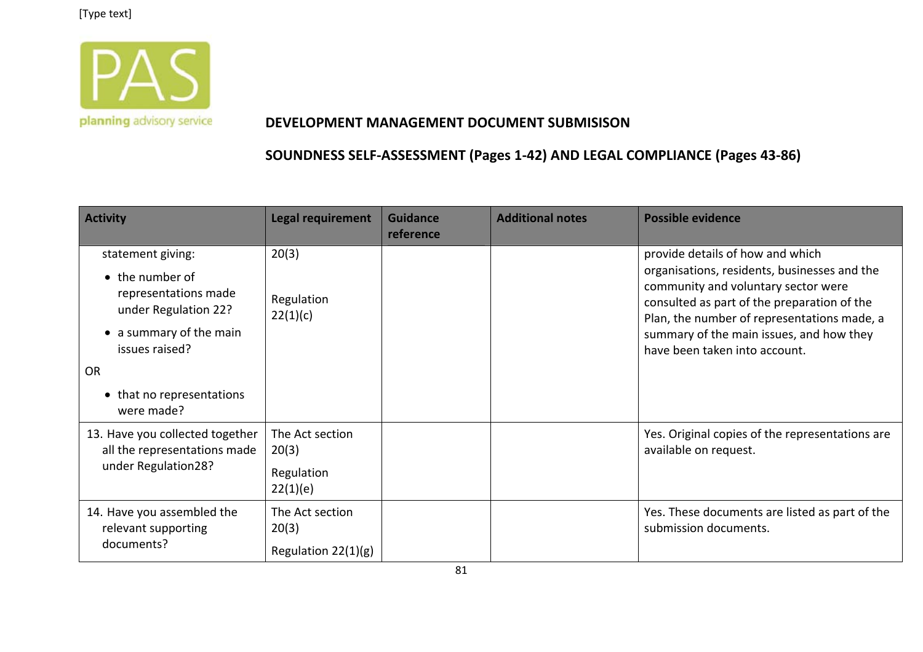

#### **DEVELOPMENT MANAGEMENT DOCUMENT SUBMISISON**

| <b>Activity</b>                                                                                                                         | <b>Legal requirement</b>                           | <b>Guidance</b><br>reference | <b>Additional notes</b> | <b>Possible evidence</b>                                                                                                                                                                                                                                                                           |
|-----------------------------------------------------------------------------------------------------------------------------------------|----------------------------------------------------|------------------------------|-------------------------|----------------------------------------------------------------------------------------------------------------------------------------------------------------------------------------------------------------------------------------------------------------------------------------------------|
| statement giving:<br>• the number of<br>representations made<br>under Regulation 22?<br>• a summary of the main<br>issues raised?<br>OR | 20(3)<br>Regulation<br>22(1)(c)                    |                              |                         | provide details of how and which<br>organisations, residents, businesses and the<br>community and voluntary sector were<br>consulted as part of the preparation of the<br>Plan, the number of representations made, a<br>summary of the main issues, and how they<br>have been taken into account. |
| • that no representations<br>were made?                                                                                                 |                                                    |                              |                         |                                                                                                                                                                                                                                                                                                    |
| 13. Have you collected together<br>all the representations made<br>under Regulation28?                                                  | The Act section<br>20(3)<br>Regulation<br>22(1)(e) |                              |                         | Yes. Original copies of the representations are<br>available on request.                                                                                                                                                                                                                           |
| 14. Have you assembled the<br>relevant supporting<br>documents?                                                                         | The Act section<br>20(3)<br>Regulation 22(1)(g)    |                              |                         | Yes. These documents are listed as part of the<br>submission documents.                                                                                                                                                                                                                            |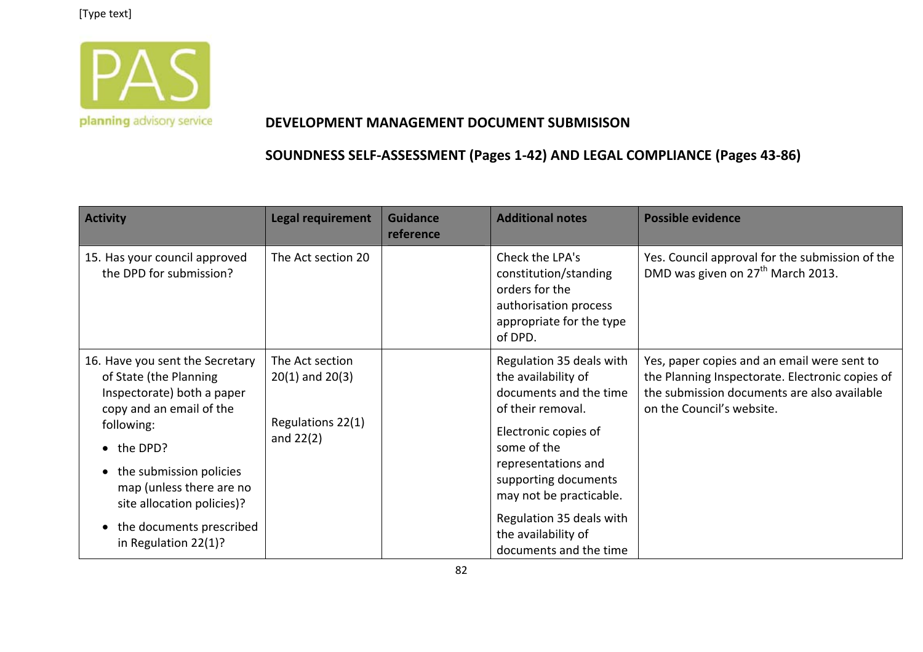

#### **DEVELOPMENT MANAGEMENT DOCUMENT SUBMISISON**

| <b>Activity</b>                                                                                                                                                                                                                                                                          | <b>Legal requirement</b>                                                   | <b>Guidance</b><br>reference | <b>Additional notes</b>                                                                                                                                                                                                                                                                      | <b>Possible evidence</b>                                                                                                                                                   |
|------------------------------------------------------------------------------------------------------------------------------------------------------------------------------------------------------------------------------------------------------------------------------------------|----------------------------------------------------------------------------|------------------------------|----------------------------------------------------------------------------------------------------------------------------------------------------------------------------------------------------------------------------------------------------------------------------------------------|----------------------------------------------------------------------------------------------------------------------------------------------------------------------------|
| 15. Has your council approved<br>the DPD for submission?                                                                                                                                                                                                                                 | The Act section 20                                                         |                              | Check the LPA's<br>constitution/standing<br>orders for the<br>authorisation process<br>appropriate for the type<br>of DPD.                                                                                                                                                                   | Yes. Council approval for the submission of the<br>DMD was given on 27 <sup>th</sup> March 2013.                                                                           |
| 16. Have you sent the Secretary<br>of State (the Planning<br>Inspectorate) both a paper<br>copy and an email of the<br>following:<br>• the DPD?<br>the submission policies<br>map (unless there are no<br>site allocation policies)?<br>the documents prescribed<br>in Regulation 22(1)? | The Act section<br>$20(1)$ and $20(3)$<br>Regulations 22(1)<br>and $22(2)$ |                              | Regulation 35 deals with<br>the availability of<br>documents and the time<br>of their removal.<br>Electronic copies of<br>some of the<br>representations and<br>supporting documents<br>may not be practicable.<br>Regulation 35 deals with<br>the availability of<br>documents and the time | Yes, paper copies and an email were sent to<br>the Planning Inspectorate. Electronic copies of<br>the submission documents are also available<br>on the Council's website. |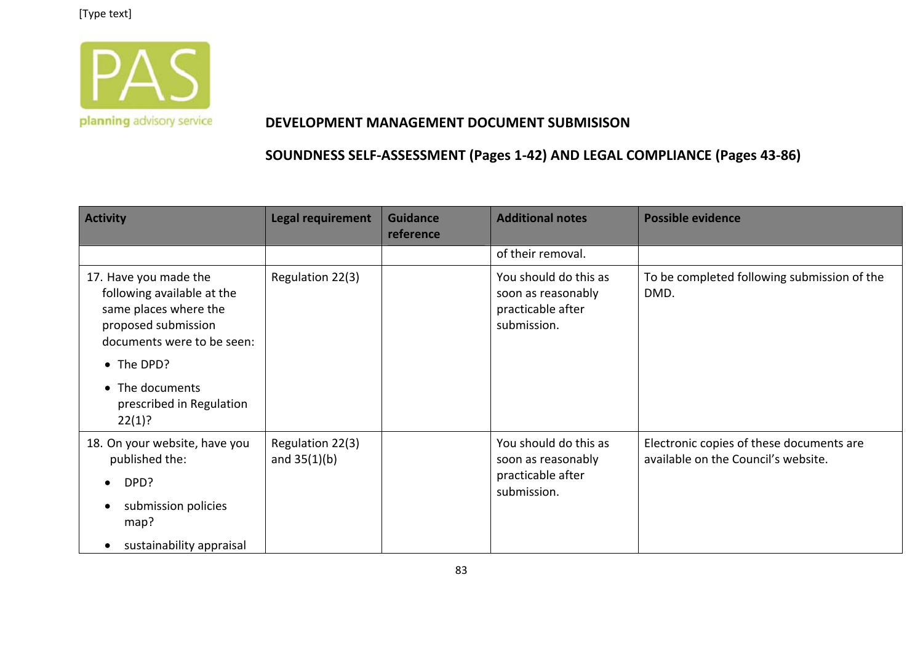

#### **DEVELOPMENT MANAGEMENT DOCUMENT SUBMISISON**

| <b>Activity</b>                                                                                                                   | <b>Legal requirement</b>           | <b>Guidance</b><br>reference | <b>Additional notes</b>                                                         | <b>Possible evidence</b>                                                        |
|-----------------------------------------------------------------------------------------------------------------------------------|------------------------------------|------------------------------|---------------------------------------------------------------------------------|---------------------------------------------------------------------------------|
|                                                                                                                                   |                                    |                              | of their removal.                                                               |                                                                                 |
| 17. Have you made the<br>following available at the<br>same places where the<br>proposed submission<br>documents were to be seen: | Regulation 22(3)                   |                              | You should do this as<br>soon as reasonably<br>practicable after<br>submission. | To be completed following submission of the<br>DMD.                             |
| • The DPD?                                                                                                                        |                                    |                              |                                                                                 |                                                                                 |
| • The documents<br>prescribed in Regulation<br>22(1)?                                                                             |                                    |                              |                                                                                 |                                                                                 |
| 18. On your website, have you<br>published the:<br>DPD?<br>$\bullet$<br>submission policies<br>map?                               | Regulation 22(3)<br>and $35(1)(b)$ |                              | You should do this as<br>soon as reasonably<br>practicable after<br>submission. | Electronic copies of these documents are<br>available on the Council's website. |
| sustainability appraisal                                                                                                          |                                    |                              |                                                                                 |                                                                                 |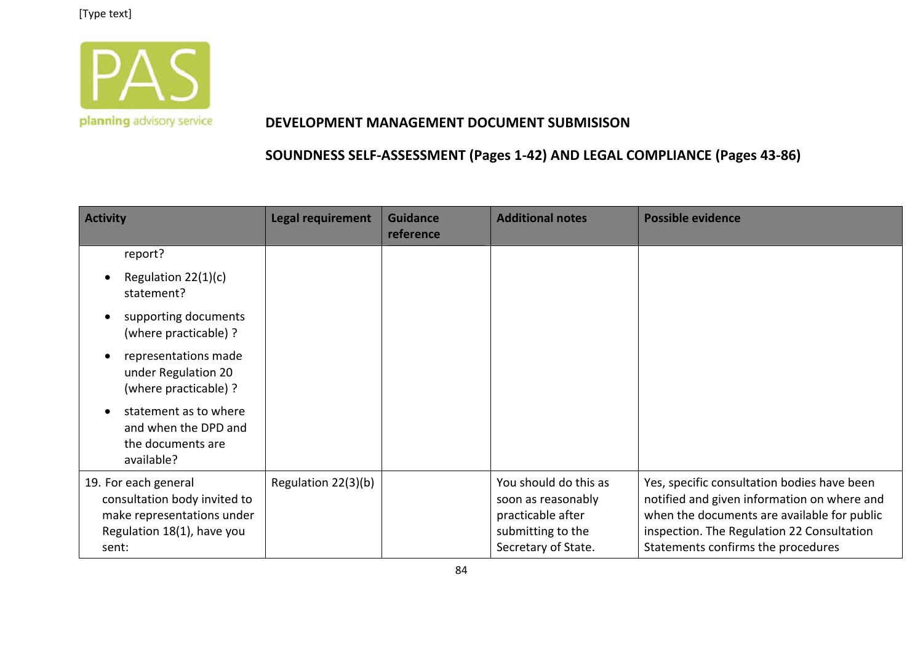

#### **DEVELOPMENT MANAGEMENT DOCUMENT SUBMISISON**

| <b>Activity</b>                                                                                                           | <b>Legal requirement</b> | <b>Guidance</b><br>reference | <b>Additional notes</b>                                                                                      | <b>Possible evidence</b>                                                                                                                                                                                                      |
|---------------------------------------------------------------------------------------------------------------------------|--------------------------|------------------------------|--------------------------------------------------------------------------------------------------------------|-------------------------------------------------------------------------------------------------------------------------------------------------------------------------------------------------------------------------------|
| report?                                                                                                                   |                          |                              |                                                                                                              |                                                                                                                                                                                                                               |
| Regulation 22(1)(c)<br>$\bullet$<br>statement?                                                                            |                          |                              |                                                                                                              |                                                                                                                                                                                                                               |
| supporting documents<br>(where practicable) ?                                                                             |                          |                              |                                                                                                              |                                                                                                                                                                                                                               |
| representations made<br>under Regulation 20<br>(where practicable) ?                                                      |                          |                              |                                                                                                              |                                                                                                                                                                                                                               |
| statement as to where<br>and when the DPD and<br>the documents are<br>available?                                          |                          |                              |                                                                                                              |                                                                                                                                                                                                                               |
| 19. For each general<br>consultation body invited to<br>make representations under<br>Regulation 18(1), have you<br>sent: | Regulation 22(3)(b)      |                              | You should do this as<br>soon as reasonably<br>practicable after<br>submitting to the<br>Secretary of State. | Yes, specific consultation bodies have been<br>notified and given information on where and<br>when the documents are available for public<br>inspection. The Regulation 22 Consultation<br>Statements confirms the procedures |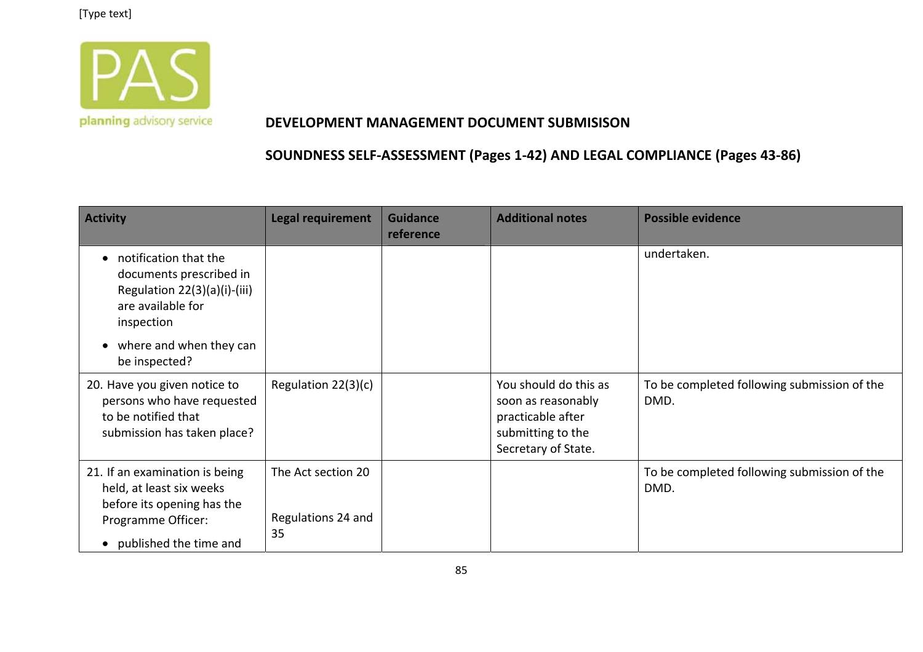

#### **DEVELOPMENT MANAGEMENT DOCUMENT SUBMISISON**

| <b>Activity</b>                                                                                                                                       | <b>Legal requirement</b>                       | <b>Guidance</b><br>reference | <b>Additional notes</b>                                                                                      | <b>Possible evidence</b>                            |
|-------------------------------------------------------------------------------------------------------------------------------------------------------|------------------------------------------------|------------------------------|--------------------------------------------------------------------------------------------------------------|-----------------------------------------------------|
| notification that the<br>documents prescribed in<br>Regulation 22(3)(a)(i)-(iii)<br>are available for<br>inspection<br>where and when they can        |                                                |                              |                                                                                                              | undertaken.                                         |
| be inspected?                                                                                                                                         |                                                |                              |                                                                                                              |                                                     |
| 20. Have you given notice to<br>persons who have requested<br>to be notified that<br>submission has taken place?                                      | Regulation 22(3)(c)                            |                              | You should do this as<br>soon as reasonably<br>practicable after<br>submitting to the<br>Secretary of State. | To be completed following submission of the<br>DMD. |
| 21. If an examination is being<br>held, at least six weeks<br>before its opening has the<br>Programme Officer:<br>published the time and<br>$\bullet$ | The Act section 20<br>Regulations 24 and<br>35 |                              |                                                                                                              | To be completed following submission of the<br>DMD. |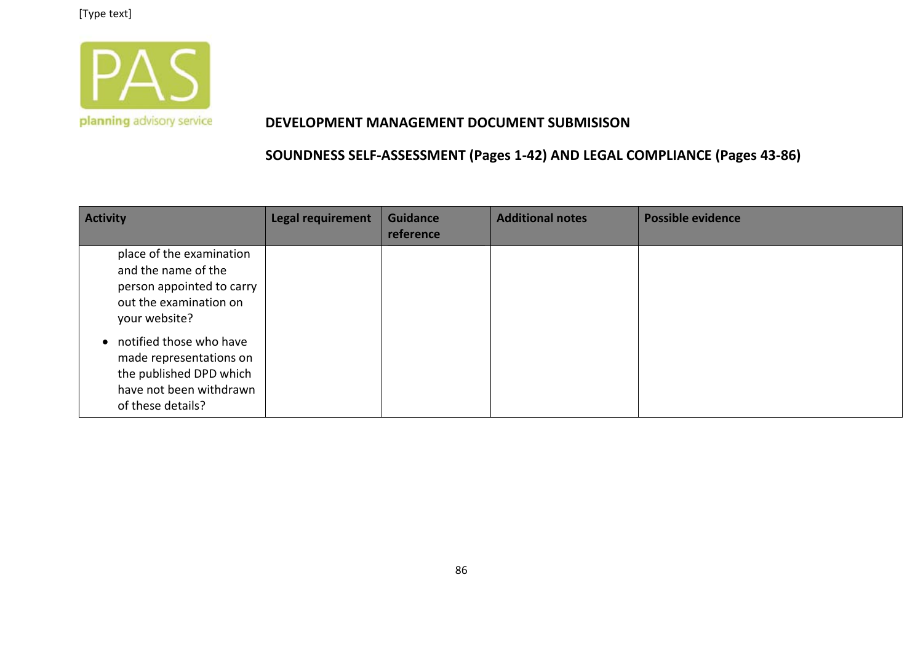

#### **DEVELOPMENT MANAGEMENT DOCUMENT SUBMISISON**

| <b>Activity</b>                                                                                                                            | Legal requirement | <b>Guidance</b><br>reference | <b>Additional notes</b> | <b>Possible evidence</b> |
|--------------------------------------------------------------------------------------------------------------------------------------------|-------------------|------------------------------|-------------------------|--------------------------|
| place of the examination<br>and the name of the<br>person appointed to carry<br>out the examination on<br>your website?                    |                   |                              |                         |                          |
| notified those who have<br>$\bullet$<br>made representations on<br>the published DPD which<br>have not been withdrawn<br>of these details? |                   |                              |                         |                          |